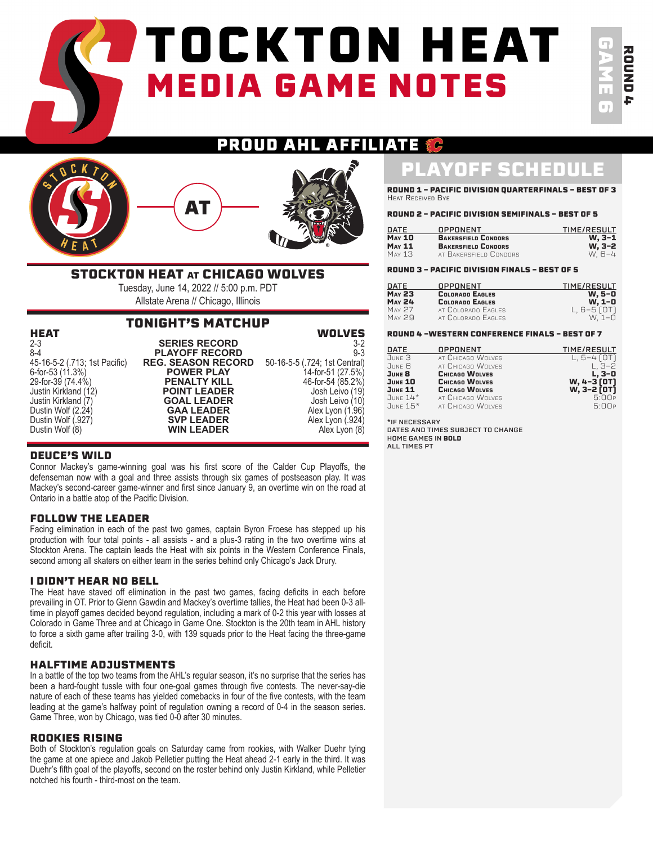# **PTOCKTON HEAT MEDIA GAME NOTES**

GAME 6 ROUND ROUND 4

#### **AHL AFFILIATE** D П Ш Ê C



### STOCKTON HEAT at CHICAGO WOLVES

Tuesday, June 14, 2022 // 5:00 p.m. PDT Allstate Arena // Chicago, Illinois

### TONIGHT'S MATCHUP

| <b>HEAT</b>                   |                           | <b>WOLVES</b>                 |
|-------------------------------|---------------------------|-------------------------------|
| $2 - 3$                       | <b>SERIES RECORD</b>      | $3-2$                         |
| $8 - 4$                       | <b>PLAYOFF RECORD</b>     | $9 - 3$                       |
| 45-16-5-2 (.713; 1st Pacific) | <b>REG. SEASON RECORD</b> | 50-16-5-5 (.724; 1st Central) |
| 6-for-53 (11.3%)              | <b>POWER PLAY</b>         | 14-for-51 (27.5%)             |
| 29-for-39 (74.4%)             | <b>PENALTY KILL</b>       | 46-for-54 (85.2%)             |
| Justin Kirkland (12)          | <b>POINT LEADER</b>       | Josh Leivo (19)               |
| Justin Kirkland (7)           | <b>GOAL LEADER</b>        | Josh Leivo (10)               |
| Dustin Wolf (2.24)            | <b>GAA LEADER</b>         | Alex Lyon (1.96)              |
| Dustin Wolf (.927)            | <b>SVP LEADER</b>         | Alex Lyon (.924)              |
| Dustin Wolf (8)               | <b>WIN LEADER</b>         | Alex Lyon (8)                 |

Alex Lyon (.924)<br>Alex Lyon (8)

#### DEUCE'S WILD

Connor Mackey's game-winning goal was his first score of the Calder Cup Playoffs, the defenseman now with a goal and three assists through six games of postseason play. It was Mackey's second-career game-winner and first since January 9, an overtime win on the road at Ontario in a battle atop of the Pacific Division.

#### FOLLOW THE LEADER

Facing elimination in each of the past two games, captain Byron Froese has stepped up his production with four total points - all assists - and a plus-3 rating in the two overtime wins at Stockton Arena. The captain leads the Heat with six points in the Western Conference Finals, second among all skaters on either team in the series behind only Chicago's Jack Drury.

#### I DIDN'T HEAR NO BELL

The Heat have staved off elimination in the past two games, facing deficits in each before prevailing in OT. Prior to Glenn Gawdin and Mackey's overtime tallies, the Heat had been 0-3 alltime in playoff games decided beyond regulation, including a mark of 0-2 this year with losses at Colorado in Game Three and at Chicago in Game One. Stockton is the 20th team in AHL history to force a sixth game after trailing 3-0, with 139 squads prior to the Heat facing the three-game deficit.

#### HALFTIME ADJUSTMENTS

In a battle of the top two teams from the AHL's regular season, it's no surprise that the series has been a hard-fought tussle with four one-goal games through five contests. The never-say-die nature of each of these teams has yielded comebacks in four of the five contests, with the team leading at the game's halfway point of regulation owning a record of 0-4 in the season series. Game Three, won by Chicago, was tied 0-0 after 30 minutes.

#### ROOKIES RISING

Both of Stockton's regulation goals on Saturday came from rookies, with Walker Duehr tying the game at one apiece and Jakob Pelletier putting the Heat ahead 2-1 early in the third. It was Duehr's fifth goal of the playoffs, second on the roster behind only Justin Kirkland, while Pelletier notched his fourth - third-most on the team.

### PLAYOFF SCHEDULE

ROUND 1 - PACIFIC DIVISION QUARTERFINALS - BEST OF 3 Heat Received Bye

#### ROUND 2 - PACIFIC DIVISION SEMIFINALS - BEST OF 5

| DATE          | OPPONENT                   | <b>TIME/RESULT</b> |
|---------------|----------------------------|--------------------|
| <b>MAY 10</b> | <b>BAKERSFIELD CONDORS</b> | W. 3-1             |
| <b>MAY 11</b> | <b>BAKERSFIELD CONDORS</b> | W, 3-2             |
| May 13        | AT BAKERSFIELD CONDORS     | W. 6-4             |

#### ROUND 3 - PACIFIC DIVISION FINALS - BEST OF 5

| OPPONENT               | TIME/RESULT     |
|------------------------|-----------------|
| <b>COLORADO EAGLES</b> | w. 5-0          |
| <b>COLORADO EAGLES</b> | W, 1-0          |
| AT COLORADO EAGLES     | L, $6-5$ $[0T]$ |
| AT COLORADO EAGLES     | W. 1-0          |
|                        |                 |

#### ROUND 4 -WESTERN CONFERENCE FINALS - BEST OF 7

| OPPONENT          | <b>TIME/RESULT</b>         |
|-------------------|----------------------------|
| AT CHICAGO WOLVES | L, $5-4$ $[0T]$            |
| AT CHICAGO WOLVES | $L, 3-2$                   |
| CHICAGO WOLVES    | $L, 3-0$                   |
| CHICAGO WOLVES    |                            |
| CHICAGO WOLVES    | W, 4-3 [OT]<br>W, 3-2 [OT] |
| AT CHICAGO WOLVES | 5:00F                      |
| AT CHICAGO WOLVES | 5:00P                      |
|                   |                            |

\*IF NECESSARY DATES AND TIMES SUBJECT TO CHANGE HOME GAMES IN **BOLD** ALL TIMES PT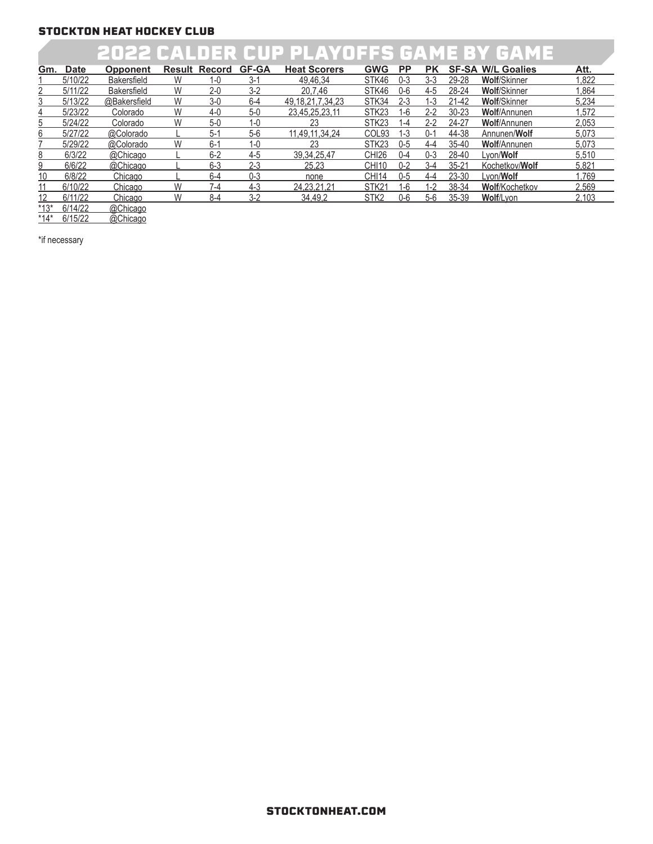### 2022 CALDER CUP PLAYOFFS GAME BY GAME

| Gm. | <b>Date</b> | <b>Opponent</b>    |   | <b>Result Record</b> | <b>GF-GA</b> | <b>Heat Scorers</b>   | <b>GWG</b>        | <b>PP</b> | <b>PK</b> |           | <b>SF-SA W/L Goalies</b> | Att.  |
|-----|-------------|--------------------|---|----------------------|--------------|-----------------------|-------------------|-----------|-----------|-----------|--------------------------|-------|
|     | 5/10/22     | <b>Bakersfield</b> | W | $1 - 0$              | $3-1$        | 49,46,34              | STK46             | 0-3       | 3-3       | 29-28     | <b>Wolf/Skinner</b>      | .822  |
|     | 5/11/22     | <b>Bakersfield</b> | W | $2 - 0$              | $3-2$        | 20.7.46               | STK46             | 0-6       | 4-5       | 28-24     | <b>Wolf/Skinner</b>      | .864  |
|     | 5/13/22     | @Bakersfield       | W | $3-0$                | $6 - 4$      | 49, 18, 21, 7, 34, 23 | STK34             | $2 - 3$   | $1 - 3$   | 21-42     | <b>Wolf/Skinner</b>      | 5,234 |
| 4   | 5/23/22     | Colorado           | W | 4-0                  | $5-0$        | 23.45.25.23.11        | STK <sub>23</sub> | 1-6       | 2-2       | $30 - 23$ | <b>Wolf/Annunen</b>      | .572  |
| 5   | 5/24/22     | Colorado           | W | $5-0$                | 1-0          | 23                    | STK <sub>23</sub> | 1-4       | 2-2       | 24-27     | <b>Wolf/Annunen</b>      | 2.053 |
| 6.  | 5/27/22     | @Colorado          |   | $5-$                 | $5-6$        | 11,49,11,34,24        | COL <sub>93</sub> | $1 - 3$   | 0-′       | 44-38     | Annunen/Wolf             | 5,073 |
|     | 5/29/22     | @Colorado          | W | 6-1                  | $1 - 0$      | 23                    | STK <sub>23</sub> | $0 - 5$   | 4-4       | 35-40     | <b>Wolf/Annunen</b>      | 5.073 |
| 8   | 6/3/22      | @Chicago           |   | $6 - 2$              | $4 - 5$      | 39.34.25.47           | CHI26             | 0-4       | 0-3       | 28-40     | Lvon/ <b>Wolf</b>        | 5.510 |
| 9   | 6/6/22      | @Chicago           |   | $6 - 3$              | $2 - 3$      | 25.23                 | <b>CHI10</b>      | $0 - 2$   | $3 - 4$   | $35 - 21$ | Kochetkov/Wolf           | 5.821 |
| 10  | 6/8/22      | Chicago            |   | $6 - 4$              | $0 - 3$      | none                  | CHI14             | 0-5       | 4-4       | 23-30     | Lvon/ <b>Wolf</b>        | .769  |
| 11  | 6/10/22     | Chicago            | W | $7-4$                | $4-3$        | 24.23.21.21           | STK <sub>21</sub> | $1-6$     | $L-2$     | 38-34     | Wolf/Kochetkov           | 2.569 |
| 12  | 6/11/22     | Chicago            | W | $8-4$                | $3-2$        | 34,49,2               | STK <sub>2</sub>  | $0 - 6$   | $5-6$     | 35-39     | Wolf/Lvon                | 2.103 |

\*13\* 6/14/22 @Chicago

\*14\* 6/15/22 @Chicago

\*if necessary

#### STOCKTONHEAT.COM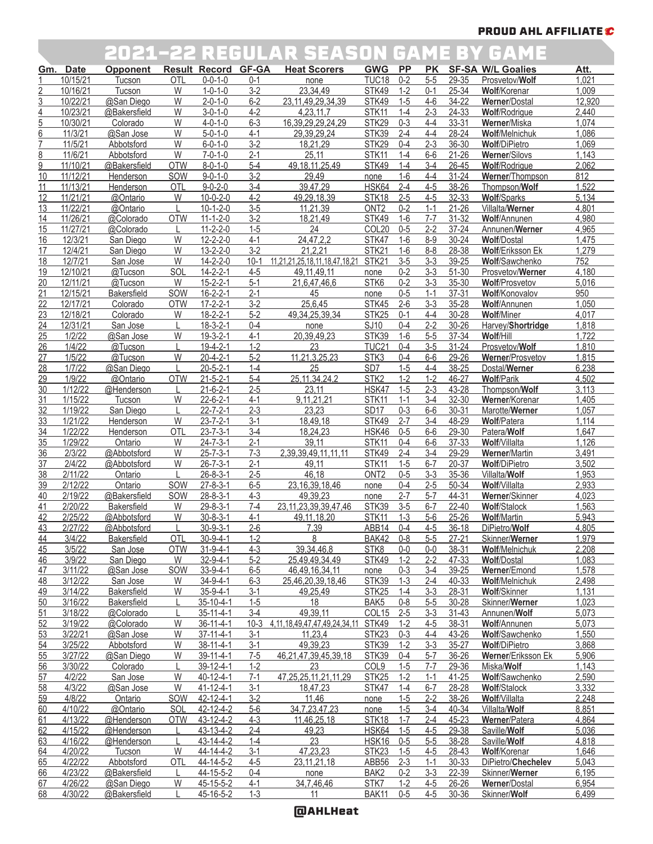### PROUD AHL AFFILIATE C

### 2021-22 REGULAR SEASON GAME BY GAME

|                 |             |                    |            |                     |         | EUL& EE REUUEAR UEAUUR UAME DI UAME   |                   |           |           |           |                          |        |
|-----------------|-------------|--------------------|------------|---------------------|---------|---------------------------------------|-------------------|-----------|-----------|-----------|--------------------------|--------|
| Gm.             | <b>Date</b> | <b>Opponent</b>    |            | Result Record GF-GA |         | <b>Heat Scorers</b>                   | <b>GWG</b>        | <b>PP</b> | <b>PK</b> |           | <b>SF-SA W/L Goalies</b> | Att.   |
|                 | 10/15/21    | Tucson             | OTL        | $0 - 0 - 1 - 0$     | $0 - 1$ | none                                  | TUC <sub>18</sub> | $0 - 2$   | $5-5$     | 29-35     | Prosvetov/Wolf           | 1,021  |
| $\overline{2}$  | 10/16/21    | Tucson             | W          | $1 - 0 - 1 - 0$     | $3-2$   | 23,34,49                              | STK49             | $1 - 2$   | $0 - 1$   | 25-34     | Wolf/Korenar             | 1,009  |
| <u>3</u>        | 10/22/21    | @San Diego         | W          | $2 - 0 - 1 - 0$     | $6 - 2$ | 23, 11, 49, 29, 34, 39                | STK49             | $1-5$     | $4-6$     | 34-22     | Werner/Dostal            | 12,920 |
| $\overline{4}$  | 10/23/21    | @Bakersfield       | W          | $3 - 0 - 1 - 0$     | $4 - 2$ | 4.23.11.7                             | STK11             | $1 - 4$   | $2 - 3$   | 24-33     | Wolf/Rodrigue            | 2,440  |
|                 |             |                    |            |                     |         |                                       |                   |           |           |           |                          |        |
| $\overline{5}$  | 10/30/21    | Colorado           | W          | $4 - 0 - 1 - 0$     | $6 - 3$ | 16, 39, 29, 29, 24, 29                | STK29             | $0 - 3$   | 4-4       | 33-31     | Werner/Miska             | 1,074  |
| 6               | 11/3/21     | @San Jose          | W          | $5 - 0 - 1 - 0$     | $4 - 1$ | 29,39,29,24                           | STK39             | $2 - 4$   | $4 - 4$   | 28-24     | Wolf/Melnichuk           | 1,086  |
| 7               | 11/5/21     | Abbotsford         | W          | $6 - 0 - 1 - 0$     | $3-2$   | 18,21,29                              | STK29             | $0 - 4$   | $2 - 3$   | 36-30     | <b>Wolf/DiPietro</b>     | 1,069  |
| 8               | 11/6/21     | Abbotsford         | W          | $7 - 0 - 1 - 0$     | $2 - 1$ | 25,11                                 | STK11             | $1 - 4$   | $6-6$     | $21 - 26$ | Werner/Silovs            | 1,143  |
| 9               | 11/10/21    | @Bakersfield       | <b>OTW</b> | $8 - 0 - 1 - 0$     | $5-4$   | 49, 18, 11, 25, 49                    | STK49             | $1 - 4$   | $3-4$     | $26 - 45$ | Wolf/Rodrigue            | 2,062  |
| 10              | 11/12/21    | Henderson          | SOW        | $9 - 0 - 1 - 0$     | $3 - 2$ | 29,49                                 | none              | $1-6$     | $4 - 4$   | $31 - 24$ | Werner/Thompson          | 812    |
| 11              | 11/13/21    | Henderson          | OTL        | $9 - 0 - 2 - 0$     | $3-4$   | 39,47,29                              | HSK64             | $2 - 4$   | $4 - 5$   | 38-26     | Thompson/Wolf            | 1,522  |
|                 | 11/21/21    |                    | W          | $10 - 0 - 2 - 0$    | $4 - 2$ | 49.29.18.39                           |                   | $2 - 5$   |           |           |                          |        |
| 12              |             | @Ontario           |            |                     |         |                                       | STK18             |           | $4 - 5$   | 32-33     | <b>Wolf/Sparks</b>       | 5,134  |
| 13              | 11/22/21    | @Ontario           |            | $10 - 1 - 2 - 0$    | $3-5$   | 11,21,39                              | ONT <sub>2</sub>  | $0 - 2$   | $1 - 1$   | $21 - 26$ | Villalta/Werner          | 4,801  |
| 14              | 11/26/21    | @Colorado          | <b>OTW</b> | $11 - 1 - 2 - 0$    | $3-2$   | 18,21,49                              | <b>STK49</b>      | $1-6$     | $7 - 7$   | 31-32     | Wolf/Annunen             | 4,980  |
| 15              | 11/27/21    | @Colorado          |            | $11 - 2 - 2 - 0$    | $1 - 5$ | 24                                    | COL20             | $0 - 5$   | $2 - 2$   | $37 - 24$ | Annunen/Werner           | 4,965  |
| 16              | 12/3/21     | San Diego          | W          | $12 - 2 - 2 - 0$    | $4 - 1$ | 24, 47, 2, 2                          | STK47             | $1-6$     | $8 - 9$   | $30 - 24$ | <b>Wolf/Dostal</b>       | 1,475  |
| 17              | 12/4/21     | San Diego          | W          | $13 - 2 - 2 - 0$    | $3 - 2$ | 21,2,21                               | STK21             | $1-6$     | $8 - 8$   | 28-38     | <b>Wolf/Eriksson Ek</b>  | 1,279  |
| 18              | 12/7/21     | San Jose           | W          | $14 - 2 - 2 - 0$    | $10-1$  | 11,21,21,25,18,11,18,47,18,21         | STK21             | $3-5$     | $3 - 3$   | 39-25     | Wolf/Sawchenko           | 752    |
| 19              | 12/10/21    |                    | SOL        | $14 - 2 - 2 - 1$    | $4 - 5$ |                                       |                   | $0 - 2$   | $3 - 3$   | 51-30     | Prosvetov/Werner         | 4,180  |
|                 |             | @Tucson            |            |                     |         | 49, 11, 49, 11                        | none              |           |           |           |                          |        |
| 20              | 12/11/21    | @Tucson            | W          | $15 - 2 - 2 - 1$    | $5-1$   | 21,6,47,46,6                          | STK6              | $0 - 2$   | $3-3$     | 35-30     | <b>Wolf/Prosvetov</b>    | 5,016  |
| 21              | 12/15/21    | <b>Bakersfield</b> | SOW        | $16 - 2 - 2 - 1$    | $2 - 1$ | 45                                    | none              | $0 - 5$   | $1 - 1$   | $37 - 31$ | Wolf/Konovalov           | 950    |
| $\overline{22}$ | 12/17/21    | Colorado           | <b>OTW</b> | $17 - 2 - 2 - 1$    | $3-2$   | 25,6,45                               | STK45             | $2 - 6$   | $3 - 3$   | 35-28     | Wolf/Annunen             | 1,050  |
| 23              | 12/18/21    | Colorado           | W          | $18 - 2 - 2 - 1$    | $5-2$   | 49, 34, 25, 39, 34                    | STK25             | $0 - 1$   | $4 - 4$   | $30 - 28$ | <b>Wolf/Miner</b>        | 4,017  |
| 24              | 12/31/21    | San Jose           |            | $18 - 3 - 2 - 1$    | $0 - 4$ | none                                  | <b>SJ10</b>       | $0 - 4$   | $2 - 2$   | 30-26     | Harvey/Shortridge        | 1,818  |
| $\overline{25}$ | 1/2/22      | @San Jose          | W          | $19-3-2-1$          | $4 - 1$ | 20,39,49,23                           | STK39             | $1-6$     | $5-5$     | 37-34     | Wolf/Hill                | 1,722  |
|                 |             |                    |            |                     |         |                                       |                   |           |           |           |                          |        |
| 26              | 1/4/22      | @Tucson            |            | $19-4-2-1$          | $1 - 2$ | 23                                    | TUC <sub>21</sub> | $0 - 4$   | $3-5$     | $31 - 24$ | Prosvetov/Wolf           | 1,810  |
| 27              | 1/5/22      | @Tucson            | W          | $20 - 4 - 2 - 1$    | $5 - 2$ | 11,21,3,25,23                         | STK3              | $0 - 4$   | $6-6$     | 29-26     | Werner/Prosvetov         | 1,815  |
| 28              | 1/7/22      | @San Diego         |            | $20 - 5 - 2 - 1$    | $1 - 4$ | 25                                    | SD <sub>7</sub>   | $1-5$     | $4 - 4$   | 38-25     | Dostal/Werner            | 6,238  |
| 29              | 1/9/22      | @Ontario           | <b>OTW</b> | $21 - 5 - 2 - 1$    | $5-4$   | 25, 11, 34, 24, 2                     | STK <sub>2</sub>  | $1 - 2$   | $1 - 2$   | 46-27     | <b>Wolf/Parik</b>        | 4,502  |
| 30              | 1/12/22     | @Henderson         |            | $21 - 6 - 2 - 1$    | $2 - 5$ | 23,11                                 | HSK47             | $1-5$     | $2 - 3$   | 43-28     | Thompson/Wolf            | 3,113  |
| 31              | 1/15/22     | Tucson             | W          | $22 - 6 - 2 - 1$    | $4 - 1$ | 9,11,21,21                            | STK11             | $1 - 1$   | $3-4$     | 32-30     | Werner/Korenar           | 1,405  |
| 32              | 1/19/22     | San Diego          |            | $22 - 7 - 2 - 1$    | $2 - 3$ | 23,23                                 | SD <sub>17</sub>  | $0 - 3$   | $6-6$     | $30 - 31$ | Marotte/Werner           | 1,057  |
| 33              | 1/21/22     | Henderson          | W          | $23 - 7 - 2 - 1$    | $3-1$   | 18,49,18                              | STK49             | $2 - 7$   | $3-4$     | 48-29     | <b>Wolf/Patera</b>       | 1,114  |
|                 |             |                    |            |                     |         |                                       |                   |           |           |           |                          |        |
| $\frac{34}{5}$  | 1/22/22     | Henderson          | OTL        | $23 - 7 - 3 - 1$    | $3-4$   | 18,24,23                              | HSK46             | $0 - 5$   | $6-6$     | 29-30     | Patera/Wolf              | 1,647  |
| 35              | 1/29/22     | Ontario            | W          | $24 - 7 - 3 - 1$    | $2 - 1$ | 39,11                                 | STK11             | $0 - 4$   | $6-6$     | 37-33     | Wolf/Villalta            | 1,126  |
| 36              | 2/3/22      | @Abbotsford        | W          | $25 - 7 - 3 - 1$    | $7 - 3$ | 2,39,39,49,11,11,11                   | STK49             | $2 - 4$   | $3-4$     | 29-29     | <b>Werner/Martin</b>     | 3,491  |
| 37              | 2/4/22      | @Abbotsford        | W          | $26 - 7 - 3 - 1$    | $2 - 1$ | 49,11                                 | STK11             | $1 - 5$   | $6 - 7$   | $20 - 37$ | <b>Wolf/DiPietro</b>     | 3,502  |
| 38              | 2/11/22     | Ontario            |            | $26 - 8 - 3 - 1$    | $2 - 5$ | 46,18                                 | ONT <sub>2</sub>  | $0 - 5$   | $3-3$     | 35-36     | Villalta/Wolf            | 1,953  |
| 39              | 2/12/22     | Ontario            | SOW        | $27 - 8 - 3 - 1$    | $6-5$   | 23, 16, 39, 18, 46                    | none              | $0 - 4$   | $2 - 5$   | 50-34     | Wolf/Villalta            | 2,933  |
| 40              | 2/19/22     | @Bakersfield       | SOW        | $28 - 8 - 3 - 1$    | $4 - 3$ | 49,39,23                              | none              | $2 - 7$   | $5 - 7$   | 44-31     | Werner/Skinner           | 4,023  |
| 41              | 2/20/22     | Bakersfield        | W          | $29 - 8 - 3 - 1$    | $7-4$   | 23, 11, 23, 39, 39, 47, 46            | STK39             | $3-5$     | $6 - 7$   | $22 - 40$ | <b>Wolf/Stalock</b>      | 1,563  |
|                 |             |                    |            |                     |         |                                       |                   |           |           |           |                          |        |
| 42              | 2/25/22     | @Abbotsford        | W          | $30 - 8 - 3 - 1$    | $4 - 1$ | 49, 11, 18, 20                        | STK11             | $1 - 3$   | $5-6$     | 25-26     | <b>Wolf/Martin</b>       | 5,943  |
| 43              | 2/27/22     | @Abbotsford        |            | $30 - 9 - 3 - 1$    | $2 - 6$ | 7,39                                  | ABB14             | $0 - 4$   | $4 - 5$   | $36 - 18$ | DiPietro/Wolf            | 4,805  |
| 44              | 3/4/22      | Bakersfield        | OTL        | $30 - 9 - 4 - 1$    | $1 - 2$ | 8                                     | BAK42             | $0 - 8$   | $5 - 5$   | $27 - 21$ | Skinner/Werner           | 1,979  |
| 45              | 3/5/22      | San Jose           | <b>OTW</b> | $31 - 9 - 4 - 1$    | $4 - 3$ | 39,34,46,8                            | STK <sub>8</sub>  | $0-0$     | $0-0$     | 38-31     | <b>Wolf/Melnichuk</b>    | 2,208  |
| 46              | 3/9/22      | San Diego          | W          | $32 - 9 - 4 - 1$    | $5-2$   | 25,49,49,34,49                        | STK49             | $1 - 2$   | $2 - 2$   | 47-33     | <b>Wolf/Dostal</b>       | 1,083  |
| 47              | 3/11/22     | @San Jose          | SOW        | $33-9-4-1$          | $6-5$   | 46,49,16,34,11                        | none              | $0 - 3$   | $3 - 4$   | $39 - 25$ | Werner/Emond             | 1,578  |
| 48              | 3/12/22     | San Jose           | W          | $34 - 9 - 4 - 1$    | $6 - 3$ | 25,46,20,39,18,46                     | STK39             | $1 - 3$   | $2 - 4$   | 40-33     | <b>Wolf/Melnichuk</b>    | 2,498  |
| 49              | 3/14/22     | Bakersfield        | W          | $35 - 9 - 4 - 1$    | $3-1$   | 49,25,49                              | STK25             | $1 - 4$   | $3 - 3$   | 28-31     | Wolf/Skinner             | 1,131  |
|                 |             |                    |            |                     |         |                                       |                   |           |           |           |                          |        |
| 50              | 3/16/22     | Bakersfield        |            | $35 - 10 - 4 - 1$   | $1-5$   | 18                                    | BAK5              | $0 - 8$   | $5-5$     | $30 - 28$ | Skinner/Werner           | 1,023  |
| 51              | 3/18/22     | @Colorado          |            | $35 - 11 - 4 - 1$   | $3-4$   | 49,39,11                              | COL15             | $2 - 5$   | $3 - 3$   | $31 - 43$ | Annunen/Wolf             | 5,073  |
| 52              | 3/19/22     | @Colorado          | W          | $36 - 11 - 4 - 1$   | $10-3$  | 4, 11, 18, 49, 47, 47, 49, 24, 34, 11 | STK49             | $1 - 2$   | $4 - 5$   | 38-31     | Wolf/Annunen             | 5,073  |
| 53              | 3/22/21     | @San Jose          | W          | $37 - 11 - 4 - 1$   | $3 - 1$ | 11,23,4                               | STK <sub>23</sub> | $0 - 3$   | $4 - 4$   | 43-26     | Wolf/Sawchenko           | 1,550  |
| 54              | 3/25/22     | Abbotsford         | W          | $38 - 11 - 4 - 1$   | $3 - 1$ | 49,39,23                              | STK39             | $1 - 2$   | $3 - 3$   | $35 - 27$ | <b>Wolf/DiPietro</b>     | 3,868  |
| 55              | 3/27/22     | @San Diego         | W          | 39-11-4-1           | $7 - 5$ | 46,21,47,39,45,39,18                  | STK39             | $0 - 4$   | $5 - 7$   | $36 - 26$ | Werner/Eriksson Ek       | 5,906  |
| 56              | 3/30/22     | Colorado           |            | 39-12-4-1           | $1 - 2$ | 23                                    | COL <sub>9</sub>  | $1-5$     | $7 - 7$   | 29-36     | Miska/Wolf               | 1,143  |
|                 |             |                    |            |                     |         |                                       |                   |           |           |           |                          |        |
| 57              | 4/2/22      | San Jose           | W          | $40 - 12 - 4 - 1$   | $7-1$   | 47, 25, 25, 11, 21, 11, 29            | STK <sub>25</sub> | $1 - 2$   | $1 - 1$   | $41 - 25$ | Wolf/Sawchenko           | 2,590  |
| 58              | 4/3/22      | @San Jose          | W          | 41-12-4-1           | $3-1$   | 18,47,23                              | STK47             | $1 - 4$   | $6 - 7$   | 28-28     | <b>Wolf/Stalock</b>      | 3,332  |
| 59              | 4/8/22      | Ontario            | SOW        | 42-12-4-1           | $3 - 2$ | 11,46                                 | none              | $1 - 5$   | $2 - 2$   | 38-26     | Wolf/Villalta            | 2,248  |
| 60              | 4/10/22     | @Ontario           | SOL        | 42-12-4-2           | $5-6$   | 34,7,23,47,23                         | none              | $1-5$     | $3-4$     | 40-34     | Villalta/Wolf            | 8,851  |
| 61              | 4/13/22     | @Henderson         | <b>OTW</b> | 43-12-4-2           | $4 - 3$ | 11,46,25,18                           | STK18             | $1 - 7$   | $2 - 4$   | 45-23     | Werner/Patera            | 4,864  |
| 62              | 4/15/22     | @Henderson         |            | 43-13-4-2           | $2 - 4$ | 49,23                                 | <b>HSK64</b>      | $1-5$     | $4 - 5$   | 29-38     | Saville/Wolf             | 5,036  |
| 63              | 4/16/22     | @Henderson         |            | $43 - 14 - 4 - 2$   | $1 - 4$ | 23                                    | <b>HSK16</b>      | $0-5$     | $5 - 5$   | 38-28     | Saville/Wolf             | 4,818  |
| 64              | 4/20/22     | Tucson             | W          | 44-14-4-2           | $3-1$   | 47,23,23                              | STK <sub>23</sub> | $1 - 5$   | $4 - 5$   | 28-43     | Wolf/Korenar             | 1,646  |
|                 |             |                    |            |                     |         |                                       |                   |           |           |           |                          |        |
| 65              | 4/22/22     | Abbotsford         | OTL        | 44-14-5-2           | $4 - 5$ | 23, 11, 21, 18                        | ABB <sub>56</sub> | $2 - 3$   | $1 - 1$   | 30-33     | DiPietro/Chechelev       | 5,043  |
| 66              | 4/23/22     | @Bakersfield       |            | 44-15-5-2           | $0 - 4$ | none                                  | BAK2              | $0 - 2$   | $3 - 3$   | 22-39     | Skinner/Werner           | 6,195  |
| 67              | 4/26/22     | @San Diego         | W          | 45-15-5-2           | $4 - 1$ | 34,7,46,46                            | STK7              | $1 - 2$   | $4 - 5$   | $26 - 26$ | Werner/Dostal            | 6,954  |
| 68              | 4/30/22     | @Bakersfield       |            | $45 - 16 - 5 - 2$   | $1 - 3$ | 11                                    | BAK11             | $0-5$     | $4 - 5$   | $30 - 36$ | Skinner/Wolf             | 6,499  |

### @AHLHeat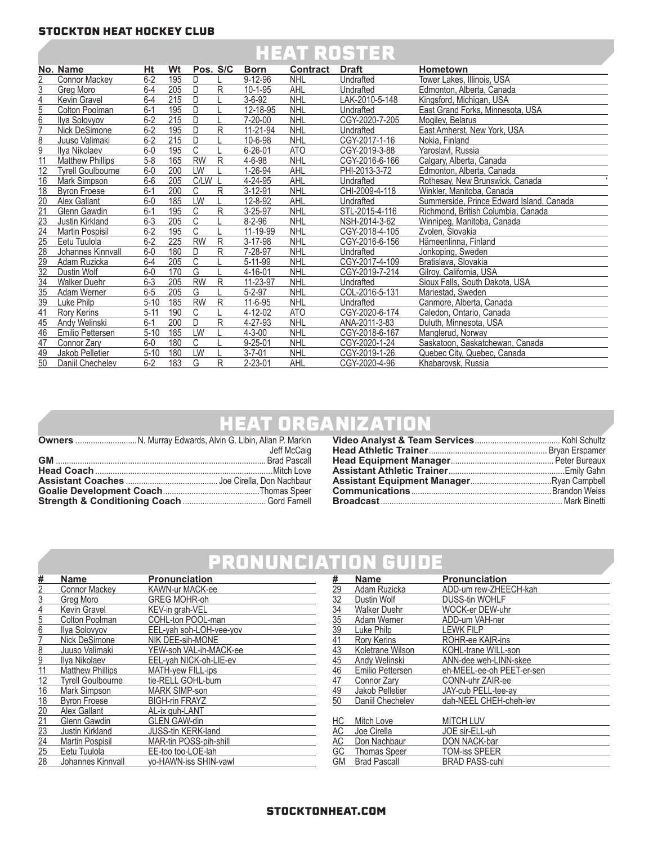|  | <b>HEAT ROSTER</b> |  |
|--|--------------------|--|
|  |                    |  |

|                 | No. Name                | Ht       | Wt  | Pos. S/C       |   | <b>Born</b>   | <b>Contract</b> | <b>Draft</b>   | <b>Hometown</b>                          |
|-----------------|-------------------------|----------|-----|----------------|---|---------------|-----------------|----------------|------------------------------------------|
| 2               | <b>Connor Mackey</b>    | $6 - 2$  | 195 | D              |   | $9 - 12 - 96$ | <b>NHL</b>      | Undrafted      | Tower Lakes, Illinois, USA               |
| 3               | Grea Moro               | $6 - 4$  | 205 | D.             | R | $10 - 1 - 95$ | AHL             | Undrafted      | Edmonton, Alberta, Canada                |
| 4               | Kevin Gravel            | $6 - 4$  | 215 | D              |   | $3 - 6 - 92$  | <b>NHL</b>      | LAK-2010-5-148 | Kingsford, Michigan, USA                 |
| 5               | Colton Poolman          | $6 - 1$  | 195 | D              |   | 12-18-95      | <b>NHL</b>      | Undrafted      | East Grand Forks, Minnesota, USA         |
| 6               | Ilya Solovyov           | $6 - 2$  | 215 | D              |   | 7-20-00       | <b>NHL</b>      | CGY-2020-7-205 | Mogiley, Belarus                         |
|                 | Nick DeSimone           | $6-2$    | 195 | $\mathsf{D}$   | R | 11-21-94      | <b>NHL</b>      | Undrafted      | East Amherst, New York, USA              |
| 8               | Juuso Valimaki          | $6-2$    | 215 | D              |   | 10-6-98       | <b>NHL</b>      | CGY-2017-1-16  | Nokia, Finland                           |
| 9               | Ilya Nikolaev           | $6-0$    | 195 | $\mathsf{C}$   |   | $6 - 26 - 01$ | <b>ATO</b>      | CGY-2019-3-88  | Yaroslavl, Russia                        |
|                 | <b>Matthew Phillips</b> | $5 - 8$  | 165 | <b>RW</b>      | R | 4-6-98        | <b>NHL</b>      | CGY-2016-6-166 | Calgary, Alberta, Canada                 |
| 12              | Tvrell Goulbourne       | $6-0$    | 200 | LW             |   | 1-26-94       | <b>AHL</b>      | PHI-2013-3-72  | Edmonton, Alberta, Canada                |
| 16              | Mark Simpson            | $6-6$    | 205 | C/LW           |   | 4-24-95       | <b>AHL</b>      | Undrafted      | Rothesav. New Brunswick. Canada          |
| 18              | <b>Byron Froese</b>     | $6 - 1$  | 200 | $\mathsf{C}$   | R | $3 - 12 - 91$ | <b>NHL</b>      | CHI-2009-4-118 | Winkler, Manitoba, Canada                |
| $\overline{20}$ | Alex Gallant            | $6-0$    | 185 | LW             |   | 12-8-92       | AHL             | Undrafted      | Summerside, Prince Edward Island, Canada |
| $\overline{21}$ | Glenn Gawdin            | $6 - 1$  | 195 | $\mathsf{C}$   | R | 3-25-97       | <b>NHL</b>      | STL-2015-4-116 | Richmond, British Columbia, Canada       |
| $\sqrt{23}$     | Justin Kirkland         | $6 - 3$  | 205 | $\mathsf{C}$   |   | $8 - 2 - 96$  | <b>NHL</b>      | NSH-2014-3-62  | Winnipeg, Manitoba, Canada               |
| $\overline{24}$ | Martin Pospisil         | $6 - 2$  | 195 | C              |   | 11-19-99      | <b>NHL</b>      | CGY-2018-4-105 | Zvolen, Slovakia                         |
| $\overline{25}$ | Eetu Tuulola            | $6 - 2$  | 225 | <b>RW</b>      | R | 3-17-98       | <b>NHL</b>      | CGY-2016-6-156 | Hämeenlinna, Finland                     |
| $\overline{28}$ | Johannes Kinnvall       | $6-0$    | 180 | D.             | R | 7-28-97       | <b>NHL</b>      | Undrafted      | Jonkopina, Sweden                        |
| 29              | Adam Ruzicka            | $6 - 4$  | 205 | C              |   | $5 - 11 - 99$ | <b>NHL</b>      | CGY-2017-4-109 | Bratislava, Slovakia                     |
| $\overline{32}$ | Dustin Wolf             | $6-0$    | 170 | $\overline{G}$ |   | 4-16-01       | <b>NHL</b>      | CGY-2019-7-214 | Gilrov. California. USA                  |
| $\overline{34}$ | <b>Walker Duehr</b>     | $6 - 3$  | 205 | <b>RW</b>      | R | 11-23-97      | <b>NHL</b>      | Undrafted      | Sioux Falls, South Dakota, USA           |
| $\overline{35}$ | Adam Werner             | $6-5$    | 205 | G              |   | $5 - 2 - 97$  | <b>NHL</b>      | COL-2016-5-131 | Mariestad, Sweden                        |
| 39              | Luke Philp              | $5 - 10$ | 185 | <b>RW</b>      | R | $11 - 6 - 95$ | <b>NHL</b>      | Undrafted      | Canmore, Alberta, Canada                 |
| 41              | Rory Kerins             | $5 - 11$ | 190 | C              |   | 4-12-02       | <b>ATO</b>      | CGY-2020-6-174 | Caledon, Ontario, Canada                 |
| 45              | Andy Welinski           | $6 - 1$  | 200 | D.             | R | 4-27-93       | <b>NHL</b>      | ANA-2011-3-83  | Duluth, Minnesota, USA                   |
| 46              | Emilio Pettersen        | $5 - 10$ | 185 | LW             |   | $4 - 3 - 00$  | <b>NHL</b>      | CGY-2018-6-167 | Manglerud, Norway                        |
| 47              | Connor Zarv             | $6-0$    | 180 | C              |   | $9 - 25 - 01$ | <b>NHL</b>      | CGY-2020-1-24  | Saskatoon, Saskatchewan, Canada          |
| 49              | Jakob Pelletier         | $5 - 10$ | 180 | LW             |   | $3 - 7 - 01$  | <b>NHL</b>      | CGY-2019-1-26  | Quebec City, Quebec, Canada              |
| $\overline{50}$ | Daniil Chechelev        | $6 - 2$  | 183 | G              | R | 2-23-01       | AHL             | CGY-2020-4-96  | Khabarovsk, Russia                       |

## HEAT ORGANIZATION

|  | Jeff McCaig |
|--|-------------|
|  |             |
|  |             |
|  |             |
|  |             |
|  |             |

## PRONUNCIATION GUIDE

| #               | <b>Name</b>              | <b>Pronunciation</b>    |
|-----------------|--------------------------|-------------------------|
| $\overline{2}$  | <b>Connor Mackey</b>     | KAWN-ur MACK-ee         |
| 3               | Greg Moro                | <b>GREG MOHR-oh</b>     |
| $\overline{4}$  | Kevin Gravel             | KEV-in grah-VEL         |
| 5               | Colton Poolman           | COHL-ton POOL-man       |
| 6               | Ilya Solovyov            | EEL-yah soh-LOH-vee-yov |
|                 | Nick DeSimone            | NIK DEE-sih-MONE        |
| 8               | Juuso Valimaki           | YEW-soh VAL-ih-MACK-ee  |
| $\overline{9}$  | Ilya Nikolaev            | EEL-yah NICK-oh-LIE-ev  |
| 11              | <b>Matthew Phillips</b>  | MATH-yew FILL-ips       |
| $\overline{12}$ | <b>Tyrell Goulbourne</b> | tie-RELL GOHL-burn      |
| $\overline{16}$ | Mark Simpson             | <b>MARK SIMP-son</b>    |
| 18              | <b>Byron Froese</b>      | <b>BIGH-rin FRAYZ</b>   |
| $\overline{20}$ | Alex Gallant             | AL-ix guh-LANT          |
| 21              | <b>Glenn Gawdin</b>      | <b>GLEN GAW-din</b>     |
| $\frac{23}{24}$ | Justin Kirkland          | JUSS-tin KERK-land      |
|                 | <b>Martin Pospisil</b>   | MAR-tin POSS-pih-shill  |
| 25              | Eetu Tuulola             | EE-too too-LOE-lah      |
| 28              | Johannes Kinnvall        | yo-HAWN-iss SHIN-vawl   |

|                                    | <b>Name</b>         | <b>Pronunciation</b>      |
|------------------------------------|---------------------|---------------------------|
|                                    | Adam Ruzicka        | ADD-um rew-ZHEECH-kah     |
|                                    | Dustin Wolf         | <b>DUSS-tin WOHLF</b>     |
|                                    | <b>Walker Duehr</b> | WOCK-er DEW-uhr           |
|                                    | Adam Werner         | ADD-um VAH-ner            |
| # 29 32 34 35 39 41 43 46 47 49 50 | Luke Philp          | <b>LEWK FILP</b>          |
|                                    | <b>Rory Kerins</b>  | ROHR-ee KAIR-ins          |
|                                    | Koletrane Wilson    | KOHL-trane WILL-son       |
|                                    | Andy Welinski       | ANN-dee weh-LINN-skee     |
|                                    | Emilio Pettersen    | eh-MEEL-ee-oh PEET-er-sen |
|                                    | Connor Zarv         | CONN-uhr ZAIR-ee          |
|                                    | Jakob Pelletier     | JAY-cub PELL-tee-av       |
|                                    | Daniil Chechelev    | dah-NEEL CHEH-cheh-lev    |
|                                    |                     |                           |
| <u>НС</u>                          | Mitch Love          | <b>MITCH LUV</b>          |
|                                    | Joe Cirella         | JOE sir-ELL-uh            |
| AC<br>AC<br>GC                     | Don Nachbaur        | DON NACK-bar              |
|                                    | <b>Thomas Speer</b> | <b>TOM-iss SPEER</b>      |
| GM                                 | <b>Brad Pascall</b> | <b>BRAD PASS-cuhl</b>     |

#### STOCKTONHEAT.COM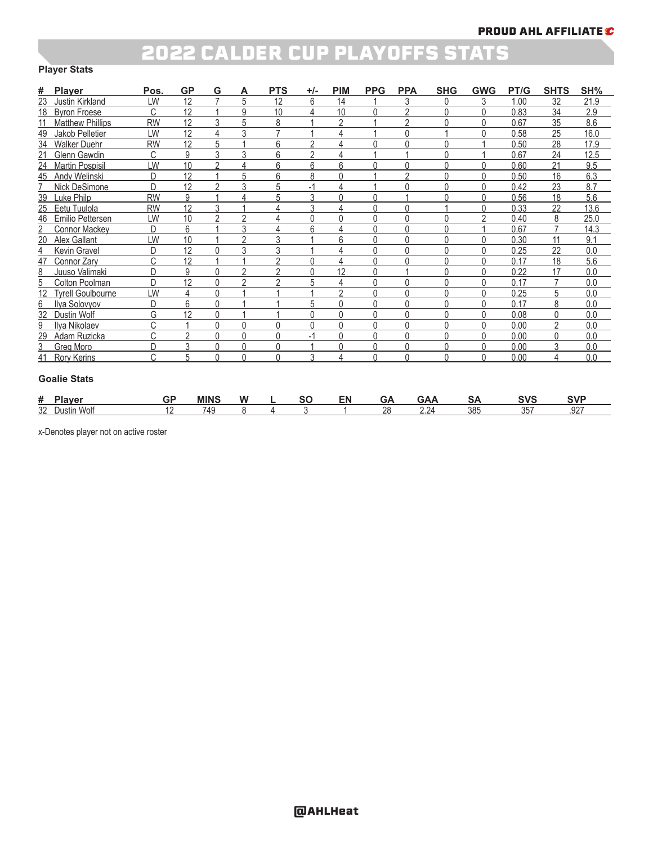### 2022 CALDER CUP PLAYOFFS STATS

#### **Player Stats**

| #  | <b>Player</b>            | Pos.      | <b>GP</b>      | G        | А              | <b>PTS</b>     | $+/-$          | <b>PIM</b>     | <b>PPG</b> | <b>PPA</b> | <b>SHG</b> | <b>GWG</b> | PT/G | <b>SHTS</b> | SH%  |
|----|--------------------------|-----------|----------------|----------|----------------|----------------|----------------|----------------|------------|------------|------------|------------|------|-------------|------|
| 23 | Justin Kirkland          | LW        | 12             |          | 5              | 12             | 6              | 14             |            |            |            |            | 1.00 | 32          | 21.9 |
| 18 | <b>Byron Froese</b>      | C         | 12             |          | 9              | 10             |                | 10             |            | C          |            |            | 0.83 | 34          | 2.9  |
|    | <b>Matthew Phillips</b>  | <b>RW</b> | 12             | 3        |                | 8              |                | $\mathfrak{p}$ |            | C          |            |            | 0.67 | 35          | 8.6  |
| 49 | Jakob Pelletier          | LW        | 12             |          | 3              |                |                |                |            | ∩          |            |            | 0.58 | 25          | 16.0 |
| 34 | <b>Walker Duehr</b>      | <b>RW</b> | 12             | 5        |                | 6              | っ              |                |            | ሰ          |            |            | 0.50 | 28          | 17.9 |
| 21 | Glenn Gawdin             | C         | 9              | 3        | 3              | 6              | $\mathfrak{D}$ |                |            |            |            |            | 0.67 | 24          | 12.5 |
| 24 | <b>Martin Pospisil</b>   | LW        | 10             | c        | 4              | 6              | 6              | 6              |            | ∩          |            |            | 0.60 | 21          | 9.5  |
| 45 | Andy Welinski            | D         | 12             |          | 5              | 6              | 8              |                |            | 2          | Ŋ          |            | 0.50 | 16          | 6.3  |
|    | Nick DeSimone            | D         | 12             | $\sim$   | 3              | 5              |                | 4              |            | Λ          |            |            | 0.42 | 23          | 8.7  |
| 39 | Luke Philp               | <b>RW</b> | 9              |          | Δ              | 5              | 3              | 0              | ⋂          |            |            |            | 0.56 | 18          | 5.6  |
| 25 | Eetu Tuulola             | <b>RW</b> | 12             | 3        |                |                | 3              |                |            | U          |            |            | 0.33 | 22          | 13.6 |
| 46 | Emilio Pettersen         | LW        | 10             | $\Omega$ | $\mathfrak{D}$ |                | $\Omega$       | 0              | U          | U          |            | ŋ          | 0.40 | 8           | 25.0 |
|    | <b>Connor Mackey</b>     | D         | 6              |          | 3              | 4              | 6              |                |            | 0          |            |            | 0.67 |             | 14.3 |
| 20 | Alex Gallant             | LW        | 10             |          | C              | 3              |                | 6              |            | 0          |            |            | 0.30 | 11          | 9.1  |
| 4  | Kevin Gravel             | D         | 12             |          | 3              | 3              |                |                | U          | 0          |            |            | 0.25 | 22          | 0.0  |
| 47 | Connor Zarv              | C         | 12             |          |                | C              | ∩              |                | U          | ∩          |            |            | 0.17 | 18          | 5.6  |
| 8  | Juuso Valimaki           | D         | 9              | 0        | 2              | $\mathfrak{p}$ | $\Omega$       | 12             | Ŋ          |            |            |            | 0.22 | 17          | 0.0  |
| 5  | Colton Poolman           | D         | 12             |          | c              | c              | 5              |                | ⋂          | ∩          |            |            | 0.17 |             | 0.0  |
|    | <b>Tyrell Goulbourne</b> | LW        | 4              |          |                |                |                | c              | Ŋ          | ሰ          |            |            | 0.25 | 5           | 0.0  |
| 6  | Ilya Solovyov            | D         | 6              |          |                |                | 5              | $\Omega$       | Ŋ          | 0          | Ŋ          |            | 0.17 | 8           | 0.0  |
| 32 | Dustin Wolf              | G         | 12             | $\Omega$ |                |                | C              | $\Omega$       | U          | Ŋ          |            |            | 0.08 | $\Omega$    | 0.0  |
| 9  | Ilva Nikolaev            | C         |                | 0        | 0              | $\Omega$       | ∩              | 0              | U          | U          | U          |            | 0.00 | C           | 0.0  |
| 29 | Adam Ruzicka             | C         | $\mathfrak{p}$ | 0        | 0              | $\Omega$       | $-1$           | 0              | Ŋ          | 0          | Ŋ          |            | 0.00 | $\Omega$    | 0.0  |
| 3  | <b>Greg Moro</b>         | D         | 3              | 0        | 0              | $\Omega$       |                | $\Omega$       | Ŋ          | 0          | U          |            | 0.00 | 3           | 0.0  |
| 41 | <b>Rory Kerins</b>       | C         | 5              | 0        | 0              | 0              | 3              | 4              | Ŋ          | 0          | Ŋ          |            | 0.00 | 4           | 0.0  |

#### **Goalie Stats**

| #  | -<br>lavor<br>. <del>. .</del> | GF  | <b>MINS</b> | . .<br>w | - -<br>. . | cΜ | --        | v                                 | . ב | SVS               | <b>SVF</b> |
|----|--------------------------------|-----|-------------|----------|------------|----|-----------|-----------------------------------|-----|-------------------|------------|
| 32 | 5.8.5<br>Wolf<br>)ustir        | . . | 749<br>᠇    |          |            |    | o<br>- LV | 2 <sub>0</sub><br>$\sim$ . $\sim$ | 385 | $\sim$ $-$<br>ັບປ | 027<br>ے   |

x-Denotes player not on active roster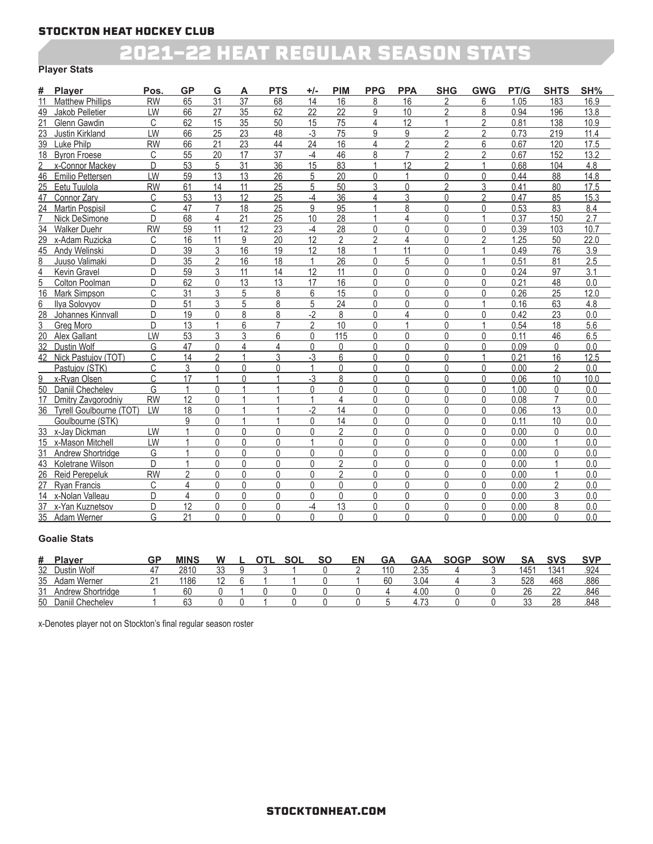### 2021-22 HEAT REGULAR SEASON STATS

#### **Player Stats**

| #               | <b>Plaver</b>           | Pos       | <b>GP</b>       | G              | А               | <b>PTS</b>      | +/-             | <b>PIM</b>      | <b>PPG</b>     | <b>PPA</b>      | <b>SHG</b>     | <b>GWG</b>     | PT/G | <b>SHTS</b>    | SH%  |
|-----------------|-------------------------|-----------|-----------------|----------------|-----------------|-----------------|-----------------|-----------------|----------------|-----------------|----------------|----------------|------|----------------|------|
| 11              | <b>Matthew Phillips</b> | <b>RW</b> | 65              | 31             | 37              | 68              | 14              | 16              | 8              | 16              | $\overline{2}$ | 6              | 1.05 | 183            | 16.9 |
| 49              | Jakob Pelletier         | LW        | 66              | 27             | 35              | 62              | 22              | 22              | 9              | 10              | $\overline{2}$ | 8              | 0.94 | 196            | 13.8 |
| 21              | Glenn Gawdin            | C         | 62              | 15             | 35              | 50              | 15              | 75              | 4              | 12              | $\mathbf{1}$   | 2              | 0.81 | 138            | 10.9 |
| 23              | Justin Kirkland         | LW        | 66              | 25             | 23              | 48              | $-3$            | 75              | 9              | 9               | $\overline{2}$ | 2              | 0.73 | 219            | 11.4 |
| 39              | Luke Philp              | <b>RW</b> | 66              | 21             | 23              | 44              | 24              | 16              | 4              | 2               | $\overline{2}$ | 6              | 0.67 | 120            | 17.5 |
| 18              | <b>Byron Froese</b>     | C         | 55              | 20             | 17              | $\overline{37}$ | -4              | 46              | 8              | 7               | $\mathfrak{p}$ | $\mathfrak{p}$ | 0.67 | 152            | 13.2 |
| 2               | x-Connor Mackey         | D         | 53              | 5              | $\overline{31}$ | $\overline{36}$ | $\overline{15}$ | 83              |                | $\overline{12}$ | $\overline{2}$ |                | 0.68 | 104            | 4.8  |
| 46              | Emilio Pettersen        | LW        | 59              | 13             | 13              | 26              | 5               | 20              | $\Omega$       | 1               | 0              | 0              | 0.44 | 88             | 14.8 |
| 25              | Eetu Tuulola            | <b>RW</b> | 61              | 14             | 11              | 25              | 5               | 50              | 3              | 0               | $\overline{2}$ | 3              | 0.41 | 80             | 17.5 |
| 47              | Connor Zarv             | C         | 53              | 13             | 12              | 25              | -4              | 36              | 4              | 3               | $\Omega$       | $\overline{2}$ | 0.47 | 85             | 15.3 |
| 24              | <b>Martin Pospisil</b>  | C         | 47              | 7              | 18              | 25              | 9               | 95              |                | 8               | $\Omega$       | 0              | 0.53 | 83             | 8.4  |
| 7               | Nick DeSimone           | D         | 68              | 4              | 21              | 25              | 10              | 28              |                | 4               | 0              |                | 0.37 | 150            | 2.7  |
| 34              | <b>Walker Duehr</b>     | <b>RW</b> | 59              | 11             | 12              | 23              | -4              | 28              | $\Omega$       | 0               | 0              | $\Omega$       | 0.39 | 103            | 10.7 |
|                 | 29 x-Adam Ruzicka       | C         | 16              | 11             | 9               | 20              | 12              | $\overline{2}$  | $\mathfrak{p}$ | 4               | 0              | $\overline{2}$ | 1.25 | 50             | 22.0 |
|                 | 45 Andy Welinski        | D         | 39              | 3              | 16              | 19              | 12              | 18              |                | 11              | $\Omega$       |                | 0.49 | 76             | 3.9  |
| 8               | Juuso Valimaki          | D         | 35              | $\overline{2}$ | 16              | 18              |                 | 26              | $\Omega$       | 5               | $\Omega$       |                | 0.51 | 81             | 2.5  |
| $\overline{4}$  | Kevin Gravel            | D         | 59              | 3              | 11              | 14              | 12              | 11              | $\Omega$       | 0               | $\Omega$       | 0              | 0.24 | 97             | 3.1  |
| 5               | Colton Poolman          | D         | 62              | <sup>0</sup>   | 13              | $\overline{13}$ | 17              | 16              | $\Omega$       | 0               | $\Omega$       | $\Omega$       | 0.21 | 48             | 0.0  |
| 16              | <b>Mark Simpson</b>     | C         | 31              | 3              | 5               | 8               | 6               | 15              | $\Omega$       | 0               | 0              | $\Omega$       | 0.26 | 25             | 12.0 |
| 6               | Ilva Solovyov           | D         | 51              | 3              | 5               | 8               | 5               | 24              | 0              | 0               | $\Omega$       |                | 0.16 | 63             | 4.8  |
| $\overline{28}$ | Johannes Kinnvall       | D         | 19              | U              | 8               | 8               | $-2$            | 8               | $\Omega$       | 4               | $\Omega$       | $\Omega$       | 0.42 | 23             | 0.0  |
| 3               | Grea Moro               | D         | 13              |                | 6               | $\overline{7}$  | $\mathfrak{p}$  | 10              | $\Omega$       |                 | $\Omega$       |                | 0.54 | 18             | 5.6  |
| 20              | Alex Gallant            | LW        | 53              | 3              | 3               | 6               | $\mathbf{0}$    | 115             | 0              | 0               | 0              | $\Omega$       | 0.11 | 46             | 6.5  |
| 32              | Dustin Wolf             | G         | 47              | $\Omega$       | 4               | 4               | $\Omega$        | $\mathbf{0}$    | $\Omega$       | 0               | $\mathbf{0}$   | $\Omega$       | 0.09 | 0              | 0.0  |
| 42              | Nick Pastujov (TOT)     | C         | 14              | $\mathfrak{p}$ |                 | 3               | $-3$            | 6               | 0              | 0               | 0              |                | 0.21 | 16             | 12.5 |
|                 | Pastujov (STK)          | C         | 3               | 0              | 0               | $\Omega$        |                 | $\Omega$        | $\Omega$       | 0               | $\Omega$       | $\Omega$       | 0.00 | 2              | 0.0  |
| 9               | x-Rvan Olsen            | C         | 17              |                | <sup>0</sup>    |                 | -3              | 8               | $\Omega$       | 0               | 0              | $\Omega$       | 0.06 | 10             | 10.0 |
| 50              | Daniil Chechelev        | G         | $\mathbf{1}$    | $\Omega$       |                 |                 | $\Omega$        | $\Omega$        | $\Omega$       | 0               | $\Omega$       | $\Omega$       | 1.00 | $\Omega$       | 0.0  |
| 17              | Dmitry Zavgorodniy      | <b>RW</b> | 12              | $\Omega$       |                 |                 |                 | 4               | $\Omega$       | 0               | 0              | $\Omega$       | 0.08 | $\overline{7}$ | 0.0  |
| 36              | Tyrell Goulbourne (TOT) | LW        | 18              | $\Omega$       |                 |                 | $-2$            | 14              | $\Omega$       | 0               | 0              | $\Omega$       | 0.06 | 13             | 0.0  |
|                 | Goulbourne (STK)        |           | 9               | 0              |                 |                 | $\Omega$        | 14              | $\Omega$       | 0               | $\Omega$       | 0              | 0.11 | 10             | 0.0  |
|                 | 33 x-Jay Dickman        | LW        |                 | 0              | 0               | $\Omega$        | $\Omega$        | $\overline{2}$  | $\Omega$       | 0               | $\Omega$       | $\Omega$       | 0.00 | 0              | 0.0  |
|                 | 15 x-Mason Mitchell     | LW        |                 | 0              | 0               | $\Omega$        |                 | $\Omega$        | 0              | 0               | $\Omega$       | $\Omega$       | 0.00 |                | 0.0  |
| 31              | Andrew Shortridge       | G         |                 | $\Omega$       | $\Omega$        | $\Omega$        | $\Omega$        | $\Omega$        | $\Omega$       | 0               | 0              | $\Omega$       | 0.00 | $\Omega$       | 0.0  |
| 43              | Koletrane Wilson        | D.        | $\overline{1}$  | $\Omega$       | $\Omega$        | $\Omega$        | $\Omega$        | $\overline{2}$  | 0              | $\Omega$        | 0              | $\Omega$       | 0.00 | $\overline{1}$ | 0.0  |
| 26              | <b>Reid Perepeluk</b>   | <b>RW</b> | $\overline{2}$  | $\Omega$       | $\Omega$        | $\Omega$        | $\Omega$        | $\overline{2}$  | 0              | 0               | 0              | $\Omega$       | 0.00 |                | 0.0  |
| 27              | <b>Rvan Francis</b>     | C         | 4               | 0              | 0               | $\Omega$        | $\Omega$        | $\Omega$        | 0              | 0               | $\Omega$       | $\Omega$       | 0.00 | $\mathfrak{p}$ | 0.0  |
| 14              | x-Nolan Valleau         | D         | 4               | 0              | 0               | $\Omega$        | $\Omega$        | $\Omega$        | $\Omega$       | 0               | 0              | 0              | 0.00 | 3              | 0.0  |
|                 | 37 x-Yan Kuznetsov      | D         | $\overline{12}$ | $\Omega$       | 0               | $\Omega$        | $-4$            | $\overline{13}$ | $\Omega$       | 0               | 0              | 0              | 0.00 | 8              | 0.0  |
|                 | 35 Adam Werner          | G         | 21              | 0              | 0               | $\Omega$        | $\Omega$        | $\Omega$        | 0              | 0               | $\Omega$       | 0              | 0.00 | 0              | 0.0  |

#### **Goalie Stats**

| #  | <b>Plaver</b>                    | GP | <b>MINS</b> | W            |  | <b>SOL</b> | SO | EN | GΑ  | GAA         | <b>SOGP</b> | <b>SOW</b> | <b>SA</b>        | SVS  | <b>SVP</b> |
|----|----------------------------------|----|-------------|--------------|--|------------|----|----|-----|-------------|-------------|------------|------------------|------|------------|
| 32 | Dustin Wolf                      |    | 2810        | $\sim$<br>ບບ |  |            |    |    | 110 | つつに<br>ے ک  |             |            | 145 <sup>4</sup> | 1341 | .924       |
| 35 | Adam Werner                      |    | 1186        |              |  |            |    |    | 6C  | 3.04        |             |            | 528              | 468  | .886       |
| 31 | Andrew Shortridge                |    | 60          |              |  |            |    |    |     | 4.00        |             |            | 26               | nn   | .846       |
| 50 | Chechelev<br>Janıll <sup>'</sup> |    | ۵Q<br>υJ    |              |  |            |    |    |     | $4.7^\circ$ |             |            | nn.              | 28   | .848       |

x-Denotes player not on Stockton's final regular season roster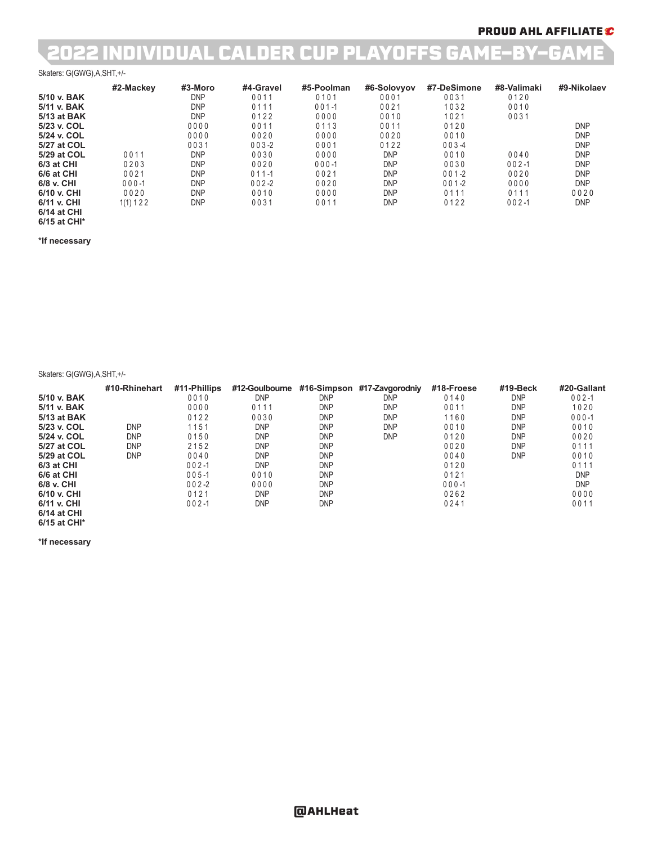### PROUD AHL AFFILIATE C

## 2022 INDIVIDUAL CALDER CUP PLAYOFFS GAME-BY-GAME

#### Skaters: G(GWG),A,SHT,+/-

|                            | #2-Mackey  | #3-Moro    | #4-Gravel | #5-Poolman | #6-Solovyov | #7-DeSimone | #8-Valimaki | #9-Nikolaev |
|----------------------------|------------|------------|-----------|------------|-------------|-------------|-------------|-------------|
| 5/10 v. BAK                |            | <b>DNP</b> | 0011      | 0101       | 0001        | 0031        | 0120        |             |
| 5/11 v. BAK                |            | <b>DNP</b> | 0111      | $001 - 1$  | 0021        | 1032        | 0010        |             |
| 5/13 at BAK                |            | <b>DNP</b> | 0122      | 0000       | 0010        | 1021        | 0031        |             |
| 5/23 v. COL                |            | 0000       | 0011      | 0113       | 0011        | 0120        |             | <b>DNP</b>  |
| 5/24 v. COL                |            | 0000       | 0020      | 0000       | 0020        | 0010        |             | <b>DNP</b>  |
| 5/27 at COL                |            | 0031       | $003 - 2$ | 0001       | 0122        | $003 - 4$   |             | <b>DNP</b>  |
| 5/29 at COL                | 0011       | <b>DNP</b> | 0030      | 0000       | <b>DNP</b>  | 0010        | 0040        | <b>DNP</b>  |
| 6/3 at CHI                 | 0203       | <b>DNP</b> | 0020      | $000 - 1$  | <b>DNP</b>  | 0030        | $002 - 1$   | <b>DNP</b>  |
| 6/6 at CHI                 | 0021       | <b>DNP</b> | $011 - 1$ | 0021       | <b>DNP</b>  | $001 - 2$   | 0020        | <b>DNP</b>  |
| 6/8 v. CHI                 | $000 - 1$  | <b>DNP</b> | $002 - 2$ | 0020       | <b>DNP</b>  | $001 - 2$   | 0000        | <b>DNP</b>  |
| 6/10 v. CHI                | 0020       | <b>DNP</b> | 0010      | 0000       | <b>DNP</b>  | 0111        | 0111        | 0020        |
| 6/11 v. CHI<br>6/14 at CHI | 1(1) 1 2 2 | <b>DNP</b> | 0031      | 0011       | <b>DNP</b>  | 0122        | $002 - 1$   | <b>DNP</b>  |

### **6/15 at CHI\* \*If necessary**

Skaters: G(GWG),A,SHT,+/-

|               | #10-Rhinehart | #11-Phillips | #12-Goulbourne | #16-Simpson | #17-Zavgorodniy | #18-Froese | #19-Beck   | #20-Gallant |
|---------------|---------------|--------------|----------------|-------------|-----------------|------------|------------|-------------|
| 5/10 v. BAK   |               | 0010         | <b>DNP</b>     | <b>DNP</b>  | <b>DNP</b>      | 0140       | <b>DNP</b> | $002 - 1$   |
| 5/11 v. BAK   |               | 0000         | 0111           | <b>DNP</b>  | <b>DNP</b>      | 0011       | <b>DNP</b> | 1020        |
| 5/13 at BAK   |               | 0122         | 0030           | <b>DNP</b>  | <b>DNP</b>      | 1160       | <b>DNP</b> | $000 - 1$   |
| 5/23 v. COL   | <b>DNP</b>    | 1151         | <b>DNP</b>     | <b>DNP</b>  | <b>DNP</b>      | 0010       | <b>DNP</b> | 0010        |
| 5/24 v. COL   | <b>DNP</b>    | 0150         | <b>DNP</b>     | <b>DNP</b>  | <b>DNP</b>      | 0120       | <b>DNP</b> | 0020        |
| 5/27 at COL   | DNP           | 2152         | <b>DNP</b>     | <b>DNP</b>  |                 | 0020       | <b>DNP</b> | 0111        |
| 5/29 at COL   | <b>DNP</b>    | 0040         | <b>DNP</b>     | <b>DNP</b>  |                 | 0040       | <b>DNP</b> | 0010        |
| 6/3 at CHI    |               | $002 - 1$    | <b>DNP</b>     | <b>DNP</b>  |                 | 0120       |            | 0111        |
| 6/6 at CHI    |               | $005 - 1$    | 0010           | <b>DNP</b>  |                 | 0121       |            | <b>DNP</b>  |
| 6/8 v. CHI    |               | $002 - 2$    | 0000           | <b>DNP</b>  |                 | $000 - 1$  |            | <b>DNP</b>  |
| 6/10 v. CHI   |               | 0121         | <b>DNP</b>     | <b>DNP</b>  |                 | 0262       |            | 0000        |
| 6/11 v. CHI   |               | $002 - 1$    | <b>DNP</b>     | <b>DNP</b>  |                 | 0241       |            | 0011        |
| $CIAA - CIII$ |               |              |                |             |                 |            |            |             |

**6/14 at CHI 6/15 at CHI\***

**\*If necessary**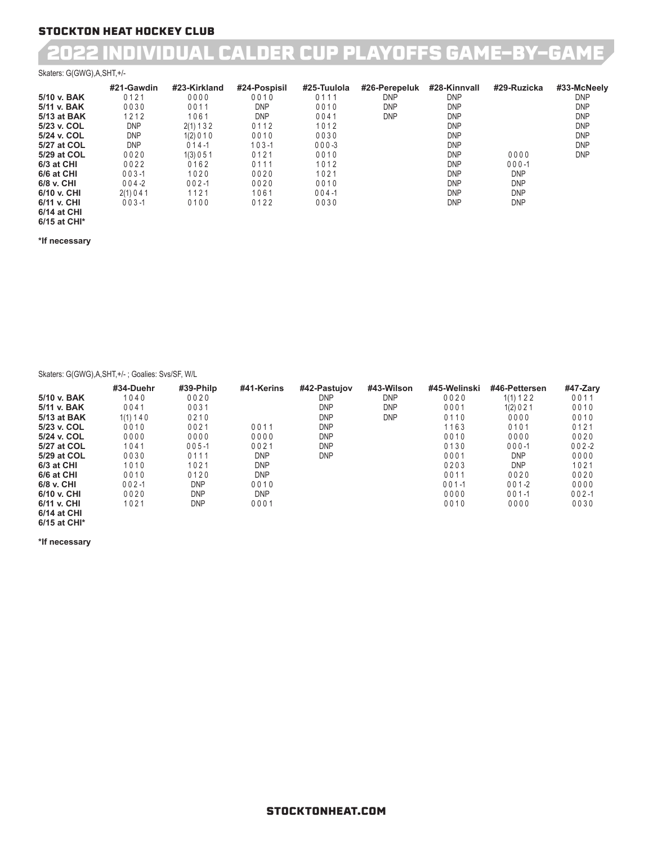## 2022 INDIVIDUAL CALDER CUP PLAYOFFS GAME-BY-GAME

#### Skaters: G(GWG),A,SHT,+/-

|             | #21-Gawdin | #23-Kirkland | #24-Pospisil | #25-Tuulola | #26-Perepeluk | #28-Kinnvall | #29-Ruzicka | #33-McNeely |
|-------------|------------|--------------|--------------|-------------|---------------|--------------|-------------|-------------|
| 5/10 v. BAK | 0121       | 0000         | 0010         | 0111        | <b>DNP</b>    | <b>DNP</b>   |             | <b>DNP</b>  |
| 5/11 v. BAK | 0030       | 0011         | <b>DNP</b>   | 0010        | <b>DNP</b>    | <b>DNP</b>   |             | <b>DNP</b>  |
| 5/13 at BAK | 1212       | 1061         | <b>DNP</b>   | 0041        | <b>DNP</b>    | <b>DNP</b>   |             | <b>DNP</b>  |
| 5/23 v. COL | <b>DNP</b> | 2(1) 1 3 2   | 0112         | 1012        |               | <b>DNP</b>   |             | <b>DNP</b>  |
| 5/24 v. COL | <b>DNP</b> | 1(2) 0 1 0   | 0010         | 0030        |               | <b>DNP</b>   |             | <b>DNP</b>  |
| 5/27 at COL | <b>DNP</b> | $014 - 1$    | $103 - 1$    | $000 - 3$   |               | <b>DNP</b>   |             | <b>DNP</b>  |
| 5/29 at COL | 0020       | 1(3) 0 5 1   | 0121         | 0010        |               | <b>DNP</b>   | 0000        | <b>DNP</b>  |
| 6/3 at CHI  | 0022       | 0162         | 0111         | 1012        |               | <b>DNP</b>   | $000 - 1$   |             |
| 6/6 at CHI  | $003 - 1$  | 1020         | 0020         | 1021        |               | <b>DNP</b>   | <b>DNP</b>  |             |
| 6/8 v. CHI  | $004 - 2$  | $002 - 1$    | 0020         | 0010        |               | <b>DNP</b>   | <b>DNP</b>  |             |
| 6/10 v. CHI | 2(1) 0 4 1 | 1121         | 1061         | $004 - 1$   |               | <b>DNP</b>   | <b>DNP</b>  |             |
| 6/11 v. CHI | $003 - 1$  | 0100         | 0122         | 0030        |               | <b>DNP</b>   | <b>DNP</b>  |             |
| 6/14 at CHI |            |              |              |             |               |              |             |             |

### **6/15 at CHI\* \*If necessary**

Skaters: G(GWG),A,SHT,+/- ; Goalies: Svs/SF, W/L

|                    | #34-Duehr  | #39-Philp  | #41-Kerins | #42-Pastujov | #43-Wilson | #45-Welinski | #46-Pettersen | #47-Zary  |
|--------------------|------------|------------|------------|--------------|------------|--------------|---------------|-----------|
| 5/10 v. BAK        | 1040       | 0020       |            | <b>DNP</b>   | <b>DNP</b> | 0020         | 1(1) 1 2 2    | 0011      |
| 5/11 v. BAK        | 0041       | 0031       |            | <b>DNP</b>   | <b>DNP</b> | 0001         | 1(2) 0 2 1    | 0010      |
| 5/13 at BAK        | 1(1) 1 4 0 | 0210       |            | <b>DNP</b>   | <b>DNP</b> | 0110         | 0000          | 0010      |
| 5/23 v. COL        | 0010       | 0021       | 0011       | <b>DNP</b>   |            | 1163         | 0101          | 0121      |
| 5/24 v. COL        | 0000       | 0000       | 0000       | <b>DNP</b>   |            | 0010         | 0000          | 0020      |
| 5/27 at COL        | 1041       | $005 - 1$  | 0021       | <b>DNP</b>   |            | 0130         | $000 - 1$     | $002 - 2$ |
| 5/29 at COL        | 0030       | 0111       | <b>DNP</b> | <b>DNP</b>   |            | 0001         | <b>DNP</b>    | 0000      |
| 6/3 at CHI         | 1010       | 1021       | <b>DNP</b> |              |            | 0203         | <b>DNP</b>    | 1021      |
| 6/6 at CHI         | 0010       | 0120       | <b>DNP</b> |              |            | 0011         | 0020          | 0020      |
| 6/8 v. CHI         | $002 - 1$  | <b>DNP</b> | 0010       |              |            | $001 - 1$    | $001 - 2$     | 0000      |
| 6/10 v. CHI        | 0020       | <b>DNP</b> | <b>DNP</b> |              |            | 0000         | $001 - 1$     | $002 - 1$ |
| 6/11 v. CHI        | 1021       | <b>DNP</b> | 0001       |              |            | 0010         | 0000          | 0030      |
| $0.44 \times 0.11$ |            |            |            |              |            |              |               |           |

**6/14 at CHI 6/15 at CHI\***

**\*If necessary**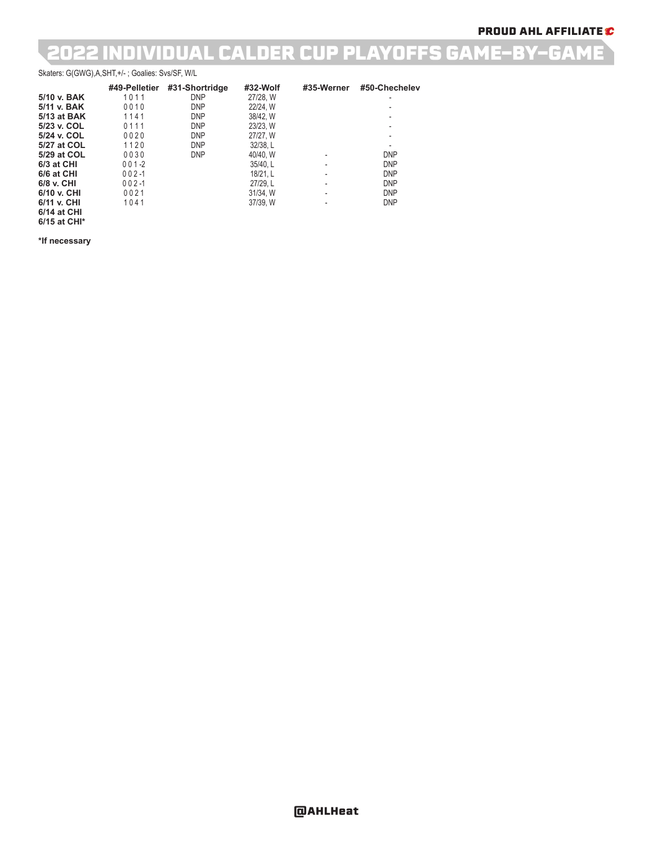## 2022 INDIVIDUAL CALDER CUP PLAYOFFS GAME-BY-GAME

#### Skaters: G(GWG),A,SHT,+/- ; Goalies: Svs/SF, W/L

|             | #49-Pelletier | #31-Shortridge | #32-Wolf | #35-Werner               | #50-Chechelev |
|-------------|---------------|----------------|----------|--------------------------|---------------|
| 5/10 v. BAK | 1011          | <b>DNP</b>     | 27/28, W |                          |               |
| 5/11 v. BAK | 0010          | <b>DNP</b>     | 22/24, W |                          |               |
| 5/13 at BAK | 1141          | <b>DNP</b>     | 38/42. W |                          |               |
| 5/23 v. COL | 0111          | <b>DNP</b>     | 23/23. W |                          |               |
| 5/24 v. COL | 0020          | <b>DNP</b>     | 27/27, W |                          |               |
| 5/27 at COL | 1120          | <b>DNP</b>     | 32/38. L |                          |               |
| 5/29 at COL | 0030          | <b>DNP</b>     | 40/40. W |                          | <b>DNP</b>    |
| 6/3 at CHI  | $001 - 2$     |                | 35/40.L  |                          | <b>DNP</b>    |
| 6/6 at CHI  | $002 - 1$     |                | 18/21. L |                          | <b>DNP</b>    |
| 6/8 v. CHI  | $002 - 1$     |                | 27/29. L | $\overline{\phantom{a}}$ | <b>DNP</b>    |
| 6/10 v. CHI | 0021          |                | 31/34, W |                          | <b>DNP</b>    |
| 6/11 v. CHI | 1041          |                | 37/39, W |                          | <b>DNP</b>    |
| 6/14 at CHI |               |                |          |                          |               |

**6/15 at CHI\* \*If necessary**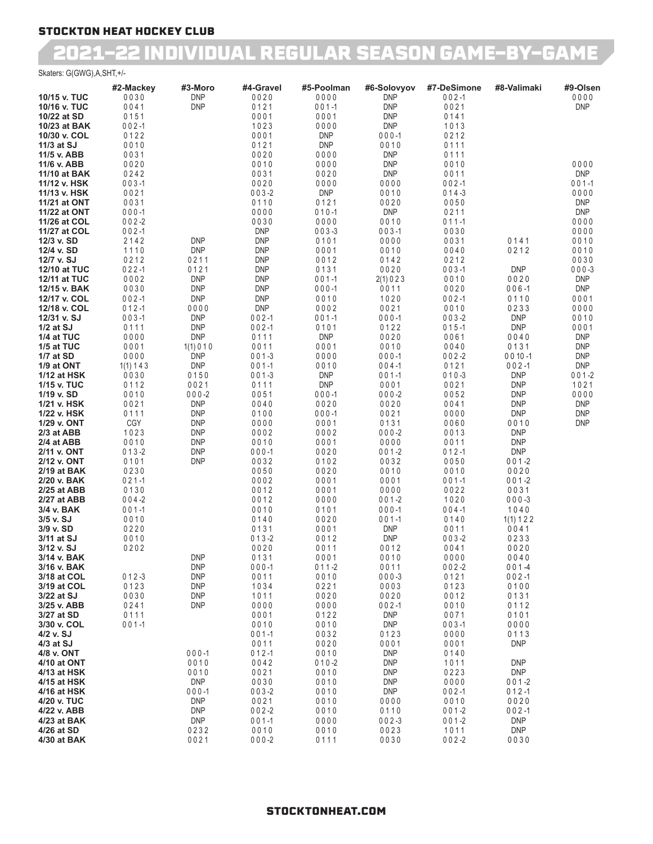### 2021-22 INDIVIDUAL REGULAR SEASON GAME-BY-GAME

Skaters: G(GWG),A,SHT,+/-

|                              | #2-Mackey         | #3-Moro                  | #4-Gravel                | #5-Poolman         | #6-Solovyov              | #7-DeSimone          | #8-Valimaki              | #9-Olsen           |
|------------------------------|-------------------|--------------------------|--------------------------|--------------------|--------------------------|----------------------|--------------------------|--------------------|
| 10/15 v. TUC                 | 0030              | <b>DNP</b><br><b>DNP</b> | 0020                     | 0000               | <b>DNP</b>               | $002 - 1$            |                          | 0000               |
| 10/16 v. TUC<br>10/22 at SD  | 0041<br>0151      |                          | 0121<br>0001             | $001 - 1$<br>0001  | <b>DNP</b><br><b>DNP</b> | 0021<br>0141         |                          | <b>DNP</b>         |
| 10/23 at BAK                 | $002 - 1$         |                          | 1023                     | 0000               | <b>DNP</b>               | 1013                 |                          |                    |
| 10/30 v. COL                 | 0122              |                          | 0001                     | <b>DNP</b>         | $000 - 1$                | 0212                 |                          |                    |
| 11/3 at SJ                   | 0010              |                          | 0121                     | <b>DNP</b>         | 0010                     | 0111                 |                          |                    |
| 11/5 v. ABB                  | 0031              |                          | 0020                     | 0000               | <b>DNP</b>               | 0111                 |                          |                    |
| 11/6 v. ABB                  | 0020              |                          | 0010                     | 0000               | <b>DNP</b>               | 0010                 |                          | 0000               |
| 11/10 at BAK                 | 0242              |                          | 0031                     | 0020               | <b>DNP</b>               | 0011                 |                          | <b>DNP</b>         |
| 11/12 v. HSK<br>11/13 v. HSK | $003 - 1$<br>0021 |                          | 0020<br>$003 - 2$        | 0000<br><b>DNP</b> | 0000<br>0010             | $002 - 1$<br>$014-3$ |                          | $001 - 1$<br>0000  |
| 11/21 at ONT                 | 0031              |                          | 0110                     | 0121               | 0020                     | 0050                 |                          | <b>DNP</b>         |
| 11/22 at ONT                 | $000 - 1$         |                          | 0000                     | $010 - 1$          | <b>DNP</b>               | 0211                 |                          | <b>DNP</b>         |
| 11/26 at COL                 | $002 - 2$         |                          | 0030                     | 0000               | 0010                     | $011 - 1$            |                          | 0000               |
| 11/27 at COL                 | $002 - 1$         |                          | <b>DNP</b>               | $003 - 3$          | $003 - 1$                | 0030                 |                          | 0000               |
| 12/3 v. SD                   | 2142              | <b>DNP</b>               | <b>DNP</b>               | 0101               | 0000                     | 0031                 | 0141                     | 0010               |
| 12/4 v. SD                   | 1110<br>0212      | <b>DNP</b><br>0211       | <b>DNP</b>               | 0001               | 0010                     | 0040<br>0212         | 0212                     | 0010<br>0030       |
| 12/7 v. SJ<br>12/10 at TUC   | $022 - 1$         | 0121                     | <b>DNP</b><br><b>DNP</b> | 0012<br>0131       | 0142<br>0020             | $003 - 1$            | <b>DNP</b>               | $000 - 3$          |
| 12/11 at TUC                 | 0002              | <b>DNP</b>               | <b>DNP</b>               | $001 - 1$          | 2(1) 0 2 3               | 0010                 | 0020                     | <b>DNP</b>         |
| 12/15 v. BAK                 | 0030              | <b>DNP</b>               | <b>DNP</b>               | $000 - 1$          | 0011                     | 0020                 | $006 - 1$                | <b>DNP</b>         |
| 12/17 v. COL                 | $002 - 1$         | <b>DNP</b>               | <b>DNP</b>               | 0010               | 1020                     | $002 - 1$            | 0110                     | 0001               |
| 12/18 v. COL                 | $012 - 1$         | 0000                     | <b>DNP</b>               | 0002               | 0021                     | 0010                 | 0233                     | 0000               |
| 12/31 v. SJ                  | $003 - 1$         | <b>DNP</b>               | $002 - 1$                | $001 - 1$          | $000 - 1$                | $003 - 2$            | <b>DNP</b>               | 0010               |
| $1/2$ at SJ<br>1/4 at TUC    | 0111<br>0000      | <b>DNP</b><br><b>DNP</b> | $002 - 1$<br>0111        | 0101<br><b>DNP</b> | 0122<br>0020             | $015 - 1$<br>0061    | <b>DNP</b><br>0040       | 0001<br><b>DNP</b> |
| 1/5 at TUC                   | 0001              | 1(1) 0 1 0               | 0011                     | 0001               | 0010                     | 0040                 | 0131                     | <b>DNP</b>         |
| 1/7 at SD                    | 0000              | <b>DNP</b>               | $001-3$                  | 0000               | $000 - 1$                | $002 - 2$            | $0010 - 1$               | <b>DNP</b>         |
| 1/9 at ONT                   | 1(1) 1 4 3        | <b>DNP</b>               | $001 - 1$                | 0010               | $004 - 1$                | 0121                 | $002 - 1$                | <b>DNP</b>         |
| 1/12 at HSK                  | 0030              | 0150                     | $001 - 3$                | <b>DNP</b>         | $001 - 1$                | $010-3$              | <b>DNP</b>               | $001 - 2$          |
| 1/15 v. TUC                  | 0112              | 0021                     | 0111                     | <b>DNP</b>         | 0001                     | 0021                 | <b>DNP</b>               | 1021               |
| 1/19 v. SD                   | 0010              | $000 - 2$<br><b>DNP</b>  | 0051<br>0040             | $000 - 1$<br>0020  | $000 - 2$                | 0052<br>0041         | <b>DNP</b><br><b>DNP</b> | 0000<br><b>DNP</b> |
| 1/21 v. HSK<br>1/22 v. HSK   | 0021<br>0111      | <b>DNP</b>               | 0100                     | $000 - 1$          | 0020<br>0021             | 0000                 | <b>DNP</b>               | <b>DNP</b>         |
| 1/29 v. ONT                  | CGY               | <b>DNP</b>               | 0000                     | 0001               | 0131                     | 0060                 | 0010                     | <b>DNP</b>         |
| 2/3 at ABB                   | 1023              | <b>DNP</b>               | 0002                     | 0002               | $000 - 2$                | 0013                 | <b>DNP</b>               |                    |
| 2/4 at ABB                   | 0010              | <b>DNP</b>               | 0010                     | 0001               | 0000                     | 0011                 | <b>DNP</b>               |                    |
| 2/11 v. ONT                  | $013 - 2$         | <b>DNP</b>               | $000 - 1$                | 0020               | $001 - 2$                | $012 - 1$            | <b>DNP</b>               |                    |
| 2/12 v. ONT<br>2/19 at BAK   | 0101<br>0230      | <b>DNP</b>               | 0032<br>0050             | 0102<br>0020       | 0032<br>0010             | 0050<br>0010         | $001 - 2$<br>0020        |                    |
| 2/20 v. BAK                  | $021 - 1$         |                          | 0002                     | 0001               | 0001                     | $001 - 1$            | $001 - 2$                |                    |
| 2/25 at ABB                  | 0130              |                          | 0012                     | 0001               | 0000                     | 0022                 | 0031                     |                    |
| 2/27 at ABB                  | $004 - 2$         |                          | 0012                     | 0000               | $001 - 2$                | 1020                 | $000 - 3$                |                    |
| 3/4 v. BAK                   | $001 - 1$         |                          | 0010                     | 0101               | $000 - 1$                | $004 - 1$            | 1040                     |                    |
| 3/5 v. SJ                    | 0010              |                          | 0140                     | 0020               | $001 - 1$                | 0140                 | 1(1) 1 2 2               |                    |
| 3/9 v. SD                    | 0220              |                          | 0131                     | 0001               | <b>DNP</b>               | 0011                 | 0041                     |                    |
| 3/11 at SJ<br>3/12 v. SJ     | 0010<br>0202      |                          | $013 - 2$<br>0020        | 0012<br>0011       | <b>DNP</b><br>0012       | $003 - 2$<br>0041    | 0233<br>0020             |                    |
| 3/14 v. BAK                  |                   | <b>DNP</b>               | 0131                     | 0001               | 0010                     | 0000                 | 0040                     |                    |
| 3/16 v. BAK                  |                   | <b>DNP</b>               | $000 - 1$                | $011 - 2$          | 0011                     | $002 - 2$            | $001 - 4$                |                    |
| 3/18 at COL                  | $012 - 3$         | <b>DNP</b>               | 0011                     | 0010               | $000 - 3$                | 0121                 | $002 - 1$                |                    |
| 3/19 at COL                  | 0123              | <b>DNP</b>               | 1034                     | 0221               | 0003                     | 0123                 | 0100                     |                    |
| 3/22 at SJ<br>3/25 v. ABB    | 0030<br>0241      | <b>DNP</b><br><b>DNP</b> | 1011<br>0000             | 0020<br>0000       | 0020<br>$002 - 1$        | 0012<br>0010         | 0131<br>0112             |                    |
| 3/27 at SD                   | 0111              |                          | 0001                     | 0122               | DNP                      | 0071                 | 0101                     |                    |
| 3/30 v. COL                  | $001 - 1$         |                          | 0010                     | 0010               | DNP                      | $003 - 1$            | 0000                     |                    |
| 4/2 v. SJ                    |                   |                          | $001 - 1$                | 0032               | 0123                     | 0000                 | 0113                     |                    |
| 4/3 at SJ                    |                   |                          | 0011                     | 0020               | 0001                     | 0001                 | <b>DNP</b>               |                    |
| 4/8 v. ONT                   |                   | $000 - 1$                | $012 - 1$                | 0010               | DNP                      | 0140                 |                          |                    |
| 4/10 at ONT<br>4/13 at HSK   |                   | 0010<br>0010             | 0042<br>0021             | $010 - 2$<br>0010  | <b>DNP</b><br><b>DNP</b> | 1011<br>0223         | <b>DNP</b><br><b>DNP</b> |                    |
| 4/15 at HSK                  |                   | DNP                      | 0030                     | 0010               | <b>DNP</b>               | 0000                 | $001 - 2$                |                    |
| 4/16 at HSK                  |                   | $000 - 1$                | $003 - 2$                | 0010               | DNP                      | $002 - 1$            | $012 - 1$                |                    |
| 4/20 v. TUC                  |                   | <b>DNP</b>               | 0021                     | 0010               | 0000                     | 0010                 | 0020                     |                    |
| 4/22 v. ABB                  |                   | <b>DNP</b>               | $002 - 2$                | 0010               | 0110                     | $001 - 2$            | $002 - 1$                |                    |
| 4/23 at BAK                  |                   | <b>DNP</b>               | $001 - 1$                | 0000               | $002 - 3$                | $001 - 2$            | <b>DNP</b><br><b>DNP</b> |                    |
| 4/26 at SD<br>4/30 at BAK    |                   | 0232<br>0021             | 0010<br>$000 - 2$        | 0010<br>0111       | 0023<br>0030             | 1011<br>$002 - 2$    | 0030                     |                    |

#### STOCKTONHEAT.COM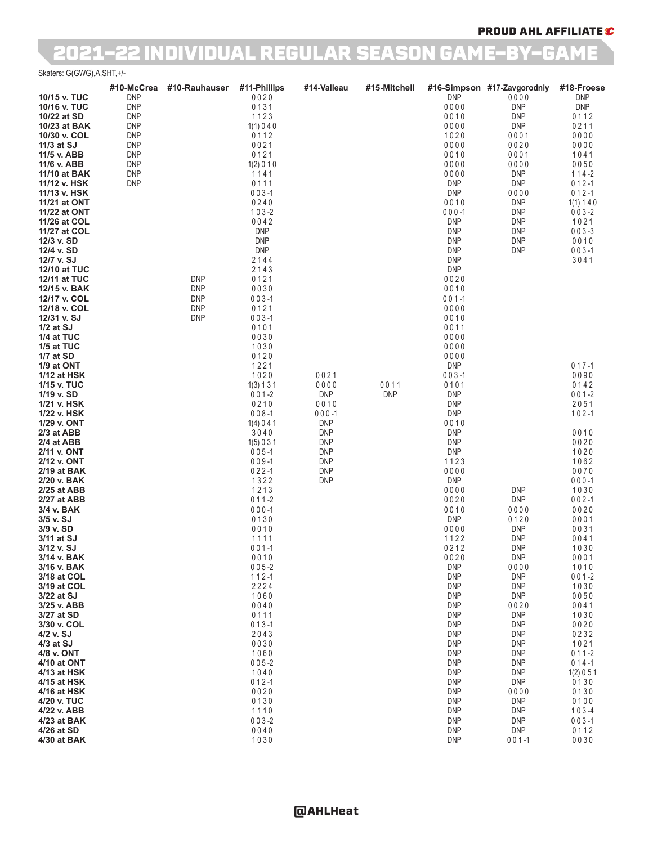### PROUD AHL AFFILIATE C

## 2021-22 INDIVIDUAL REGULAR SEASON GAME-BY-GAME

#### Skaters: G(GWG),A,SHT,+/-

|                            | #10-McCrea               | #10-Rauhauser | #11-Phillips            | #14-Valleau              | #15-Mitchell |                          | #16-Simpson #17-Zavgorodniy | #18-Froese        |
|----------------------------|--------------------------|---------------|-------------------------|--------------------------|--------------|--------------------------|-----------------------------|-------------------|
| 10/15 v. TUC               | <b>DNP</b>               |               | 0020                    |                          |              | <b>DNP</b>               | 0000                        | <b>DNP</b>        |
| 10/16 v. TUC               | <b>DNP</b>               |               | 0131                    |                          |              | 0000                     | <b>DNP</b>                  | <b>DNP</b>        |
| 10/22 at SD                | <b>DNP</b>               |               | 1123                    |                          |              | 0010                     | <b>DNP</b>                  | 0112              |
| 10/23 at BAK               | <b>DNP</b>               |               | 1(1)040<br>0112         |                          |              | 0000                     | <b>DNP</b>                  | 0211              |
| 10/30 v. COL<br>11/3 at SJ | <b>DNP</b><br><b>DNP</b> |               |                         |                          |              | 1020<br>0000             | 0001                        | 0000              |
| 11/5 v. ABB                | <b>DNP</b>               |               | 0021<br>0121            |                          |              | 0010                     | 0020<br>0001                | 0000<br>1041      |
| 11/6 v. ABB                | <b>DNP</b>               |               | 1(2) 0 1 0              |                          |              | 0000                     | 0000                        | 0050              |
| 11/10 at BAK               | <b>DNP</b>               |               | 1141                    |                          |              | 0000                     | <b>DNP</b>                  | $114-2$           |
| 11/12 v. HSK               | <b>DNP</b>               |               | 0111                    |                          |              | <b>DNP</b>               | <b>DNP</b>                  | $012 - 1$         |
| 11/13 v. HSK               |                          |               | $003 - 1$               |                          |              | <b>DNP</b>               | 0000                        | $012 - 1$         |
| 11/21 at ONT               |                          |               | 0240                    |                          |              | 0010                     | <b>DNP</b>                  | 1(1) 1 4 0        |
| 11/22 at ONT               |                          |               | $103 - 2$               |                          |              | $000 - 1$                | <b>DNP</b>                  | $003 - 2$         |
| 11/26 at COL               |                          |               | 0042                    |                          |              | <b>DNP</b>               | <b>DNP</b>                  | 1021              |
| 11/27 at COL               |                          |               | <b>DNP</b>              |                          |              | <b>DNP</b>               | <b>DNP</b>                  | $003 - 3$         |
| 12/3 v. SD                 |                          |               | <b>DNP</b>              |                          |              | <b>DNP</b>               | <b>DNP</b>                  | 0010              |
| 12/4 v. SD<br>12/7 v. SJ   |                          |               | <b>DNP</b><br>2144      |                          |              | <b>DNP</b><br><b>DNP</b> | <b>DNP</b>                  | $003 - 1$<br>3041 |
| 12/10 at TUC               |                          |               | 2143                    |                          |              | <b>DNP</b>               |                             |                   |
| 12/11 at TUC               |                          | <b>DNP</b>    | 0121                    |                          |              | 0020                     |                             |                   |
| 12/15 v. BAK               |                          | <b>DNP</b>    | 0030                    |                          |              | 0010                     |                             |                   |
| 12/17 v. COL               |                          | <b>DNP</b>    | $003 - 1$               |                          |              | $001 - 1$                |                             |                   |
| 12/18 v. COL               |                          | <b>DNP</b>    | 0121                    |                          |              | 0000                     |                             |                   |
| 12/31 v. SJ                |                          | <b>DNP</b>    | $003 - 1$               |                          |              | 0010                     |                             |                   |
| $1/2$ at SJ                |                          |               | 0101                    |                          |              | 0011                     |                             |                   |
| 1/4 at TUC                 |                          |               | 0030                    |                          |              | 0000                     |                             |                   |
| 1/5 at TUC<br>1/7 at SD    |                          |               | 1030<br>0120            |                          |              | 0000<br>0000             |                             |                   |
| 1/9 at ONT                 |                          |               | 1221                    |                          |              | <b>DNP</b>               |                             | $017 - 1$         |
| 1/12 at HSK                |                          |               | 1020                    | 0021                     |              | $003 - 1$                |                             | 0090              |
| 1/15 v. TUC                |                          |               | 1(3) 1 3 1              | 0000                     | 0011         | 0101                     |                             | 0142              |
| 1/19 v. SD                 |                          |               | $001 - 2$               | <b>DNP</b>               | <b>DNP</b>   | <b>DNP</b>               |                             | $001 - 2$         |
| 1/21 v. HSK                |                          |               | 0210                    | 0010                     |              | <b>DNP</b>               |                             | 2051              |
| 1/22 v. HSK                |                          |               | $008 - 1$               | $000 - 1$                |              | <b>DNP</b>               |                             | $102 - 1$         |
| 1/29 v. ONT                |                          |               | 1(4) 0 4 1              | <b>DNP</b>               |              | 0010                     |                             |                   |
| 2/3 at ABB                 |                          |               | 3040                    | <b>DNP</b>               |              | <b>DNP</b>               |                             | 0010              |
| 2/4 at ABB<br>2/11 v. ONT  |                          |               | 1(5) 0 3 1<br>$005 - 1$ | <b>DNP</b><br><b>DNP</b> |              | <b>DNP</b><br><b>DNP</b> |                             | 0020<br>1020      |
| 2/12 v. ONT                |                          |               | $009 - 1$               | <b>DNP</b>               |              | 1123                     |                             | 1062              |
| 2/19 at BAK                |                          |               | $022 - 1$               | <b>DNP</b>               |              | 0000                     |                             | 0070              |
| 2/20 v. BAK                |                          |               | 1322                    | <b>DNP</b>               |              | <b>DNP</b>               |                             | $000 - 1$         |
| 2/25 at ABB                |                          |               | 1213                    |                          |              | 0000                     | <b>DNP</b>                  | 1030              |
| 2/27 at ABB                |                          |               | $011 - 2$               |                          |              | 0020                     | <b>DNP</b>                  | $002 - 1$         |
| 3/4 v. BAK                 |                          |               | $000 - 1$               |                          |              | 0010                     | 0000                        | 0020              |
| $3/5$ v. $SJ$<br>3/9 v. SD |                          |               | 0130<br>0010            |                          |              | <b>DNP</b><br>0000       | 0120<br><b>DNP</b>          | 0001<br>0031      |
| 3/11 at SJ                 |                          |               | 1111                    |                          |              | 1122                     | <b>DNP</b>                  | 0041              |
| 3/12 v. SJ                 |                          |               | $001 - 1$               |                          |              | 0212                     | <b>DNP</b>                  | 1030              |
| 3/14 v. BAK                |                          |               | 0010                    |                          |              | 0020                     | <b>DNP</b>                  | 0001              |
| 3/16 v. BAK                |                          |               | $005 - 2$               |                          |              | <b>DNP</b>               | 0000                        | 1010              |
| 3/18 at COL                |                          |               | $112 - 1$               |                          |              | <b>DNP</b>               | <b>DNP</b>                  | $001 - 2$         |
| 3/19 at COL                |                          |               | 2224                    |                          |              | <b>DNP</b>               | <b>DNP</b>                  | 1030              |
| 3/22 at SJ<br>3/25 v. ABB  |                          |               | 1060<br>0040            |                          |              | <b>DNP</b><br><b>DNP</b> | <b>DNP</b><br>0020          | 0050<br>0041      |
| 3/27 at SD                 |                          |               | 0111                    |                          |              | <b>DNP</b>               | <b>DNP</b>                  | 1030              |
| 3/30 v. COL                |                          |               | $013 - 1$               |                          |              | <b>DNP</b>               | <b>DNP</b>                  | 0020              |
| 4/2 v. SJ                  |                          |               | 2043                    |                          |              | <b>DNP</b>               | <b>DNP</b>                  | 0232              |
| 4/3 at SJ                  |                          |               | 0030                    |                          |              | <b>DNP</b>               | <b>DNP</b>                  | 1021              |
| 4/8 v. ONT                 |                          |               | 1060                    |                          |              | <b>DNP</b>               | <b>DNP</b>                  | $011 - 2$         |
| 4/10 at ONT                |                          |               | $005 - 2$               |                          |              | <b>DNP</b>               | <b>DNP</b>                  | $014 - 1$         |
| 4/13 at HSK                |                          |               | 1040                    |                          |              | <b>DNP</b>               | <b>DNP</b>                  | 1(2) 0 5 1        |
| 4/15 at HSK                |                          |               | $012 - 1$               |                          |              | <b>DNP</b>               | <b>DNP</b>                  | 0130              |
| 4/16 at HSK<br>4/20 v. TUC |                          |               | 0020<br>0130            |                          |              | <b>DNP</b><br><b>DNP</b> | 0000<br><b>DNP</b>          | 0130<br>0100      |
| 4/22 v. ABB                |                          |               | 1110                    |                          |              | <b>DNP</b>               | <b>DNP</b>                  | $103 - 4$         |
| 4/23 at BAK                |                          |               | $003 - 2$               |                          |              | <b>DNP</b>               | <b>DNP</b>                  | $003 - 1$         |
| 4/26 at SD                 |                          |               | 0040                    |                          |              | <b>DNP</b>               | <b>DNP</b>                  | 0112              |
| 4/30 at BAK                |                          |               | 1030                    |                          |              | <b>DNP</b>               | $001 - 1$                   | 0030              |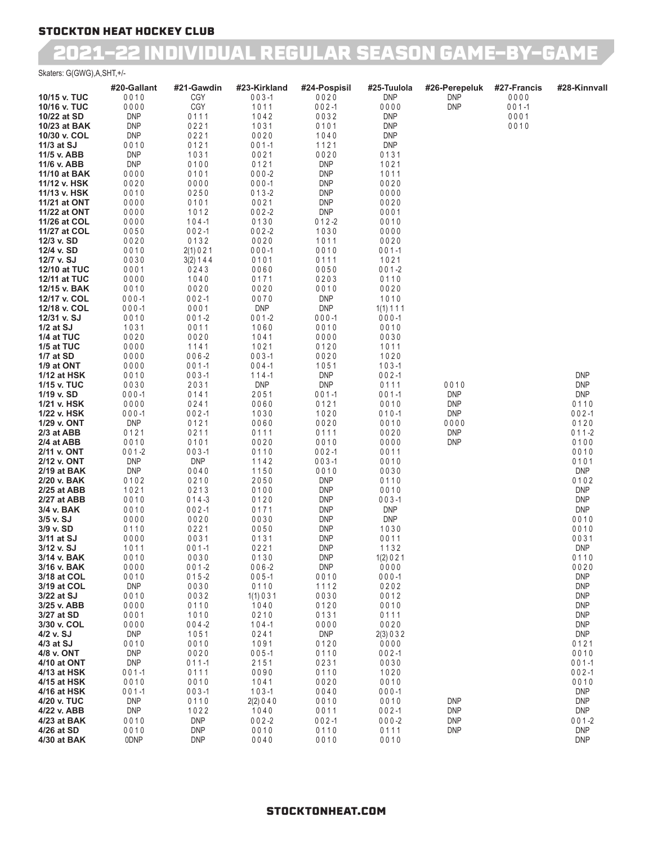### 2021-22 INDIVIDUAL REGULAR SEASON GAME-BY-GAME

Skaters: G(GWG),A,SHT,+/-

|                              | #20-Gallant              | #21-Gawdin             | #23-Kirkland       | #24-Pospisil             | #25-Tuulola              | #26-Perepeluk      | #27-Francis | #28-Kinnvall             |
|------------------------------|--------------------------|------------------------|--------------------|--------------------------|--------------------------|--------------------|-------------|--------------------------|
| 10/15 v. TUC                 | 0010                     | CGY                    | $003 - 1$          | 0020                     | <b>DNP</b>               | <b>DNP</b>         | 0000        |                          |
| 10/16 v. TUC                 | 0000                     | CGY                    | 1011               | $002 - 1$                | 0000                     | <b>DNP</b>         | $001 - 1$   |                          |
| 10/22 at SD                  | <b>DNP</b>               | 0111                   | 1042               | 0032                     | <b>DNP</b>               |                    | 0001        |                          |
| 10/23 at BAK<br>10/30 v. COL | <b>DNP</b><br><b>DNP</b> | 0221<br>0221           | 1031<br>0020       | 0101<br>1040             | <b>DNP</b><br><b>DNP</b> |                    | 0010        |                          |
| 11/3 at SJ                   | 0010                     | 0121                   | $001 - 1$          | 1121                     | <b>DNP</b>               |                    |             |                          |
| 11/5 v. ABB                  | <b>DNP</b>               | 1031                   | 0021               | 0020                     | 0131                     |                    |             |                          |
| 11/6 v. ABB                  | <b>DNP</b>               | 0100                   | 0121               | <b>DNP</b>               | 1021                     |                    |             |                          |
| 11/10 at BAK                 | 0000                     | 0101                   | $000-2$            | <b>DNP</b>               | 1011                     |                    |             |                          |
| 11/12 v. HSK                 | 0020                     | 0000                   | $000 - 1$          | <b>DNP</b>               | 0020                     |                    |             |                          |
| 11/13 v. HSK                 | 0010                     | 0250                   | $013 - 2$          | <b>DNP</b>               | 0000                     |                    |             |                          |
| 11/21 at ONT                 | 0000                     | 0101                   | 0021               | <b>DNP</b>               | 0020                     |                    |             |                          |
| 11/22 at ONT                 | 0000                     | 1012                   | $002 - 2$          | <b>DNP</b>               | 0001                     |                    |             |                          |
| 11/26 at COL<br>11/27 at COL | 0000<br>0050             | $104 - 1$<br>$002 - 1$ | 0130<br>$002 - 2$  | $012 - 2$<br>1030        | 0010<br>0000             |                    |             |                          |
| 12/3 v. SD                   | 0020                     | 0132                   | 0020               | 1011                     | 0020                     |                    |             |                          |
| 12/4 v. SD                   | 0010                     | 2(1) 0 2 1             | $000 - 1$          | 0010                     | $001 - 1$                |                    |             |                          |
| 12/7 v. SJ                   | 0030                     | 3(2) 1 4 4             | 0101               | 0111                     | 1021                     |                    |             |                          |
| 12/10 at TUC                 | 0001                     | 0243                   | 0060               | 0050                     | $001 - 2$                |                    |             |                          |
| 12/11 at TUC                 | 0000                     | 1040                   | 0171               | 0203                     | 0110                     |                    |             |                          |
| 12/15 v. BAK                 | 0010                     | 0020                   | 0020               | 0010                     | 0020                     |                    |             |                          |
| 12/17 v. COL                 | $000 - 1$                | $002 - 1$              | 0070               | <b>DNP</b>               | 1010                     |                    |             |                          |
| 12/18 v. COL                 | $000 - 1$                | 0001                   | <b>DNP</b>         | <b>DNP</b>               | 1(1) 1 1 1               |                    |             |                          |
| 12/31 v. SJ<br>$1/2$ at SJ   | 0010<br>1031             | $001 - 2$<br>0011      | $001 - 2$<br>1060  | $000 - 1$<br>0010        | $000 - 1$<br>0010        |                    |             |                          |
| 1/4 at TUC                   | 0020                     | 0020                   | 1041               | 0000                     | 0030                     |                    |             |                          |
| 1/5 at TUC                   | 0000                     | 1141                   | 1021               | 0120                     | 1011                     |                    |             |                          |
| 1/7 at SD                    | 0000                     | $006 - 2$              | $003 - 1$          | 0020                     | 1020                     |                    |             |                          |
| 1/9 at ONT                   | 0000                     | $001 - 1$              | $004 - 1$          | 1051                     | $103 - 1$                |                    |             |                          |
| 1/12 at HSK                  | 0010                     | $003 - 1$              | $114 - 1$          | <b>DNP</b>               | $002 - 1$                |                    |             | <b>DNP</b>               |
| 1/15 v. TUC                  | 0030                     | 2031                   | <b>DNP</b>         | <b>DNP</b>               | 0111                     | 0010               |             | <b>DNP</b>               |
| 1/19 v. SD                   | $000 - 1$                | 0141                   | 2051               | $001 - 1$                | $001 - 1$                | <b>DNP</b>         |             | <b>DNP</b>               |
| 1/21 v. HSK                  | 0000                     | 0241                   | 0060               | 0121                     | 0010                     | <b>DNP</b>         |             | 0110                     |
| 1/22 v. HSK                  | $000 - 1$<br><b>DNP</b>  | $002 - 1$<br>0121      | 1030<br>0060       | 1020<br>0020             | $010 - 1$<br>0010        | <b>DNP</b><br>0000 |             | $002 - 1$<br>0120        |
| 1/29 v. ONT<br>2/3 at ABB    | 0121                     | 0211                   | 0111               | 0111                     | 0020                     | <b>DNP</b>         |             | $011-2$                  |
| 2/4 at ABB                   | 0010                     | 0101                   | 0020               | 0010                     | 0000                     | <b>DNP</b>         |             | 0100                     |
| 2/11 v. ONT                  | $001 - 2$                | $003 - 1$              | 0110               | $002 - 1$                | 0011                     |                    |             | 0010                     |
| 2/12 v. ONT                  | <b>DNP</b>               | <b>DNP</b>             | 1142               | $003 - 1$                | 0010                     |                    |             | 0101                     |
| 2/19 at BAK                  | <b>DNP</b>               | 0040                   | 1150               | 0010                     | 0030                     |                    |             | <b>DNP</b>               |
| 2/20 v. BAK                  | 0102                     | 0210                   | 2050               | <b>DNP</b>               | 0110                     |                    |             | 0102                     |
| 2/25 at ABB                  | 1021                     | 0213                   | 0100               | <b>DNP</b>               | 0010                     |                    |             | <b>DNP</b>               |
| 2/27 at ABB<br>3/4 v. BAK    | 0010<br>0010             | $014 - 3$<br>$002 - 1$ | 0120<br>0171       | <b>DNP</b><br><b>DNP</b> | $003 - 1$<br><b>DNP</b>  |                    |             | <b>DNP</b><br><b>DNP</b> |
| 3/5 v. SJ                    | 0000                     | 0020                   | 0030               | <b>DNP</b>               | <b>DNP</b>               |                    |             | 0010                     |
| 3/9 v. SD                    | 0110                     | 0221                   | 0050               | <b>DNP</b>               | 1030                     |                    |             | 0010                     |
| 3/11 at SJ                   | 0000                     | 0031                   | 0131               | <b>DNP</b>               | 0011                     |                    |             | 0031                     |
| 3/12 v. SJ                   | 1011                     | $001 - 1$              | 0221               | <b>DNP</b>               | 1132                     |                    |             | <b>DNP</b>               |
| 3/14 v. BAK                  | 0010                     | 0030                   | 0130               | <b>DNP</b>               | 1(2) 0 2 1               |                    |             | 0110                     |
| 3/16 v. BAK                  | 0000                     | $001 - 2$              | $006 - 2$          | <b>DNP</b>               | 0000                     |                    |             | 0020                     |
| 3/18 at COL                  | 0010<br><b>DNP</b>       | $015 - 2$              | $005 - 1$          | 0010<br>1112             | $000 - 1$<br>0202        |                    |             | <b>DNP</b><br><b>DNP</b> |
| 3/19 at COL<br>3/22 at SJ    | 0010                     | 0030<br>0032           | 0110<br>1(1) 0 3 1 | 0030                     | 0012                     |                    |             | <b>DNP</b>               |
| 3/25 v. ABB                  | 0000                     | 0110                   | 1040               | 0120                     | 0010                     |                    |             | <b>DNP</b>               |
| 3/27 at SD                   | 0001                     | 1010                   | 0210               | 0131                     | 0111                     |                    |             | <b>DNP</b>               |
| 3/30 v. COL                  | 0000                     | $004 - 2$              | $104 - 1$          | 0000                     | 0020                     |                    |             | <b>DNP</b>               |
| 4/2 v. SJ                    | <b>DNP</b>               | 1051                   | 0241               | <b>DNP</b>               | 2(3) 0 3 2               |                    |             | <b>DNP</b>               |
| 4/3 at SJ                    | 0010                     | 0010                   | 1091               | 0120                     | 0000                     |                    |             | 0121                     |
| 4/8 v. ONT                   | <b>DNP</b>               | 0020                   | $005 - 1$          | 0110                     | $002 - 1$                |                    |             | 0010                     |
| 4/10 at ONT                  | <b>DNP</b>               | $011 - 1$              | 2151               | 0231                     | 0030<br>1020             |                    |             | $001 - 1$                |
| 4/13 at HSK<br>4/15 at HSK   | $001 - 1$<br>0010        | 0111<br>0010           | 0090<br>1041       | 0110<br>0020             | 0010                     |                    |             | $002 - 1$<br>0010        |
| 4/16 at HSK                  | $001 - 1$                | $003 - 1$              | $103 - 1$          | 0040                     | $000 - 1$                |                    |             | <b>DNP</b>               |
| 4/20 v. TUC                  | <b>DNP</b>               | 0110                   | 2(2) 0 4 0         | 0010                     | 0010                     | <b>DNP</b>         |             | <b>DNP</b>               |
| 4/22 v. ABB                  | <b>DNP</b>               | 1022                   | 1040               | 0011                     | $002 - 1$                | <b>DNP</b>         |             | <b>DNP</b>               |
| 4/23 at BAK                  | 0010                     | <b>DNP</b>             | $002 - 2$          | $002 - 1$                | $000 - 2$                | <b>DNP</b>         |             | $001 - 2$                |
| 4/26 at SD                   | 0010                     | <b>DNP</b>             | 0010               | 0110                     | 0111                     | <b>DNP</b>         |             | <b>DNP</b>               |
| 4/30 at BAK                  | 0DNP                     | <b>DNP</b>             | 0040               | 0010                     | 0010                     |                    |             | <b>DNP</b>               |

#### STOCKTONHEAT.COM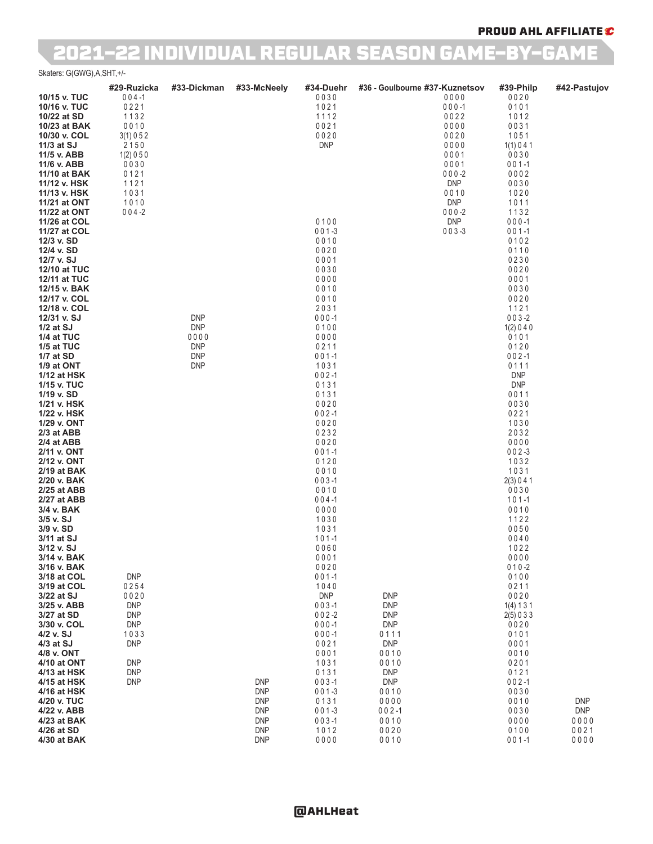### PROUD AHL AFFILIATE C

## 2021-22 INDIVIDUAL REGULAR SEASON GAME-BY-GAME

Skaters: G(GWG),A,SHT,+/-

|                              | #29-Ruzicka              | #33-Dickman              | #33-McNeely              | #34-Duehr              | #36 - Goulbourne #37-Kuznetsov |                         | #39-Philp                | #42-Pastujov             |
|------------------------------|--------------------------|--------------------------|--------------------------|------------------------|--------------------------------|-------------------------|--------------------------|--------------------------|
| 10/15 v. TUC                 | $004 - 1$                |                          |                          | 0030                   |                                | 0000                    | 0020                     |                          |
| 10/16 v. TUC<br>10/22 at SD  | 0221<br>1132             |                          |                          | 1021<br>1112           |                                | $000 - 1$<br>0022       | 0101<br>1012             |                          |
| 10/23 at BAK                 | 0010                     |                          |                          | 0021                   |                                | 0000                    | 0031                     |                          |
| 10/30 v. COL                 | 3(1) 0 5 2               |                          |                          | 0020                   |                                | 0020                    | 1051                     |                          |
| 11/3 at SJ                   | 2150                     |                          |                          | <b>DNP</b>             |                                | 0000                    | 1(1)041                  |                          |
| 11/5 v. ABB<br>11/6 v. ABB   | 1(2) 0 5 0<br>0030       |                          |                          |                        |                                | 0001<br>0001            | 0030<br>$001 - 1$        |                          |
| 11/10 at BAK                 | 0121                     |                          |                          |                        |                                | $000 - 2$               | 0002                     |                          |
| 11/12 v. HSK                 | 1121                     |                          |                          |                        |                                | <b>DNP</b>              | 0030                     |                          |
| 11/13 v. HSK                 | 1031                     |                          |                          |                        |                                | 0010                    | 1020                     |                          |
| 11/21 at ONT                 | 1010                     |                          |                          |                        |                                | <b>DNP</b>              | 1011                     |                          |
| 11/22 at ONT<br>11/26 at COL | $004 - 2$                |                          |                          | 0100                   |                                | $000 - 2$<br><b>DNP</b> | 1132<br>$000 - 1$        |                          |
| 11/27 at COL                 |                          |                          |                          | $001 - 3$              |                                | $003 - 3$               | $001 - 1$                |                          |
| 12/3 v. SD                   |                          |                          |                          | 0010                   |                                |                         | 0102                     |                          |
| 12/4 v. SD                   |                          |                          |                          | 0020                   |                                |                         | 0110                     |                          |
| 12/7 v. SJ<br>12/10 at TUC   |                          |                          |                          | 0001<br>0030           |                                |                         | 0230<br>0020             |                          |
| 12/11 at TUC                 |                          |                          |                          | 0000                   |                                |                         | 0001                     |                          |
| 12/15 v. BAK                 |                          |                          |                          | 0010                   |                                |                         | 0030                     |                          |
| 12/17 v. COL                 |                          |                          |                          | 0010                   |                                |                         | 0020                     |                          |
| 12/18 v. COL                 |                          |                          |                          | 2031                   |                                |                         | 1121                     |                          |
| 12/31 v. SJ<br>$1/2$ at SJ   |                          | <b>DNP</b><br><b>DNP</b> |                          | $000 - 1$<br>0100      |                                |                         | $003 - 2$<br>1(2)040     |                          |
| 1/4 at TUC                   |                          | 0000                     |                          | 0000                   |                                |                         | 0101                     |                          |
| 1/5 at TUC                   |                          | <b>DNP</b>               |                          | 0211                   |                                |                         | 0120                     |                          |
| 1/7 at SD                    |                          | <b>DNP</b>               |                          | $001-1$                |                                |                         | $002 - 1$                |                          |
| 1/9 at ONT<br>1/12 at HSK    |                          | <b>DNP</b>               |                          | 1031<br>$002 - 1$      |                                |                         | 0111<br><b>DNP</b>       |                          |
| 1/15 v. TUC                  |                          |                          |                          | 0131                   |                                |                         | <b>DNP</b>               |                          |
| 1/19 v. SD                   |                          |                          |                          | 0131                   |                                |                         | 0011                     |                          |
| 1/21 v. HSK                  |                          |                          |                          | 0020                   |                                |                         | 0030                     |                          |
| 1/22 v. HSK<br>1/29 v. ONT   |                          |                          |                          | $002 - 1$<br>0020      |                                |                         | 0221<br>1030             |                          |
| 2/3 at ABB                   |                          |                          |                          | 0232                   |                                |                         | 2032                     |                          |
| 2/4 at ABB                   |                          |                          |                          | 0020                   |                                |                         | 0000                     |                          |
| 2/11 v. ONT                  |                          |                          |                          | $001-1$                |                                |                         | $002 - 3$                |                          |
| 2/12 v. ONT<br>2/19 at BAK   |                          |                          |                          | 0120<br>0010           |                                |                         | 1032<br>1031             |                          |
| 2/20 v. BAK                  |                          |                          |                          | $003 - 1$              |                                |                         | 2(3) 0 4 1               |                          |
| 2/25 at ABB                  |                          |                          |                          | 0010                   |                                |                         | 0030                     |                          |
| 2/27 at ABB                  |                          |                          |                          | $004 - 1$              |                                |                         | $101 - 1$                |                          |
| 3/4 v. BAK<br>3/5 v. SJ      |                          |                          |                          | 0000<br>1030           |                                |                         | 0010<br>1122             |                          |
| 3/9 v. SD                    |                          |                          |                          | 1031                   |                                |                         | 0050                     |                          |
| 3/11 at SJ                   |                          |                          |                          | $101 - 1$              |                                |                         | 0040                     |                          |
| 3/12 v. SJ                   |                          |                          |                          | 0060                   |                                |                         | 1022                     |                          |
| 3/14 v. BAK<br>3/16 v. BAK   |                          |                          |                          | 0001<br>0020           |                                |                         | 0000<br>$010 - 2$        |                          |
| 3/18 at COL                  | <b>DNP</b>               |                          |                          | $001-1$                |                                |                         | 0100                     |                          |
| 3/19 at COL                  | 0254                     |                          |                          | 1040                   |                                |                         | 0211                     |                          |
| 3/22 at SJ                   | 0020                     |                          |                          | <b>DNP</b>             | <b>DNP</b>                     |                         | 0020                     |                          |
| 3/25 v. ABB<br>3/27 at SD    | <b>DNP</b><br><b>DNP</b> |                          |                          | $003 - 1$<br>$002 - 2$ | <b>DNP</b><br><b>DNP</b>       |                         | 1(4) 1 3 1<br>2(5) 0 3 3 |                          |
| 3/30 v. COL                  | <b>DNP</b>               |                          |                          | $000 - 1$              | <b>DNP</b>                     |                         | 0020                     |                          |
| 4/2 v. SJ                    | 1033                     |                          |                          | $000 - 1$              | 0111                           |                         | 0101                     |                          |
| 4/3 at SJ                    | <b>DNP</b>               |                          |                          | 0021                   | <b>DNP</b>                     |                         | 0001                     |                          |
| 4/8 v. ONT<br>4/10 at ONT    | <b>DNP</b>               |                          |                          | 0001<br>1031           | 0010<br>0010                   |                         | 0010<br>0201             |                          |
| 4/13 at HSK                  | <b>DNP</b>               |                          |                          | 0131                   | <b>DNP</b>                     |                         | 0121                     |                          |
| 4/15 at HSK                  | <b>DNP</b>               |                          | <b>DNP</b>               | $003 - 1$              | <b>DNP</b>                     |                         | $002 - 1$                |                          |
| 4/16 at HSK                  |                          |                          | <b>DNP</b>               | $001-3$                | 0010                           |                         | 0030                     |                          |
| 4/20 v. TUC<br>4/22 v. ABB   |                          |                          | <b>DNP</b><br><b>DNP</b> | 0131<br>$001 - 3$      | 0000<br>$002 - 1$              |                         | 0010<br>0030             | <b>DNP</b><br><b>DNP</b> |
| 4/23 at BAK                  |                          |                          | <b>DNP</b>               | $003 - 1$              | 0010                           |                         | 0000                     | 0000                     |
| 4/26 at SD                   |                          |                          | <b>DNP</b>               | 1012                   | 0020                           |                         | 0100                     | 0021                     |
| 4/30 at BAK                  |                          |                          | <b>DNP</b>               | 0000                   | 0010                           |                         | $001 - 1$                | 0000                     |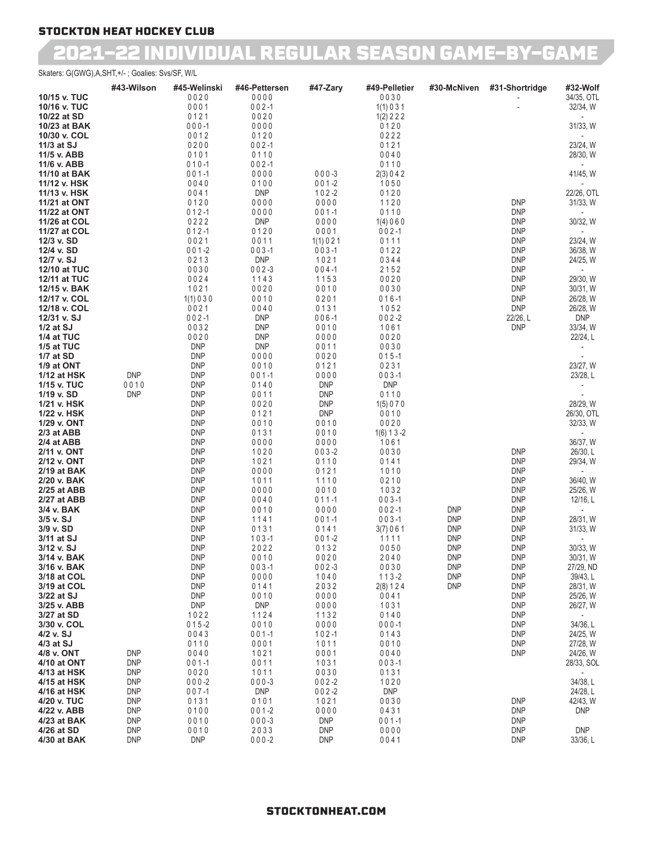## 2021-22 INDIVIDUAL REGULAR SEASON GAME-BY-GAME

### Skaters: G(GWG),A,SHT,+/- ; Goalies: Svs/SF, W/L

|                              | #43-Wilson               | #45-Welinski             | #46-Pettersen      | #47-Zary                 | #49-Pelletier              | #30-McNiven              | #31-Shortridge           | #32-Wolf              |
|------------------------------|--------------------------|--------------------------|--------------------|--------------------------|----------------------------|--------------------------|--------------------------|-----------------------|
| 10/15 v. TUC                 |                          | 0020                     | 0000               |                          | 0030                       |                          |                          | 34/35, OTL            |
| 10/16 v. TUC<br>10/22 at SD  |                          | 0001<br>0121             | $002 - 1$<br>0020  |                          | 1(1) 0 3 1<br>$1(2)$ 2 2 2 |                          |                          | 32/34, W              |
| 10/23 at BAK                 |                          | $000 - 1$                | 0000               |                          | 0120                       |                          |                          | 31/33, W              |
| 10/30 v. COL                 |                          | 0012                     | 0120               |                          | 0222                       |                          |                          |                       |
| 11/3 at SJ                   |                          | 0200                     | $002 - 1$          |                          | 0121                       |                          |                          | 23/24, W              |
| 11/5 v. ABB                  |                          | 0101                     | 0110               |                          | 0040                       |                          |                          | 28/30, W              |
| 11/6 v. ABB                  |                          | $010 - 1$                | $002 - 1$          |                          | 0110                       |                          |                          |                       |
| 11/10 at BAK                 |                          | $001 - 1$                | 0000               | $000 - 3$                | 2(3) 0 4 2                 |                          |                          | 41/45, W              |
| 11/12 v. HSK                 |                          | 0040                     | 0100               | $001 - 2$                | 1050                       |                          |                          |                       |
| 11/13 v. HSK                 |                          | 0041<br>0120             | <b>DNP</b><br>0000 | $102 - 2$<br>0000        | 0120<br>1120               |                          | <b>DNP</b>               | 22/26, OTL            |
| 11/21 at ONT<br>11/22 at ONT |                          | $012 - 1$                | 0000               | $001 - 1$                | 0110                       |                          | <b>DNP</b>               | 31/33, W              |
| 11/26 at COL                 |                          | 0222                     | <b>DNP</b>         | 0000                     | 1(4)060                    |                          | <b>DNP</b>               | 30/32, W              |
| 11/27 at COL                 |                          | $012 - 1$                | 0120               | 0001                     | $002 - 1$                  |                          | <b>DNP</b>               |                       |
| 12/3 v. SD                   |                          | 0021                     | 0011               | 1(1)021                  | 0111                       |                          | <b>DNP</b>               | 23/24, W              |
| 12/4 v. SD                   |                          | $001 - 2$                | $003 - 1$          | $003 - 1$                | 0122                       |                          | <b>DNP</b>               | 36/38, W              |
| 12/7 v. SJ                   |                          | 0213                     | <b>DNP</b>         | 1021                     | 0344                       |                          | <b>DNP</b>               | 24/25, W              |
| 12/10 at TUC                 |                          | 0030<br>0024             | $002 - 3$<br>1143  | $004 - 1$<br>1153        | 2152<br>0020               |                          | <b>DNP</b><br><b>DNP</b> | 29/30, W              |
| 12/11 at TUC<br>12/15 v. BAK |                          | 1021                     | 0020               | 0010                     | 0030                       |                          | <b>DNP</b>               | 30/31, W              |
| 12/17 v. COL                 |                          | 1(1)030                  | 0010               | 0201                     | $016 - 1$                  |                          | <b>DNP</b>               | 26/28, W              |
| 12/18 v. COL                 |                          | 0021                     | 0040               | 0131                     | 1052                       |                          | <b>DNP</b>               | 26/28, W              |
| 12/31 v. SJ                  |                          | $002 - 1$                | <b>DNP</b>         | $006 - 1$                | $002 - 2$                  |                          | 22/26, L                 | <b>DNP</b>            |
| $1/2$ at SJ                  |                          | 0032                     | <b>DNP</b>         | 0010                     | 1061                       |                          | <b>DNP</b>               | 33/34, W              |
| 1/4 at TUC                   |                          | 0020                     | <b>DNP</b>         | 0000                     | 0020                       |                          |                          | 22/24, L              |
| 1/5 at TUC<br>1/7 at SD      |                          | <b>DNP</b><br><b>DNP</b> | <b>DNP</b><br>0000 | 0011<br>0020             | 0030<br>$015 - 1$          |                          |                          |                       |
| 1/9 at ONT                   |                          | <b>DNP</b>               | 0010               | 0121                     | 0231                       |                          |                          | 23/27, W              |
| 1/12 at HSK                  | <b>DNP</b>               | <b>DNP</b>               | $001 - 1$          | 0000                     | $003 - 1$                  |                          |                          | 23/28, L              |
| 1/15 v. TUC                  | 0010                     | <b>DNP</b>               | 0140               | <b>DNP</b>               | <b>DNP</b>                 |                          |                          |                       |
| 1/19 v. SD                   | <b>DNP</b>               | <b>DNP</b>               | 0011               | <b>DNP</b>               | 0110                       |                          |                          |                       |
| 1/21 v. HSK                  |                          | <b>DNP</b>               | 0020               | <b>DNP</b>               | 1(5) 0 7 0                 |                          |                          | 28/29, W              |
| 1/22 v. HSK                  |                          | <b>DNP</b>               | 0121               | <b>DNP</b>               | 0010                       |                          |                          | 26/30, OTL            |
| 1/29 v. ONT<br>2/3 at ABB    |                          | <b>DNP</b><br><b>DNP</b> | 0010<br>0131       | 0010<br>0010             | 0020<br>$1(6) 1 3 - 2$     |                          |                          | 32/33, W              |
| 2/4 at ABB                   |                          | <b>DNP</b>               | 0000               | 0000                     | 1061                       |                          |                          | 36/37, W              |
| 2/11 v. ONT                  |                          | <b>DNP</b>               | 1020               | $003 - 2$                | 0030                       |                          | <b>DNP</b>               | 26/30, L              |
| 2/12 v. ONT                  |                          | <b>DNP</b>               | 1021               | 0110                     | 0141                       |                          | <b>DNP</b>               | 29/34, W              |
| 2/19 at BAK                  |                          | <b>DNP</b>               | 0000               | 0121                     | 1010                       |                          | <b>DNP</b>               |                       |
| 2/20 v. BAK                  |                          | <b>DNP</b>               | 1011               | 1110                     | 0210                       |                          | <b>DNP</b>               | 36/40, W              |
| 2/25 at ABB<br>2/27 at ABB   |                          | <b>DNP</b><br><b>DNP</b> | 0000<br>0040       | 0010<br>$011 - 1$        | 1032<br>$003 - 1$          |                          | <b>DNP</b><br><b>DNP</b> | 25/26, W<br>12/16, L  |
| 3/4 v. BAK                   |                          | <b>DNP</b>               | 0010               | 0000                     | $002 - 1$                  | <b>DNP</b>               | <b>DNP</b>               |                       |
| 3/5 v. SJ                    |                          | <b>DNP</b>               | 1141               | $001 - 1$                | $003 - 1$                  | <b>DNP</b>               | <b>DNP</b>               | 28/31, W              |
| 3/9 v. SD                    |                          | <b>DNP</b>               | 0131               | 0141                     | 3(7)061                    | <b>DNP</b>               | <b>DNP</b>               | 31/33, W              |
| 3/11 at SJ                   |                          | <b>DNP</b>               | $103 - 1$          | $001 - 2$                | 1111                       | <b>DNP</b>               | <b>DNP</b>               |                       |
| 3/12 v. SJ                   |                          | <b>DNP</b>               | 2022               | 0132                     | 0050                       | <b>DNP</b>               | <b>DNP</b>               | 30/33, W              |
| 3/14 v. BAK                  |                          | <b>DNP</b>               | 0010               | 0020                     | 2040                       | <b>DNP</b>               | <b>DNP</b>               | 30/31, W              |
| 3/16 v. BAK<br>3/18 at COL   |                          | <b>DNP</b><br><b>DNP</b> | $003 - 1$<br>0000  | $002 - 3$<br>1040        | 0030<br>$113 - 2$          | <b>DNP</b><br><b>DNP</b> | <b>DNP</b><br><b>DNP</b> | 27/29, ND<br>39/43, L |
| 3/19 at COL                  |                          | <b>DNP</b>               | 0141               | 2032                     | 2(8) 1 2 4                 | <b>DNP</b>               | <b>DNP</b>               | 28/31, W              |
| 3/22 at SJ                   |                          | <b>DNP</b>               | 0010               | 0000                     | 0041                       |                          | <b>DNP</b>               | 25/26, W              |
| 3/25 v. ABB                  |                          | <b>DNP</b>               | <b>DNP</b>         | 0000                     | 1031                       |                          | <b>DNP</b>               | 26/27, W              |
| 3/27 at SD                   |                          | 1022                     | 1124               | 1132                     | 0140                       |                          | <b>DNP</b>               | $\sim$                |
| 3/30 v. COL                  |                          | $015 - 2$                | 0010               | 0000                     | $000 - 1$                  |                          | <b>DNP</b>               | 34/36, L              |
| 4/2 v. SJ                    |                          | 0043                     | $001 - 1$          | $102 - 1$                | 0143                       |                          | <b>DNP</b>               | 24/25, W              |
| $4/3$ at SJ<br>4/8 v. ONT    | <b>DNP</b>               | 0110<br>0040             | 0001<br>1021       | 1011<br>0001             | 0010<br>0040               |                          | <b>DNP</b><br><b>DNP</b> | 27/28, W<br>24/26, W  |
| 4/10 at ONT                  | <b>DNP</b>               | $001 - 1$                | 0011               | 1031                     | $003 - 1$                  |                          |                          | 28/33, SOL            |
| 4/13 at HSK                  | <b>DNP</b>               | 0020                     | 1011               | 0030                     | 0131                       |                          |                          |                       |
| 4/15 at HSK                  | <b>DNP</b>               | $000 - 2$                | $000 - 3$          | $002 - 2$                | 1020                       |                          |                          | 34/38, L              |
| 4/16 at HSK                  | <b>DNP</b>               | $007 - 1$                | <b>DNP</b>         | $002 - 2$                | <b>DNP</b>                 |                          |                          | 24/28, L              |
| 4/20 v. TUC                  | <b>DNP</b>               | 0131                     | 0101               | 1021                     | 0030                       |                          | <b>DNP</b>               | 42/43, W              |
| 4/22 v. ABB                  | <b>DNP</b>               | 0100                     | $001 - 2$          | 0000                     | 0431                       |                          | <b>DNP</b>               | <b>DNP</b>            |
| 4/23 at BAK<br>4/26 at SD    | <b>DNP</b><br><b>DNP</b> | 0010<br>0010             | $000 - 3$<br>2033  | <b>DNP</b><br><b>DNP</b> | $001 - 1$<br>0000          |                          | <b>DNP</b><br><b>DNP</b> | <b>DNP</b>            |
| 4/30 at BAK                  | <b>DNP</b>               | <b>DNP</b>               | $000 - 2$          | <b>DNP</b>               | 0041                       |                          | <b>DNP</b>               | 33/36, L              |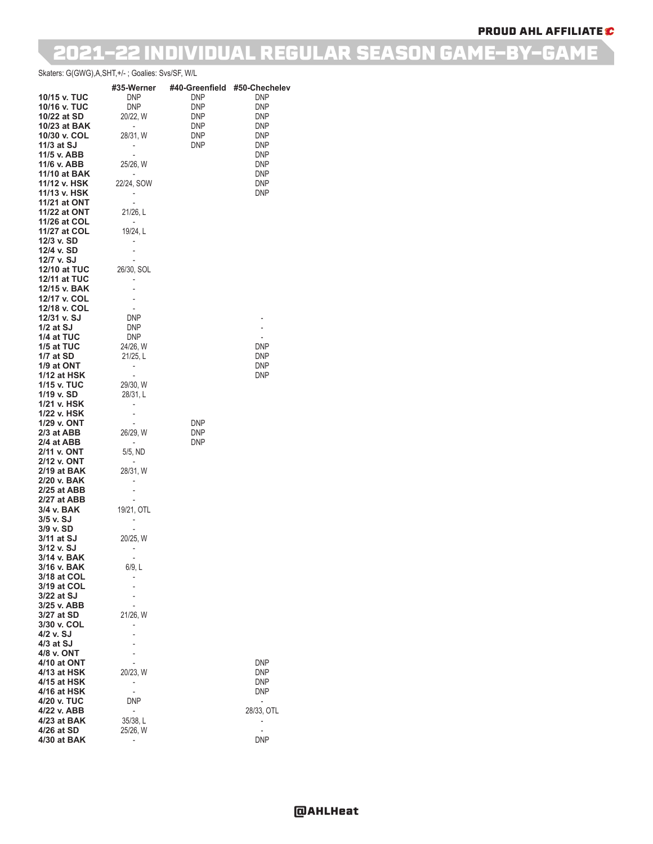### PROUD AHL AFFILIATE C

## 2021-22 INDIVIDUAL REGULAR SEASON GAME-BY-GAME

Skaters: G(GWG),A,SHT,+/- ; Goalies: Svs/SF, W/L

|                            | #35-Werner                                           | #40-Greenfield           | #50-Chechelev                          |
|----------------------------|------------------------------------------------------|--------------------------|----------------------------------------|
| 10/15 v. TUC               | DNP                                                  | <b>DNP</b>               | <b>DNP</b>                             |
| 10/16 v. TUC               | DNP                                                  | DNP                      | <b>DNP</b>                             |
| 10/22 at SD                | 20/22, W                                             | <b>DNP</b>               | <b>DNP</b>                             |
| 10/23 at BAK               | $\overline{\phantom{a}}$                             | DNP                      | <b>DNP</b>                             |
| 10/30 v. COL               | 28/31, W                                             | DNP                      | <b>DNP</b>                             |
| $11/3$ at SJ               | $\overline{\phantom{a}}$                             | <b>DNP</b>               | <b>DNP</b>                             |
| 11/5 v. ABB<br>11/6 v. ABB | $\overline{\phantom{a}}$<br>25/26, W                 |                          | <b>DNP</b><br><b>DNP</b>               |
| 11/10 at BAK               |                                                      |                          | <b>DNP</b>                             |
| 11/12 v. HSK               | 22/24, SOW                                           |                          | <b>DNP</b>                             |
| 11/13 v. HSK               | $\overline{\phantom{a}}$                             |                          | <b>DNP</b>                             |
| 11/21 at ONT               | $\overline{\phantom{a}}$                             |                          |                                        |
| 11/22 at ONT               | 21/26, L                                             |                          |                                        |
| 11/26 at COL               | $\overline{\phantom{a}}$                             |                          |                                        |
| 11/27 at COL               | 19/24, L                                             |                          |                                        |
| 12/3 v. SD<br>12/4 v. SD   | $\overline{\phantom{0}}$                             |                          |                                        |
| 12/7 v. SJ                 | $\overline{\phantom{a}}$<br>$\overline{\phantom{a}}$ |                          |                                        |
| <b>12/10 at TUC</b>        | 26/30, SOL                                           |                          |                                        |
| 12/11 at TUC               | $\overline{\phantom{0}}$                             |                          |                                        |
| 12/15 v. BAK               |                                                      |                          |                                        |
| 12/17 v. COL               |                                                      |                          |                                        |
| 12/18 v. COL               | $\overline{\phantom{a}}$                             |                          |                                        |
| 12/31 v. SJ                | DNP                                                  |                          |                                        |
| $1/2$ at SJ                | <b>DNP</b>                                           |                          | $\overline{a}$                         |
| 1/4 at TUC<br>1/5 at TUC   | <b>DNP</b><br>24/26, W                               |                          | $\overline{\phantom{a}}$<br><b>DNP</b> |
| 1/7 at SD                  | 21/25, L                                             |                          | <b>DNP</b>                             |
| 1/9 at ONT                 | ۰                                                    |                          | <b>DNP</b>                             |
| 1/12 at HSK                | $\overline{\phantom{a}}$                             |                          | <b>DNP</b>                             |
| 1/15 v. TUC                | 29/30, W                                             |                          |                                        |
| 1/19 v. SD                 | 28/31, L                                             |                          |                                        |
| 1/21 v. HSK                |                                                      |                          |                                        |
| 1/22 v. HSK                | $\overline{\phantom{0}}$                             |                          |                                        |
| 1/29 v. ONT<br>2/3 at ABB  | $\overline{\phantom{a}}$<br>26/29, W                 | <b>DNP</b><br><b>DNP</b> |                                        |
| 2/4 at ABB                 | $\overline{\phantom{a}}$                             | <b>DNP</b>               |                                        |
| 2/11 v. ONT                | 5/5, ND                                              |                          |                                        |
| 2/12 v. ONT                | $\overline{\phantom{a}}$                             |                          |                                        |
| 2/19 at BAK                | 28/31, W                                             |                          |                                        |
| 2/20 v. BAK                | -                                                    |                          |                                        |
| 2/25 at ABB                |                                                      |                          |                                        |
| 2/27 at ABB<br>3/4 v. BAK  | $\overline{\phantom{a}}$<br>19/21, OTL               |                          |                                        |
| 3/5 v. SJ                  | $\overline{\phantom{a}}$                             |                          |                                        |
| 3/9 v. SD                  | $\overline{\phantom{0}}$                             |                          |                                        |
| 3/11 at SJ                 | 20/25, W                                             |                          |                                        |
| 3/12 v. SJ                 | $\overline{\phantom{0}}$                             |                          |                                        |
| 3/14 v. BAK                |                                                      |                          |                                        |
| 3/16 v. BAK<br>3/18 at COL | 6/9, L                                               |                          |                                        |
| 3/19 at COL                |                                                      |                          |                                        |
| 3/22 at SJ                 |                                                      |                          |                                        |
| 3/25 v. ABB                |                                                      |                          |                                        |
| 3/27 at SD                 | 21/26, W                                             |                          |                                        |
| 3/30 v. COL                | $\overline{\phantom{0}}$                             |                          |                                        |
| 4/2 v. SJ                  |                                                      |                          |                                        |
| 4/3 at SJ                  |                                                      |                          |                                        |
| 4/8 v. ONT<br>4/10 at ONT  | $\overline{\phantom{a}}$                             |                          | DNP                                    |
| 4/13 at HSK                | 20/23, W                                             |                          | <b>DNP</b>                             |
| 4/15 at HSK                |                                                      |                          | <b>DNP</b>                             |
| 4/16 at HSK                |                                                      |                          | DNP                                    |
| 4/20 v. TUC                | DNP                                                  |                          | $\overline{\phantom{a}}$               |
| 4/22 v. ABB                | $\overline{\phantom{a}}$                             |                          | 28/33, OTL                             |
| 4/23 at BAK                | 35/38, L                                             |                          |                                        |
| 4/26 at SD<br>4/30 at BAK  | 25/26, W                                             |                          | DNP                                    |
|                            | ۰                                                    |                          |                                        |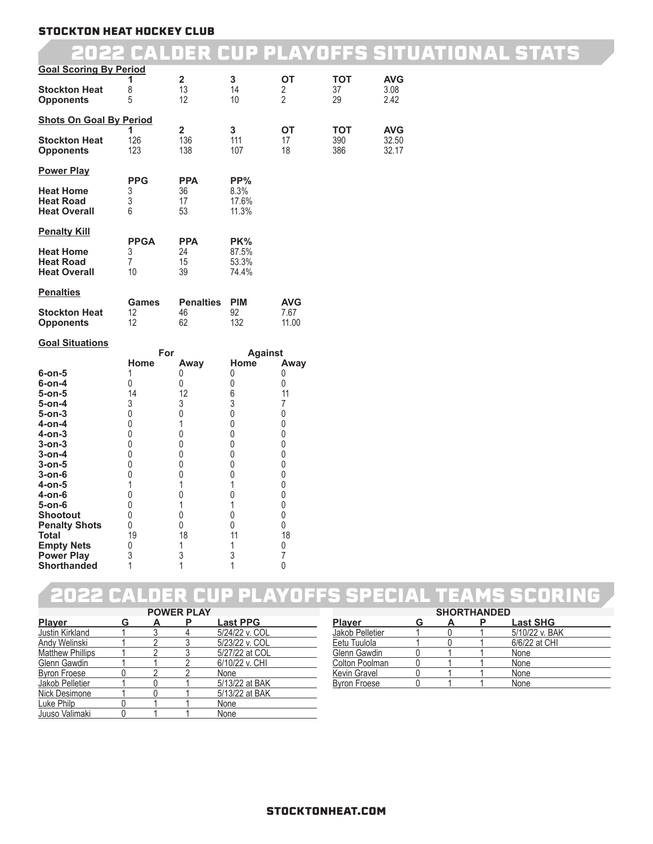## 2022 CALDER CUP PLAYOFFS SITUATIONAL STATS

| <b>Goal Scoring By Period</b>                                                                                                                                                                                                                                       |                                                                                                            | $\overline{\mathbf{2}}$                                                                                                              | 3                                                                                                                                    | ОT                                                                                                                      | <b>TOT</b> | <b>AVG</b>     |
|---------------------------------------------------------------------------------------------------------------------------------------------------------------------------------------------------------------------------------------------------------------------|------------------------------------------------------------------------------------------------------------|--------------------------------------------------------------------------------------------------------------------------------------|--------------------------------------------------------------------------------------------------------------------------------------|-------------------------------------------------------------------------------------------------------------------------|------------|----------------|
| <b>Stockton Heat</b><br><b>Opponents</b>                                                                                                                                                                                                                            | 1<br>8<br>5                                                                                                | 13<br>12                                                                                                                             | 14<br>10                                                                                                                             | 2<br>$\overline{2}$                                                                                                     | 37<br>29   | 3.08<br>2.42   |
| <b>Shots On Goal By Period</b>                                                                                                                                                                                                                                      | 1                                                                                                          | $\overline{2}$                                                                                                                       | 3                                                                                                                                    | ОT                                                                                                                      | <b>TOT</b> | <b>AVG</b>     |
| <b>Stockton Heat</b><br><b>Opponents</b>                                                                                                                                                                                                                            | 126<br>123                                                                                                 | 136<br>138                                                                                                                           | 111<br>107                                                                                                                           | 17<br>18                                                                                                                | 390<br>386 | 32.50<br>32.17 |
| <b>Power Play</b>                                                                                                                                                                                                                                                   | <b>PPG</b>                                                                                                 | <b>PPA</b>                                                                                                                           | PP%                                                                                                                                  |                                                                                                                         |            |                |
| <b>Heat Home</b><br><b>Heat Road</b><br><b>Heat Overall</b>                                                                                                                                                                                                         | 3<br>3<br>6                                                                                                | 36<br>17<br>53                                                                                                                       | 8.3%<br>17.6%<br>11.3%                                                                                                               |                                                                                                                         |            |                |
| <b>Penalty Kill</b>                                                                                                                                                                                                                                                 | <b>PPGA</b>                                                                                                | <b>PPA</b>                                                                                                                           | PK%                                                                                                                                  |                                                                                                                         |            |                |
| <b>Heat Home</b><br><b>Heat Road</b><br><b>Heat Overall</b>                                                                                                                                                                                                         | 3<br>7<br>10                                                                                               | 24<br>15<br>39                                                                                                                       | 87.5%<br>53.3%<br>74.4%                                                                                                              |                                                                                                                         |            |                |
| <b>Penalties</b>                                                                                                                                                                                                                                                    | <b>Games</b>                                                                                               | <b>Penalties</b>                                                                                                                     | <b>PIM</b>                                                                                                                           | <b>AVG</b>                                                                                                              |            |                |
| <b>Stockton Heat</b><br><b>Opponents</b>                                                                                                                                                                                                                            | 12<br>12                                                                                                   | 46<br>62                                                                                                                             | 92<br>132                                                                                                                            | 7.67<br>11.00                                                                                                           |            |                |
| <b>Goal Situations</b>                                                                                                                                                                                                                                              | For                                                                                                        |                                                                                                                                      | <b>Against</b>                                                                                                                       |                                                                                                                         |            |                |
| 6-on-5<br>6-on-4<br>5-on-5<br>5-on-4<br>5-on-3<br>4-on-4<br>4-on-3<br>3-on-3<br>3-on-4<br>3-on-5<br>3-on-6<br>4-on-5<br>4-on-6<br>5-on-6<br><b>Shootout</b><br><b>Penalty Shots</b><br><b>Total</b><br><b>Empty Nets</b><br><b>Power Play</b><br><b>Shorthanded</b> | Home<br>1<br>0<br>14<br>3<br>0<br>0<br>0<br>0<br>0<br>0<br>0<br>1<br>0<br>0<br>0<br>0<br>19<br>0<br>3<br>1 | Away<br>0<br>0<br>12<br>3<br>$\mathbf 0$<br>1<br>0<br>$\pmb{0}$<br>0<br>0<br>0<br>1<br>$\pmb{0}$<br>1<br>0<br>0<br>18<br>1<br>3<br>1 | Home<br>0<br>0<br>6<br>3<br>0<br>0<br>0<br>0<br>0<br>0<br>$\mathbf{0}$<br>1<br>$\pmb{0}$<br>1<br>0<br>$\pmb{0}$<br>11<br>1<br>3<br>1 | Away<br>0<br>0<br>11<br>7<br>0<br>0<br>0<br>0<br>0<br>0<br>0<br>0<br>0<br>0<br>0<br>0<br>18<br>0<br>$\overline{7}$<br>0 |            |                |

## 2022 CALDER CUP PLAYOFFS SPECIAL TEAMS SCORING

| <b>POWER PLAY</b>       |   |  |  |                 |  |  |  |
|-------------------------|---|--|--|-----------------|--|--|--|
| <b>Player</b>           | G |  |  | <b>Last PPG</b> |  |  |  |
| Justin Kirkland         |   |  |  | 5/24/22 v. COL  |  |  |  |
| Andy Welinski           |   |  |  | 5/23/22 v. COL  |  |  |  |
| <b>Matthew Phillips</b> |   |  |  | 5/27/22 at COL  |  |  |  |
| Glenn Gawdin            |   |  |  | 6/10/22 v. CHI  |  |  |  |
| <b>Byron Froese</b>     |   |  |  | None            |  |  |  |
| Jakob Pelletier         |   |  |  | 5/13/22 at BAK  |  |  |  |
| Nick Desimone           |   |  |  | 5/13/22 at BAK  |  |  |  |
| Luke Philp              |   |  |  | None            |  |  |  |
| Juuso Valimaki          |   |  |  | None            |  |  |  |

| <b>SHORTHANDED</b> |  |  |  |                 |  |  |  |
|--------------------|--|--|--|-----------------|--|--|--|
| <b>Plaver</b>      |  |  |  | <b>Last SHG</b> |  |  |  |
| Jakob Pelletier    |  |  |  | 5/10/22 v. BAK  |  |  |  |
| Eetu Tuulola       |  |  |  | 6/6/22 at CHI   |  |  |  |
| Glenn Gawdin       |  |  |  | None            |  |  |  |
| Colton Poolman     |  |  |  | None            |  |  |  |
| Kevin Gravel       |  |  |  | None            |  |  |  |
| Bvron Froese       |  |  |  | None            |  |  |  |
|                    |  |  |  |                 |  |  |  |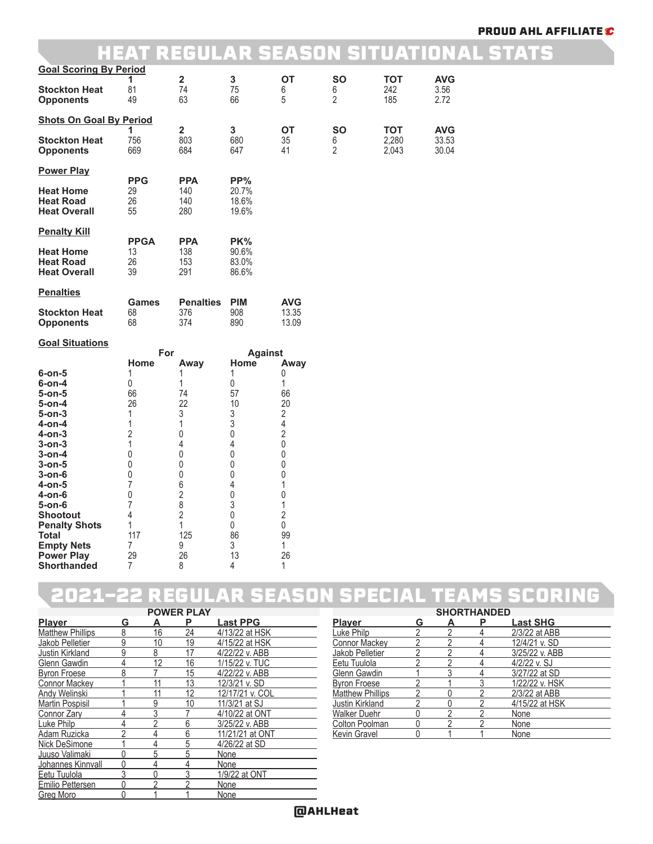### HEAT REGULAR SEASON SITUATIONAL STATS

| <b>Goal Scoring By Period</b>                               |                          |                                       |                               |                                           |                                  |                              |                              |
|-------------------------------------------------------------|--------------------------|---------------------------------------|-------------------------------|-------------------------------------------|----------------------------------|------------------------------|------------------------------|
| <b>Stockton Heat</b><br><b>Opponents</b>                    | 1<br>81<br>49            | $\overline{\mathbf{2}}$<br>74<br>63   | 3<br>75<br>66                 | <b>OT</b><br>6<br>5                       | <b>SO</b><br>6<br>$\overline{2}$ | <b>TOT</b><br>242<br>185     | AVG<br>3.56<br>2.72          |
| <b>Shots On Goal By Period</b>                              |                          |                                       |                               |                                           |                                  |                              |                              |
| <b>Stockton Heat</b><br><b>Opponents</b>                    | 1<br>756<br>669          | $\overline{\mathbf{2}}$<br>803<br>684 | 3<br>680<br>647               | <b>OT</b><br>35<br>41                     | <b>SO</b><br>6<br>$\overline{2}$ | <b>TOT</b><br>2,280<br>2,043 | <b>AVG</b><br>33.53<br>30.04 |
| <b>Power Play</b>                                           | <b>PPG</b>               | <b>PPA</b>                            | PP%                           |                                           |                                  |                              |                              |
| <b>Heat Home</b><br><b>Heat Road</b><br><b>Heat Overall</b> | 29<br>26<br>55           | 140<br>140<br>280                     | 20.7%<br>18.6%<br>19.6%       |                                           |                                  |                              |                              |
| <b>Penalty Kill</b>                                         | <b>PPGA</b>              | <b>PPA</b>                            | PK%                           |                                           |                                  |                              |                              |
| <b>Heat Home</b><br><b>Heat Road</b><br><b>Heat Overall</b> | 13<br>26<br>39           | 138<br>153<br>291                     | 90.6%<br>83.0%<br>86.6%       |                                           |                                  |                              |                              |
| <b>Penalties</b>                                            |                          |                                       |                               |                                           |                                  |                              |                              |
| <b>Stockton Heat</b><br><b>Opponents</b>                    | <b>Games</b><br>68<br>68 | <b>Penalties</b><br>376<br>374        | <b>PIM</b><br>908<br>890      | <b>AVG</b><br>13.35<br>13.09              |                                  |                              |                              |
| <b>Goal Situations</b>                                      |                          |                                       |                               |                                           |                                  |                              |                              |
|                                                             | For<br>Home              | Away                                  | <b>Against</b><br>Home        | Away                                      |                                  |                              |                              |
| $6$ -on- $5$                                                | 1                        | 1                                     | 1                             | 0                                         |                                  |                              |                              |
| $6-0n-4$                                                    | 0                        | 1                                     | 0                             | 1                                         |                                  |                              |                              |
| 5-on-5                                                      | 66                       | 74                                    | 57                            | 66                                        |                                  |                              |                              |
| 5-on-4                                                      | 26                       | 22                                    | 10                            | 20                                        |                                  |                              |                              |
| 5-on-3<br>4-on-4                                            | 1<br>1                   | 3<br>1                                | 3<br>3                        | $\overline{2}$<br>$\overline{\mathbf{4}}$ |                                  |                              |                              |
| 4-on-3                                                      | 2                        | 0                                     | $\boldsymbol{0}$              | $\overline{2}$                            |                                  |                              |                              |
|                                                             |                          |                                       |                               |                                           |                                  |                              |                              |
|                                                             |                          |                                       |                               |                                           |                                  |                              |                              |
| $3$ -on- $3$                                                | 1                        | 4                                     | 4                             | $\boldsymbol{0}$                          |                                  |                              |                              |
| 3-on-4                                                      | 0<br>$\mathbf 0$         | $\boldsymbol{0}$                      | $\boldsymbol{0}$<br>$\pmb{0}$ | $\boldsymbol{0}$                          |                                  |                              |                              |
| $3$ -on- $5$<br>3-on-6                                      | 0                        | $\boldsymbol{0}$<br>$\boldsymbol{0}$  | 0                             | $\boldsymbol{0}$<br>$\boldsymbol{0}$      |                                  |                              |                              |
| 4-on-5                                                      | 7                        | 6                                     | 4                             | 1                                         |                                  |                              |                              |
| 4-on-6                                                      | 0                        | $\overline{\mathbf{c}}$               | $\boldsymbol{0}$              | $\boldsymbol{0}$                          |                                  |                              |                              |
| $5-$ on $-6$                                                | 7                        | 8                                     | 3                             | $\mathbf{1}$                              |                                  |                              |                              |
| <b>Shootout</b>                                             | 4                        | $\overline{2}$                        | 0                             | $\sqrt{2}$                                |                                  |                              |                              |
| <b>Penalty Shots</b>                                        | 1                        | 1                                     | $\mathsf 0$                   | $\mathsf{0}$                              |                                  |                              |                              |
| Total                                                       | 117                      | 125                                   | 86                            | 99                                        |                                  |                              |                              |
| <b>Empty Nets</b><br><b>Power Play</b>                      | $\overline{7}$<br>29     | 9<br>26                               | 3<br>13                       | $\mathbf{1}$<br>26                        |                                  |                              |                              |

### 2021-22 REGULAR SEASON SPECIAL TEAMS SCORING

| PUWER PLAT              |   |                |    |                 |  |  |  |
|-------------------------|---|----------------|----|-----------------|--|--|--|
| <b>Player</b>           | G | А              | Ρ  | <b>Last PPG</b> |  |  |  |
| <b>Matthew Phillips</b> | 8 | 16             | 24 | 4/13/22 at HSK  |  |  |  |
| Jakob Pelletier         | 9 | 10             | 19 | 4/15/22 at HSK  |  |  |  |
| Justin Kirkland         | 9 | 8              | 17 | 4/22/22 v. ABB  |  |  |  |
| <b>Glenn Gawdin</b>     | 4 | 12             | 16 | 1/15/22 v. TUC  |  |  |  |
| <b>Byron Froese</b>     | 8 |                | 15 | 4/22/22 v. ABB  |  |  |  |
| <b>Connor Mackey</b>    |   | 11             | 13 | 12/3/21 v. SD   |  |  |  |
| <b>Andy Welinski</b>    |   | 11             | 12 | 12/17/21 v. COL |  |  |  |
| Martin Pospisil         |   | 9              | 10 | 11/3/21 at SJ   |  |  |  |
| Connor Zary             | 4 | 3              |    | 4/10/22 at ONT  |  |  |  |
| Luke Philp              | 4 | $\overline{2}$ | 6  | 3/25/22 v. ABB  |  |  |  |
| Adam Ruzicka            | 2 | 4              | 6  | 11/21/21 at ONT |  |  |  |
| Nick DeSimone           |   | 4              | 5  | 4/26/22 at SD   |  |  |  |
| Juuso Valimaki          | Ŋ | 5              | 5  | None            |  |  |  |
| Johannes Kinnvall       | 0 | 4              | 4  | None            |  |  |  |
| Eetu Tuulola            | 3 | 0              |    | 1/9/22 at ONT   |  |  |  |
| Emilio Pettersen        | 0 | っ              | っ  | None            |  |  |  |
| <b>Greg Moro</b>        | 0 |                |    | None            |  |  |  |

|    | <b>POWER PLAY</b> |                 |                         |   | <b>SHORTHANDED</b> |   |                 |  |
|----|-------------------|-----------------|-------------------------|---|--------------------|---|-----------------|--|
|    | Р                 | <b>Last PPG</b> | <b>Player</b>           | G | А                  | Р | <b>Last SHG</b> |  |
| 16 | 24                | 4/13/22 at HSK  | Luke Philp              |   |                    |   | 2/3/22 at ABB   |  |
| 10 | 19                | 4/15/22 at HSK  | Connor Mackey           |   |                    |   | 12/4/21 v. SD   |  |
|    | 17                | 4/22/22 v. ABB  | Jakob Pelletier         |   |                    |   | 3/25/22 v. ABB  |  |
| 12 | 16                | 1/15/22 v. TUC  | Eetu Tuulola            |   |                    |   | 4/2/22 v. SJ    |  |
|    | 15                | 4/22/22 v. ABB  | Glenn Gawdin            |   |                    |   | 3/27/22 at SD   |  |
|    | 13                | 12/3/21 v. SD   | <b>Byron Froese</b>     |   |                    |   | 1/22/22 v. HSK  |  |
|    | 12                | 12/17/21 v. COL | <b>Matthew Phillips</b> |   |                    |   | 2/3/22 at ABB   |  |
| 9  | 10                | 11/3/21 at SJ   | Justin Kirkland         |   |                    |   | 4/15/22 at HSK  |  |
|    |                   | 4/10/22 at ONT  | Walker Duehr            |   |                    |   | None            |  |
|    | հ                 | 3/25/22 v. ABB  | Colton Poolman          |   |                    |   | None            |  |
|    |                   | 11/21/21 at ONT | Kevin Gravel            |   |                    |   | None            |  |
|    |                   |                 |                         |   |                    |   |                 |  |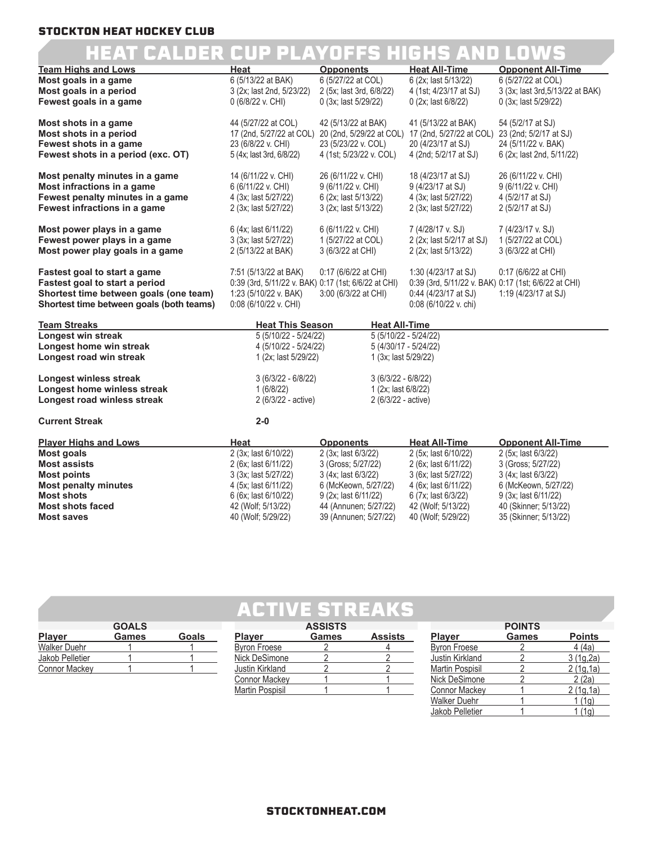## HEAT CALDER CUP PLAYOFFS HIGHS AND LOWS

| <b>Team Highs and Lows</b>                       | Heat                                                 | <b>Opponents</b>                                | <b>Heat All-Time</b>                                 | <b>Opponent All-Time</b>                      |
|--------------------------------------------------|------------------------------------------------------|-------------------------------------------------|------------------------------------------------------|-----------------------------------------------|
| Most goals in a game                             | 6 (5/13/22 at BAK)                                   | 6 (5/27/22 at COL)                              | 6 (2x; last 5/13/22)                                 | 6 (5/27/22 at COL)                            |
| Most goals in a period                           | 3 (2x; last 2nd, 5/23/22)                            | 2 (5x; last 3rd, 6/8/22)                        | 4 (1st; 4/23/17 at SJ)                               | 3 (3x; last 3rd, 5/13/22 at BAK)              |
| Fewest goals in a game                           | 0 (6/8/22 v. CHI)                                    | 0 (3x; last 5/29/22)                            | 0 (2x; last 6/8/22)                                  | 0 (3x; last 5/29/22)                          |
|                                                  |                                                      |                                                 |                                                      |                                               |
| Most shots in a game                             | 44 (5/27/22 at COL)                                  | 42 (5/13/22 at BAK)                             | 41 (5/13/22 at BAK)                                  | 54 (5/2/17 at SJ)                             |
| Most shots in a period<br>Fewest shots in a game | 17 (2nd, 5/27/22 at COL)<br>23 (6/8/22 v. CHI)       | 20 (2nd, 5/29/22 at COL)<br>23 (5/23/22 v. COL) | 17 (2nd, 5/27/22 at COL)<br>20 (4/23/17 at SJ)       | 23 (2nd; 5/2/17 at SJ)<br>24 (5/11/22 v. BAK) |
| Fewest shots in a period (exc. OT)               | 5 (4x; last 3rd, 6/8/22)                             | 4 (1st; 5/23/22 v. COL)                         | 4 (2nd; 5/2/17 at SJ)                                | 6 (2x; last 2nd, 5/11/22)                     |
|                                                  |                                                      |                                                 |                                                      |                                               |
| Most penalty minutes in a game                   | 14 (6/11/22 v. CHI)                                  | 26 (6/11/22 v. CHI)                             | 18 (4/23/17 at SJ)                                   | 26 (6/11/22 v. CHI)                           |
| Most infractions in a game                       | 6 (6/11/22 v. CHI)                                   | 9 (6/11/22 v. CHI)                              | 9 (4/23/17 at SJ)                                    | 9 (6/11/22 v. CHI)                            |
| Fewest penalty minutes in a game                 | 4 (3x; last 5/27/22)                                 | 6 (2x; last 5/13/22)                            | 4 (3x; last 5/27/22)                                 | 4 (5/2/17 at SJ)                              |
| Fewest infractions in a game                     | 2 (3x; last 5/27/22)                                 | 3 (2x; last 5/13/22)                            | 2 (3x; last 5/27/22)                                 | 2 (5/2/17 at SJ)                              |
|                                                  |                                                      |                                                 |                                                      |                                               |
| Most power plays in a game                       | 6 (4x; last 6/11/22)                                 | 6 (6/11/22 v. CHI)                              | 7 (4/28/17 v. SJ)                                    | 7 (4/23/17 v. SJ)                             |
| Fewest power plays in a game                     | 3 (3x; last 5/27/22)                                 | 1 (5/27/22 at COL)                              | 2 (2x; last 5/2/17 at SJ)                            | 1 (5/27/22 at COL)                            |
| Most power play goals in a game                  | 2 (5/13/22 at BAK)                                   | 3 (6/3/22 at CHI)                               | 2 (2x; last 5/13/22)                                 | 3 (6/3/22 at CHI)                             |
| <b>Fastest goal to start a game</b>              | 7:51 (5/13/22 at BAK)                                | 0:17 (6/6/22 at CHI)                            | 1:30 (4/23/17 at SJ)                                 | 0:17 (6/6/22 at CHI)                          |
| Fastest goal to start a period                   | 0:39 (3rd, 5/11/22 v. BAK) 0:17 (1st; 6/6/22 at CHI) |                                                 | 0:39 (3rd, 5/11/22 v. BAK) 0:17 (1st; 6/6/22 at CHI) |                                               |
| Shortest time between goals (one team)           | 1:23 (5/10/22 v. BAK)                                | 3:00 (6/3/22 at CHI)                            | $0:44$ (4/23/17 at SJ)                               | 1:19 (4/23/17 at SJ)                          |
| Shortest time between goals (both teams)         | $0:08(6/10/22$ v. CHI)                               |                                                 | $0:08(6/10/22 \text{ v. chi})$                       |                                               |
|                                                  |                                                      |                                                 |                                                      |                                               |
| <b>Team Streaks</b>                              | <b>Heat This Season</b>                              | <b>Heat All-Time</b>                            |                                                      |                                               |
| Longest win streak                               | 5 (5/10/22 - 5/24/22)                                | 5 (5/10/22 - 5/24/22)                           |                                                      |                                               |
| Longest home win streak                          | 4 (5/10/22 - 5/24/22)                                | 5 (4/30/17 - 5/24/22)                           |                                                      |                                               |
| Longest road win streak                          | 1 (2x; last 5/29/22)                                 | 1 (3x; last 5/29/22)                            |                                                      |                                               |
| <b>Longest winless streak</b>                    | $3(6/3/22 - 6/8/22)$                                 | $3(6/3/22 - 6/8/22)$                            |                                                      |                                               |
| Longest home winless streak                      | 1(6/8/22)                                            | 1 (2x; last 6/8/22)                             |                                                      |                                               |
| Longest road winless streak                      | 2 (6/3/22 - active)                                  | 2 (6/3/22 - active)                             |                                                      |                                               |
|                                                  |                                                      |                                                 |                                                      |                                               |
| <b>Current Streak</b>                            | $2 - 0$                                              |                                                 |                                                      |                                               |
| <b>Player Highs and Lows</b>                     | Heat                                                 | <b>Opponents</b>                                | <b>Heat All-Time</b>                                 | <b>Opponent All-Time</b>                      |
| <b>Most goals</b>                                | 2 (3x; last 6/10/22)                                 | 2 (3x; last 6/3/22)                             | 2 (5x; last 6/10/22)                                 | 2 (5x; last 6/3/22)                           |
| <b>Most assists</b>                              | 2 (6x; last 6/11/22)                                 | 3 (Gross: 5/27/22)                              | 2 (6x; last 6/11/22)                                 | 3 (Gross: 5/27/22)                            |
| <b>Most points</b>                               | 3 (3x; last 5/27/22)                                 | 3 (4x; last 6/3/22)                             | 3 (6x; last 5/27/22)                                 | 3 (4x; last 6/3/22)                           |
| <b>Most penalty minutes</b>                      | 4 (5x; last 6/11/22)                                 | 6 (McKeown, 5/27/22)                            | 4 (6x; last 6/11/22)                                 | 6 (McKeown, 5/27/22)                          |
| <b>Most shots</b>                                | 6 (6x; last 6/10/22)                                 | 9 (2x; last 6/11/22)                            | 6 (7x; last 6/3/22)                                  | 9 (3x; last 6/11/22)                          |
| <b>Most shots faced</b>                          | 42 (Wolf; 5/13/22)                                   | 44 (Annunen; 5/27/22)                           | 42 (Wolf; 5/13/22)                                   | 40 (Skinner; 5/13/22)                         |

### ACTIVE STREAKS

**Most saves** 40 (Wolf; 5/29/22) 39 (Annunen; 5/27/22) 40 (Wolf; 5/29/22) 35 (Skinner; 5/13/22)

|                      | <b>GOALS</b> |              |                 | <b>ASSISTS</b> |                |                     | <b>POINTS</b> |                  |
|----------------------|--------------|--------------|-----------------|----------------|----------------|---------------------|---------------|------------------|
| <b>Player</b>        | Games        | <b>Goals</b> | <b>Player</b>   | Games          | <b>Assists</b> | <b>Player</b>       | <b>Games</b>  | <b>Points</b>    |
| <b>Walker Duehr</b>  |              |              | Byron Froese    |                |                | <b>Byron Froese</b> |               | 4(4a)            |
| Jakob Pelletier      |              |              | Nick DeSimone   |                |                | Justin Kirkland     |               | 3(1q,2a)         |
| <b>Connor Mackey</b> |              |              | Justin Kirkland |                |                | Martin Pospisil     |               | 2 (1g,1a)        |
|                      |              |              | Connor Mackev   |                |                | Nick DeSimone       |               | 2(2a)            |
|                      |              |              | Martin Pospisil |                |                | Connor Mackev       |               | <u>2 (1g,1a)</u> |

 $\frac{W\alpha}{\text{Waker Duehr}}$  1 1 (1g)<br>Jakob Pelletier 1 1 (1g)

Jakob Pelletier 1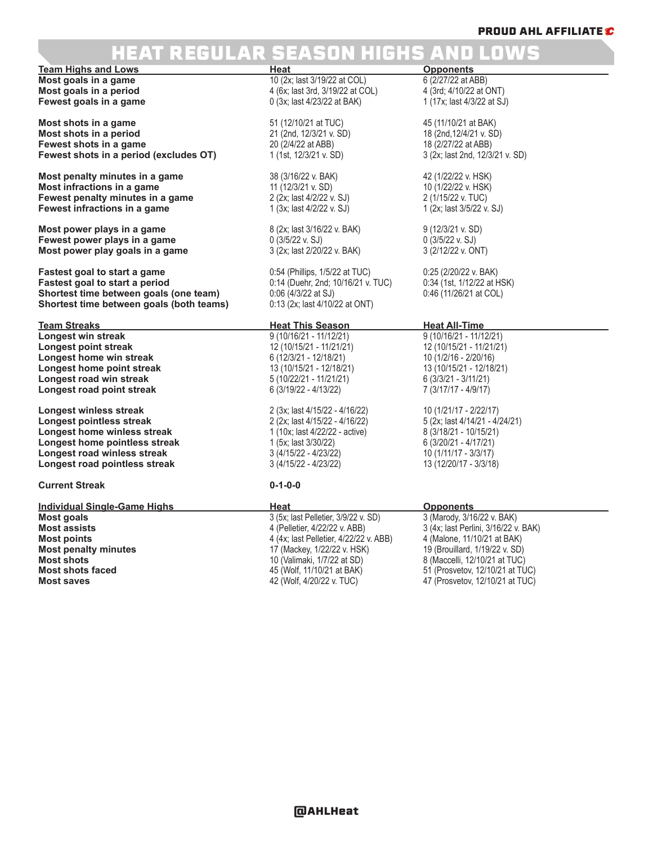## REGULAR SEASON HIGHS AND LOWS

**Team Highs and Lows**<br> **Heat Heat Opponents**<br> **Most goals in a game Heat Heat** 10 (2x; last 3/19/22 at COL) 6 (2/27/22 at ABB) **Most goals in a game** 10 (2x; last 3/19/22 at COL) 6 (2/27/22 at ABB)<br> **Most goals in a period** extra the top of the top of the top of the top of the top of the top of the top of the to **Fewest goals in a game** 

**Most shots in a game** 51 (12/10/21 at TUC) 45 (11/10/21 at BAK) **Most shots in a period** 21 (2nd, 12/3/21 v. SD) 18 (2nd,12/4/21 v. SD) **Fewest shots in a game** 20 (2/4/22 at ABB) 18 (2/27/22 at ABB)<br> **Fewest shots in a period (excludes OT)** 1 (1st, 12/3/21 v. SD) 3 (2x; last 2nd, 12/3/21 v. SD) **Fewest shots in a period (excludes OT)** 

**Most penalty minutes in a game** 38 (3/16/22 v. BAK) 42 (1/22/22 v. HSK) **Most infractions in a game** 11 (12/3/21 v. SD) 10 (1/22/22 v. HSK<br> **Fewest penalty minutes in a game** 2 (2x; last 4/2/22 v. SJ) 2 (1/15/22 v. TUC) **Fewest penalty minutes in a game Fewest infractions in a game** 1 (3x; last 4/2/22 v. SJ) 1 (2x; last 3/5/22 v. SJ)

**Most power plays in a game** 8 (2x; last 3/16/22 v. BAK) 9 (12/3/21 v. SD)<br> **Fewest power plays in a game** 0 (3/5/22 v. SJ) 9 (3/5/22 v. SJ) 9 (3/5/22 v. SJ) **Fewest power plays in a game**  $0$  (3/5/22 v. SJ) 0 (3/5/22 v. SJ) 0 (3/5/22 v. SJ) 0 (3/5/22 v. ONT) **Most power play goals in a game**  $3$  (2x; last 2/20/22 v. BAK) 3 (2/12/22 v. ONT) **Most power play goals in a game** 

**Fastest goal to start a game** 0:54 (Phillips, 1/5/22 at TUC) 0:25 (2/20/22 v. BAK) **Fastest goal to start a period** 0.14 (Duehr, 2nd; 10/16/21 v. TUC) 0:34 (1st, 1/12/22 at HSK)<br> **Shortest time between goals (one team)** 0:06 (4/3/22 at SJ) 0:46 (11/26/21 at COL) **Shortest time between goals (one team)** 0:06 (4/3/22 at SJ)<br>**Shortest time between goals (both teams)** 0:13 (2x; last 4/10/22 at ONT) **Shortest time between goals (both teams)** 

**Team Streaks Heat This Season Heat All-Time Longest win streak** 9 (10/16/21 - 11/12/21) <br> **Longest point streak** 12 (10/15/21 - 11/21/21) 12 (10/15/21 - 11/21/21) **Longest point streak** 12 (10/15/21 - 11/21/21) 12 (10/15/21 - 11/21/21)<br> **Longest home win streak** 12 (12/3/21 - 12/18/21) 10 (12/16 - 2/20/16) **Longest home win streak** 6 (12/3/21 - 12/18/21) 10 (1/2/16 - 2/20/16)<br> **Longest home point streak** 13 (10/15/21 - 12/18/21) 13 (10/15/21 - 12/18/21) **Longest home point streak Longest road win streak** 5 (10/22/21 - 11/21/21) 6 (3/3/21 - 3/11/21) **Longest road point streak** 

**Longest winless streak** 2 (3x; last 4/15/22 - 4/16/22) 10 (1/21/17 - 2/22/17)<br> **Longest pointless streak** 2 (2x; last 4/15/22 - 4/16/22) 5 (2x; last 4/14/21 - 4/24/21) **Longest pointless streak** 2 (2x; last 4/15/22 - 4/16/22) 5 (2x; last 4/14/21 - 4/2<br> **Longest home winless streak** 1 (10x; last 4/22/22 - active) 8 (3/18/21 - 10/15/21) **Longest home winless streak** 1 (10x; last 4/22/22 - active) 8 (3/18/21 - 10/15/21<br> **Longest home pointless streak** 1 (5x; last 3/30/22) 8 (3/20/21 - 4/17/21) **Longest home pointless streak** 1 (5x; last 3/30/22) 6 (3/20/21 - 4/17/21)<br> **Longest road winless streak** 3 (4/15/22 - 4/23/22) 10 (1/11/17 - 3/3/17) **Longest road winless streak** 3 (4/15/22 - 4/23/22) 10 (1/11/17 - 3/3/17)<br> **Longest road pointless streak** 3 (4/15/22 - 4/23/22) 13 (12/20/17 - 3/3/18) **Longest road pointless streak** 

**Current Streak 0-1-0-0**

**Individual Single-Game Highs**<br> **Most goals Most goals Most goals Most goals Most goals Most goals Most goals** *Most goals Most goals Most goals Most goals Most goals Most goals Most go* **Most penalty minutes** 17 (Mackey, 1/22/22 v. HSK) 17 (Mackey, 1/22/22 v. HSK) 19 (Mackey, 1/22/22 v. SD)

**Most goals in a period** 4 (6x; last 3rd, 3/19/22 at COL) 4 (3rd; 4/10/22 at ONT)

3 (5x; last Pelletier, 3/9/22 v. SD)<br>4 (Pelletier, 4/22/22 v. ABB) **Most assists** 4 (Pelletier, 4/22/22 v. ABB) 3 (4x; last Perlini, 3/16/22 v. BAK)<br>**Most points** 3 (32 or 3 and 4 (4x; last Pelletier, 4/22/22 v. ABB) 4 (Malone, 11/10/21 at BAK) **Most points** 4 (4x; last Pelletier, 4/22/22 v. ABB) 4 (Malone, 11/10/21 at BAK) **Most shots** 10 (Valimaki, 1/7/22 at SD) 8 (Maccelli, 12/10/21 at TUC) **Most shots faced** 45 (Wolf, 11/10/21 at BAK) 51 (Prosvetov, 12/10/21 at TUC)<br>**Most saves** 45 (Wolf, 4/20/22 v. TUC) 47 (Prosvetov, 12/10/21 at TUC)

**Most saves** 42 (Wolf, 4/20/22 v. TUC) 47 (Prosvetov, 12/10/21 at TUC)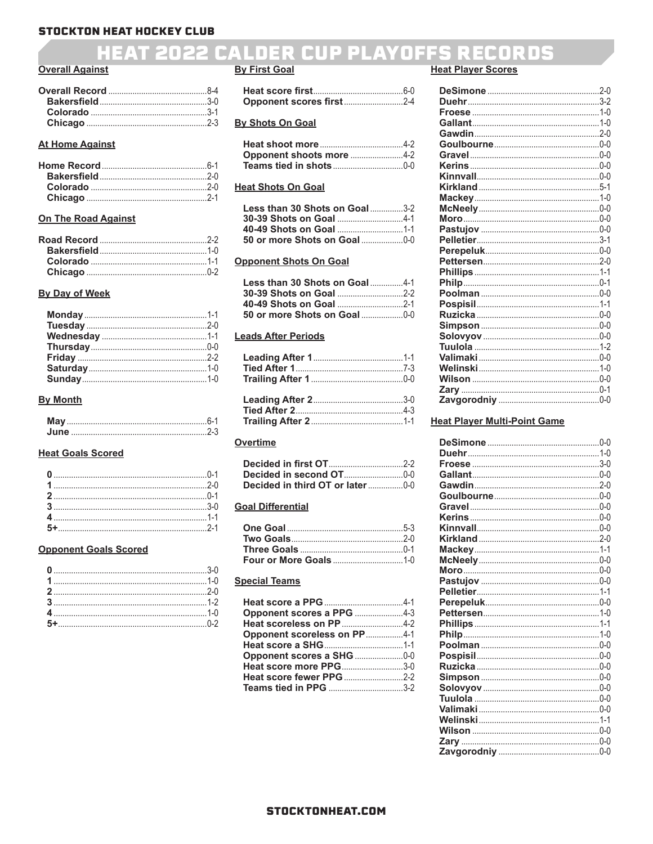### **HEAT 2022 CALDER CUP PLAYOFFS RECORDS**

#### **Overall Against**

#### **At Home Against**

#### **On The Road Against**

#### **By Day of Week**

#### **By Month**

#### **Heat Goals Scored**

#### **Opponent Goals Scored**

#### **By First Goal**

#### **By Shots On Goal**

| Opponent shoots more 4-2 |  |
|--------------------------|--|
|                          |  |

#### **Heat Shots On Goal**

| <b>Less than 30 Shots on Goal3-2</b> |  |
|--------------------------------------|--|
|                                      |  |
|                                      |  |
|                                      |  |

#### **Opponent Shots On Goal**

| Less than 30 Shots on Goal4-1 |  |
|-------------------------------|--|
|                               |  |
|                               |  |
| 50 or more Shots on Goal0-0   |  |

#### **Leads After Periods**

#### **Overtime**

| Decided in third OT or later0-0 |  |
|---------------------------------|--|

#### **Goal Differential**

#### **Special Teams**

| Opponent scores a PPG 4-3          |  |
|------------------------------------|--|
|                                    |  |
| <b>Opponent scoreless on PP4-1</b> |  |
|                                    |  |
|                                    |  |
| Heat score more PPG3-0             |  |
|                                    |  |
|                                    |  |

#### **Heat Player Scores**

#### **Heat Player Multi-Point Game**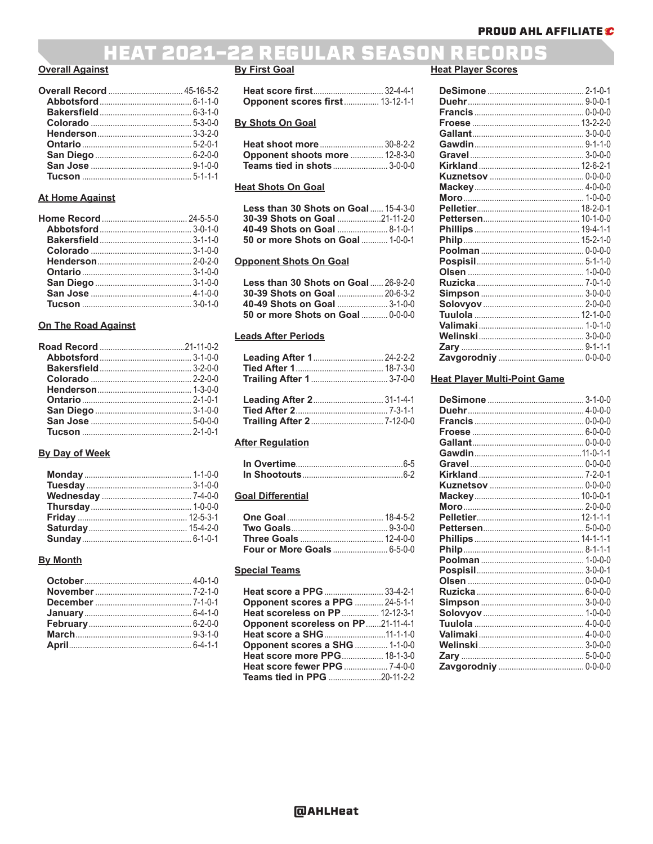### **HEAT 2021-22 REGULAR SEASON RECORDS**

#### **Overall Against**

#### **At Home Against**

#### **On The Road Against**

#### **By Day of Week**

#### **By Month**

### **By First Goal**

| <b>Opponent scores first  13-12-1-1</b> |  |
|-----------------------------------------|--|

#### **By Shots On Goal**

| <b>Heat shoot more  30-8-2-2</b> |  |
|----------------------------------|--|
| Opponent shoots more  12-8-3-0   |  |
|                                  |  |

#### **Heat Shots On Goal**

| Less than 30 Shots on Goal $\ldots$ 15-4-3-0 |  |
|----------------------------------------------|--|
| <b>30-39 Shots on Goal 21-11-2-0</b>         |  |
|                                              |  |
| 50 or more Shots on Goal 1-0-0-1             |  |

#### **Opponent Shots On Goal**

| <b>Less than 30 Shots on Goal 26-9-2-0</b> |  |
|--------------------------------------------|--|
| <b>30-39 Shots on Goal  20-6-3-2</b>       |  |
|                                            |  |
| 50 or more Shots on Goal  0-0-0-0          |  |

#### **Leads After Periods**

| Leading After 1 24-2-2-2 |  |
|--------------------------|--|
|                          |  |
|                          |  |
|                          |  |
|                          |  |
| Leading After 2 31-1-4-1 |  |
|                          |  |

#### **After Regulation**

#### **Goal Differential**

#### **Special Teams**

| Heat score a PPG  33-4-2-1            |  |
|---------------------------------------|--|
| <b>Opponent scores a PPG</b> 24-5-1-1 |  |
| Heat scoreless on PP  12-12-3-1       |  |
| Opponent scoreless on PP21-11-4-1     |  |
| Heat score a SHG11-1-1-0              |  |
| Opponent scores a SHG  1-1-0-0        |  |
| Heat score more PPG 18-1-3-0          |  |
|                                       |  |
| <b>Teams tied in PPG</b> 20-11-2-2    |  |

#### **Heat Player Scores**

#### **Heat Player Multi-Point Game**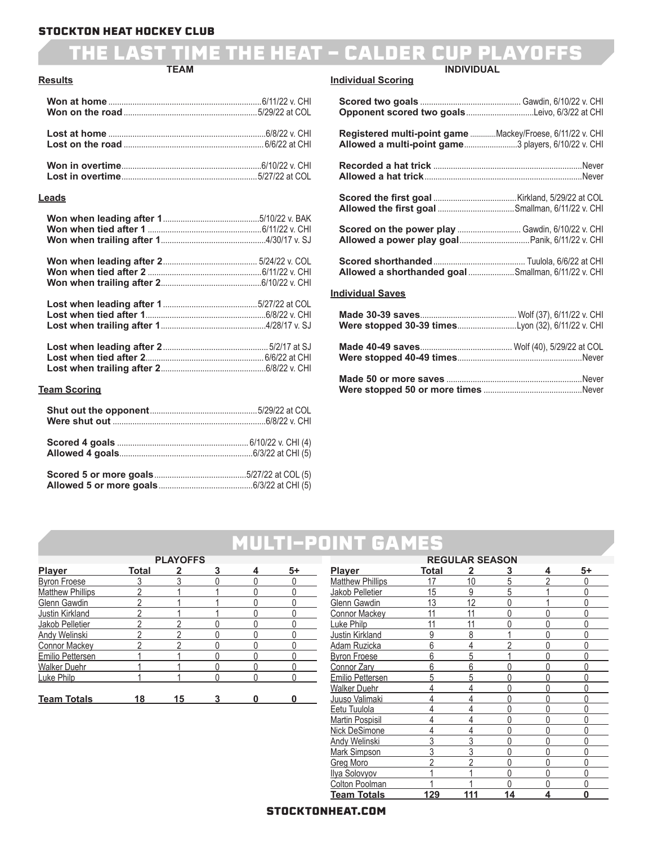#### THE LAST TIME THE HEAT - CALDER CUP PL **TEAM INDIVIDUAL**

#### **Results**

#### **Leads**

| <u>Team Scoring</u> |  |
|---------------------|--|
|                     |  |
|                     |  |
|                     |  |

#### **Individual Scoring**

### **Scored two goals** .............................................. Gawdin, 6/10/22 v. CHI **Opponent scored two goals**...............................Leivo, 6/3/22 at CHI **Registered multi-point game** .............Mackey/Froese, 6/11/22 v. CHI **Allowed a multi-point game**.........................3 players, 6/10/22 v. CHI **Recorded a hat trick** ....................................................................Never **Allowed a hat trick**........................................................................Never  **Scored the first goal** ......................................Kirkland, 5/29/22 at COL  **Allowed the first goal** ...................................Smallman, 6/11/22 v. CHI **Scored on the power play .............................. Gawdin, 6/10/22 v. CHI Allowed a power play goal**................................Panik, 6/11/22 v. CHI **Scored shorthanded**.......................................... Tuulola, 6/6/22 at CHI **Allowed a shorthanded goal** .....................Smallman, 6/11/22 v. CHI **Individual Saves Made 30-39 saves**............................................ Wolf (37), 6/11/22 v. CHI **Were stopped 30-39 times**...........................Lyon (32), 6/11/22 v. CHI **Made 40-49 saves**.......................................... Wolf (40), 5/29/22 at COL **Were stopped 40-49 times**.........................................................Never

**Made 50 or more saves** ..............................................................Never **Were stopped 50 or more times** .............................................Never

### MULTI-POINT GAME

| <b>PLAYOFFS</b>         |       |    |   |   |      |  |
|-------------------------|-------|----|---|---|------|--|
| <b>Player</b>           | Total |    | 3 | 4 | $5+$ |  |
| <b>Byron Froese</b>     |       |    |   |   |      |  |
| <b>Matthew Phillips</b> |       |    |   |   |      |  |
| Glenn Gawdin            |       |    |   |   |      |  |
| Justin Kirkland         |       |    |   |   |      |  |
| Jakob Pelletier         |       |    |   |   |      |  |
| <b>Andy Welinski</b>    |       |    |   |   |      |  |
| <b>Connor Mackey</b>    |       |    |   |   |      |  |
| Emilio Pettersen        |       |    |   |   |      |  |
| <b>Walker Duehr</b>     |       |    |   |   |      |  |
| Luke Philp              |       |    |   |   |      |  |
|                         |       |    |   |   |      |  |
| <b>Team Totals</b>      | 18    | 15 |   |   |      |  |

| <b>REGULAR SEASON</b>   |       |                |          |   |    |  |
|-------------------------|-------|----------------|----------|---|----|--|
| Player                  | Total | 2              | 3        | 4 | 5+ |  |
| <b>Matthew Phillips</b> | 17    | 10             | 5        | 2 | 0  |  |
| Jakob Pelletier         | 15    | 9              | 5        |   | Ŋ  |  |
| Glenn Gawdin            | 13    | 12             | 0        |   | N  |  |
| <b>Connor Mackey</b>    | 11    | 11             | $\Omega$ |   |    |  |
| Luke Philp              | 11    | 11             | $\Omega$ | Λ |    |  |
| <b>Justin Kirkland</b>  | 9     | 8              |          | Λ | Λ  |  |
| Adam Ruzicka            | 6     | 4              | 2        | Λ |    |  |
| <b>Byron Froese</b>     | 6     | 5              |          | Λ | Λ  |  |
| <b>Connor Zary</b>      | 6     | 6              | Ŋ        | Λ |    |  |
| Emilio Pettersen        | 5     | 5              | 0        | 0 | Λ  |  |
| <b>Walker Duehr</b>     | 4     | 4              | $\Omega$ | Û | N  |  |
| Juuso Valimaki          | 4     | $\overline{4}$ | 0        | Λ | N  |  |
| Eetu Tuulola            |       | $\overline{4}$ | $\Omega$ | Λ |    |  |
| <b>Martin Pospisil</b>  |       | 4              | 0        | Û |    |  |
| Nick DeSimone           |       | 4              | 0        | Λ | 0  |  |
| <b>Andy Welinski</b>    | 3     | 3              | $\Omega$ | 0 | Ŋ  |  |
| <b>Mark Simpson</b>     | 3     | $\overline{3}$ | $\Omega$ | Λ |    |  |
| <b>Greg Moro</b>        |       | $\overline{2}$ | 0        | 0 | N  |  |
| Ilya Solovyov           |       |                | $\Omega$ | Û | Λ  |  |
| Colton Poolman          |       |                | O        | Λ |    |  |
| Team Totals             | 129   | 111            | 14       | 4 | O  |  |

#### STOCKTONHEAT.COM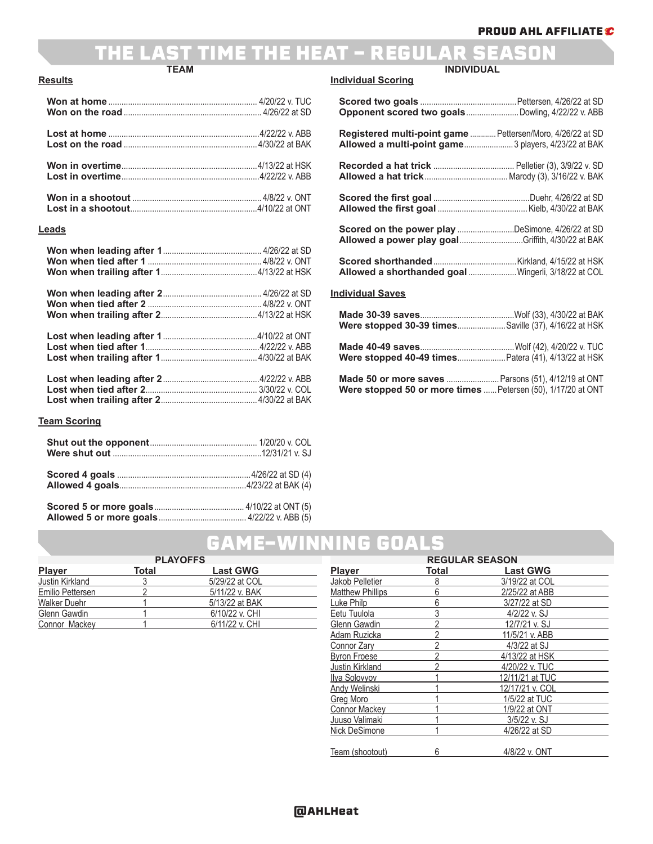#### THE LAST TIME THE HEAT - REGULAR SEASON **TEAM INDIVIDUAL**

#### **Results**

#### **Leads**

#### **Team Scoring**

| Scored 5 or more goals | $4/10/22$ at ONT $(5)$ |
|------------------------|------------------------|

#### **Individual Scoring**

| Opponent scored two goalsDowling, 4/22/22 v. ABB                                                                    |  |
|---------------------------------------------------------------------------------------------------------------------|--|
| Registered multi-point game  Pettersen/Moro, 4/26/22 at SD<br>Allowed a multi-point game 3 players, 4/23/22 at BAK  |  |
|                                                                                                                     |  |
|                                                                                                                     |  |
| <b>Scored on the power play DeSimone, 4/26/22 at SD</b><br><b>Allowed a power play goalGriffith, 4/30/22 at BAK</b> |  |
| Allowed a shorthanded goal  Wingerli, 3/18/22 at COL                                                                |  |
| <b>Individual Saves</b>                                                                                             |  |
| <b>Were stopped 30-39 timesSaville (37), 4/16/22 at HSK</b>                                                         |  |
| Were stopped 40-49 times Patera (41), 4/13/22 at HSK                                                                |  |

**Made 50 or more saves** ........................Parsons (51), 4/12/19 at ONT **Were stopped 50 or more times** ......Petersen (50), 1/17/20 at ONT

### GAME-WINNING GOALS

| <b>PLAYOFFS</b>     |       |                 |  |  |
|---------------------|-------|-----------------|--|--|
| <b>Player</b>       | Total | <b>Last GWG</b> |  |  |
| Justin Kirkland     |       | 5/29/22 at COL  |  |  |
| Emilio Pettersen    |       | 5/11/22 v. BAK  |  |  |
| <b>Walker Duehr</b> |       | 5/13/22 at BAK  |  |  |
| Glenn Gawdin        |       | 6/10/22 v. CHI  |  |  |
| Connor Mackey       |       | 6/11/22 v. CHI  |  |  |

| <b>REGULAR SEASON</b>   |                |                 |  |  |
|-------------------------|----------------|-----------------|--|--|
| <b>Player</b>           | Total          | <b>Last GWG</b> |  |  |
| Jakob Pelletier         | 8              | 3/19/22 at COL  |  |  |
| <b>Matthew Phillips</b> | 6              | 2/25/22 at ABB  |  |  |
| Luke Philp              | 6              | 3/27/22 at SD   |  |  |
| Eetu Tuulola            | 3              | 4/2/22 v. SJ    |  |  |
| Glenn Gawdin            | $\mathfrak{p}$ | 12/7/21 v. SJ   |  |  |
| Adam Ruzicka            | $\overline{2}$ | 11/5/21 v. ABB  |  |  |
| Connor Zary             | 2              | 4/3/22 at SJ    |  |  |
| <b>Byron Froese</b>     | $\overline{2}$ | 4/13/22 at HSK  |  |  |
| Justin Kirkland         | $\overline{2}$ | 4/20/22 v. TUC  |  |  |
| Ilya Solovyov           |                | 12/11/21 at TUC |  |  |
| Andy Welinski           |                | 12/17/21 v. COL |  |  |
| <b>Greg Moro</b>        |                | 1/5/22 at TUC   |  |  |
| <b>Connor Mackey</b>    |                | 1/9/22 at ONT   |  |  |
| Juuso Valimaki          |                | 3/5/22 v. SJ    |  |  |
| Nick DeSimone           |                | 4/26/22 at SD   |  |  |
|                         |                |                 |  |  |
| Team (shootout)         | 6              | 4/8/22 v. ONT   |  |  |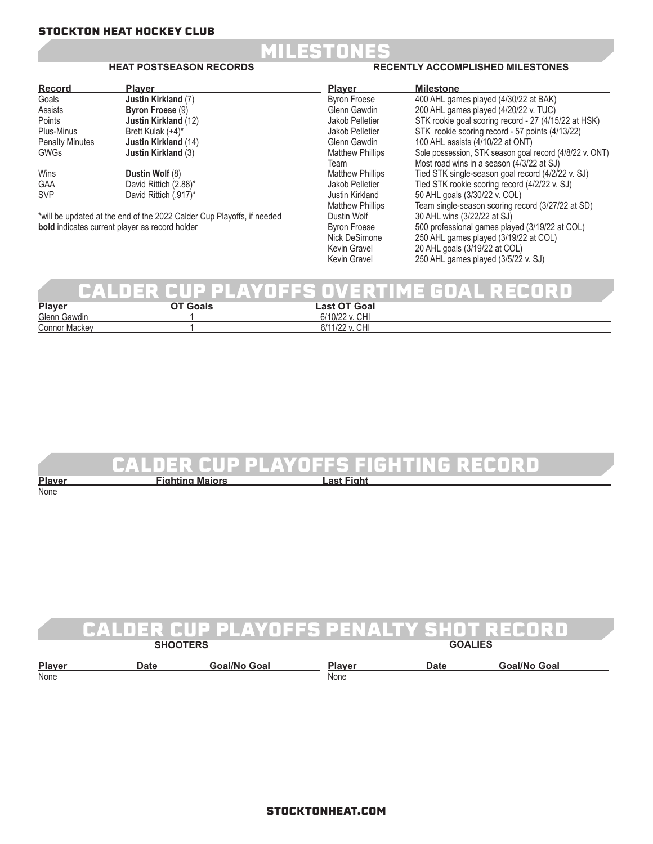

#### **HEAT POSTSEASON RECORDS**

#### **RECENTLY ACCOMPLISHED MILESTONES**

 $250$  AHL games played (3/5/22 v. SJ)

| <b>Record</b>                                         | <b>Player</b>                                                          | <b>Player</b>           | <b>Milestone</b>                                        |
|-------------------------------------------------------|------------------------------------------------------------------------|-------------------------|---------------------------------------------------------|
| Goals                                                 | Justin Kirkland (7)                                                    | <b>Byron Froese</b>     | 400 AHL games played (4/30/22 at BAK)                   |
| Assists                                               | Byron Froese (9)                                                       | Glenn Gawdin            | 200 AHL games played (4/20/22 v. TUC)                   |
| Points                                                | <b>Justin Kirkland (12)</b>                                            | Jakob Pelletier         | STK rookie goal scoring record - 27 (4/15/22 at HSK)    |
| Plus-Minus                                            | Brett Kulak (+4)*                                                      | Jakob Pelletier         | STK rookie scoring record - 57 points (4/13/22)         |
| <b>Penalty Minutes</b>                                | <b>Justin Kirkland</b> (14)                                            | Glenn Gawdin            | 100 AHL assists (4/10/22 at ONT)                        |
| <b>GWGs</b>                                           | <b>Justin Kirkland (3)</b>                                             | <b>Matthew Phillips</b> | Sole possession, STK season goal record (4/8/22 v. ONT) |
|                                                       |                                                                        | Team                    | Most road wins in a season (4/3/22 at SJ)               |
| Wins                                                  | Dustin Wolf (8)                                                        | <b>Matthew Phillips</b> | Tied STK single-season goal record (4/2/22 v. SJ)       |
| <b>GAA</b>                                            | David Rittich (2.88)*                                                  | Jakob Pelletier         | Tied STK rookie scoring record (4/2/22 v. SJ)           |
| <b>SVP</b>                                            | David Rittich (.917)*                                                  | Justin Kirkland         | 50 AHL goals (3/30/22 v. COL)                           |
|                                                       |                                                                        | <b>Matthew Phillips</b> | Team single-season scoring record (3/27/22 at SD)       |
|                                                       | *will be updated at the end of the 2022 Calder Cup Playoffs, if needed | Dustin Wolf             | 30 AHL wins (3/22/22 at SJ)                             |
| <b>bold</b> indicates current player as record holder |                                                                        | <b>Byron Froese</b>     | 500 professional games played (3/19/22 at COL)          |
|                                                       |                                                                        | Nick DeSimone           | 250 AHL games played (3/19/22 at COL)                   |
|                                                       |                                                                        | Kevin Gravel            | 20 AHL goals (3/19/22 at COL)                           |
|                                                       |                                                                        | Kevin Gravel            | 250 AHL games played (3/5/22 v. SJ)                     |

### CALDER CUP PLAYOFFS OVERTIME GOAL RECORD

| <b>Player</b>        | 0.001<br>∟as†<br>υa                       |  |
|----------------------|-------------------------------------------|--|
| Glenn<br><br>Gawdin  | 6/10/22<br>v. CHI<br>O/H                  |  |
| <b>Connor Mackey</b> | $\cap$<br>$\sqrt{2}$<br>' o<br>UПI<br>12Z |  |

### CALDER CUP PLAYOFFS FIGHTING RECORD

| <b>Plaver</b> | <b>Fighting Majors</b> | <b>Last Fight</b> |
|---------------|------------------------|-------------------|
| None          |                        |                   |
|               |                        |                   |

|                       | CALDER CUP PLAYOFFS PENALTY SHOT RECORD |              |                       |                |              |  |
|-----------------------|-----------------------------------------|--------------|-----------------------|----------------|--------------|--|
|                       | <b>SHOOTERS</b>                         |              |                       | <b>GOALIES</b> |              |  |
| <b>Player</b><br>None | Date                                    | Goal/No Goal | <b>Plaver</b><br>None | <b>Date</b>    | Goal/No Goal |  |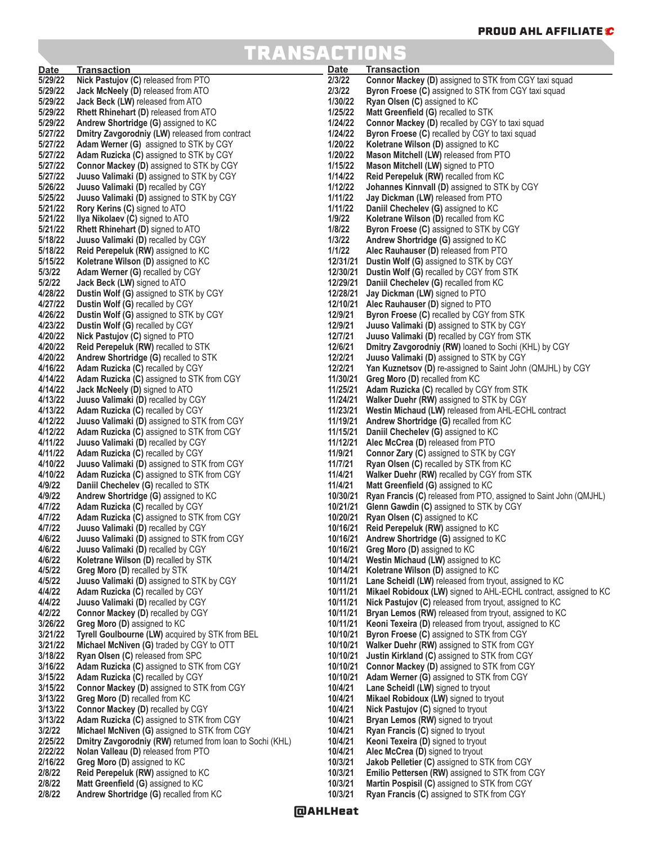## TRANSACTIONS

| <b>Date</b>        | <b>Transaction</b>                                                            | <b>Date</b>          | <b>Transaction</b>                                                                 |
|--------------------|-------------------------------------------------------------------------------|----------------------|------------------------------------------------------------------------------------|
| 5/29/22            | Nick Pastujov (C) released from PTO                                           | 2/3/22               | Connor Mackey (D) assigned to STK from CGY taxi squad                              |
| 5/29/22            | Jack McNeely (D) released from ATO                                            | 2/3/22               | Byron Froese (C) assigned to STK from CGY taxi squad                               |
| 5/29/22            | Jack Beck (LW) released from ATO                                              | 1/30/22              | <b>Ryan Olsen (C)</b> assigned to KC                                               |
| 5/29/22            | <b>Rhett Rhinehart (D)</b> released from ATO                                  | 1/25/22              | Matt Greenfield (G) recalled to STK                                                |
| 5/29/22            | Andrew Shortridge (G) assigned to KC                                          | 1/24/22              | <b>Connor Mackey (D)</b> recalled by CGY to taxi squad                             |
| 5/27/22            | Dmitry Zavgorodniy (LW) released from contract                                | 1/24/22              | <b>Byron Froese (C)</b> recalled by CGY to taxi squad                              |
| 5/27/22            | Adam Werner (G) assigned to STK by CGY                                        | 1/20/22              | Koletrane Wilson (D) assigned to KC                                                |
| 5/27/22            | <b>Adam Ruzicka (C)</b> assigned to STK by CGY                                | 1/20/22              | Mason Mitchell (LW) released from PTO                                              |
| 5/27/22            | <b>Connor Mackey (D)</b> assigned to STK by CGY                               | 1/15/22              | Mason Mitchell (LW) signed to PTO                                                  |
| 5/27/22            | <b>Juuso Valimaki (D)</b> assigned to STK by CGY                              | 1/14/22              | Reid Perepeluk (RW) recalled from KC                                               |
| 5/26/22            | Juuso Valimaki (D) recalled by CGY                                            | 1/12/22              | <b>Johannes Kinnvall (D)</b> assigned to STK by CGY                                |
| 5/25/22            | Juuso Valimaki (D) assigned to STK by CGY                                     | 1/11/22              | Jay Dickman (LW) released from PTO                                                 |
| 5/21/22            | Rory Kerins (C) signed to ATO                                                 | 1/11/22              | Daniil Chechelev (G) assigned to KC                                                |
| 5/21/22            | <b>Ilya Nikolaev (C)</b> signed to ATO                                        | 1/9/22               | Koletrane Wilson (D) recalled from KC                                              |
| 5/21/22            | <b>Rhett Rhinehart (D)</b> signed to ATO                                      | 1/8/22               | <b>Byron Froese (C)</b> assigned to STK by CGY                                     |
| 5/18/22            | Juuso Valimaki (D) recalled by CGY                                            | 1/3/22               | Andrew Shortridge (G) assigned to KC                                               |
| 5/18/22            | Reid Perepeluk (RW) assigned to KC                                            | 1/1/22               | Alec Rauhauser (D) released from PTO                                               |
| 5/15/22            | Koletrane Wilson (D) assigned to KC                                           | 12/31/21             | Dustin Wolf (G) assigned to STK by CGY                                             |
| 5/3/22             | <b>Adam Werner (G) recalled by CGY</b>                                        |                      | 12/30/21 Dustin Wolf (G) recalled by CGY from STK                                  |
| 5/2/22             | Jack Beck (LW) signed to ATO                                                  | 12/29/21             | Daniil Chechelev (G) recalled from KC                                              |
| 4/28/22            | <b>Dustin Wolf (G)</b> assigned to STK by CGY                                 | 12/28/21             | Jay Dickman (LW) signed to PTO                                                     |
| 4/27/22            | <b>Dustin Wolf (G) recalled by CGY</b>                                        |                      | 12/10/21 Alec Rauhauser (D) signed to PTO                                          |
| 4/26/22            | <b>Dustin Wolf (G)</b> assigned to STK by CGY                                 | 12/9/21              | <b>Byron Froese (C) recalled by CGY from STK</b>                                   |
| 4/23/22            | <b>Dustin Wolf (G) recalled by CGY</b>                                        | 12/9/21              | Juuso Valimaki (D) assigned to STK by CGY                                          |
| 4/20/22            | Nick Pastujov (C) signed to PTO                                               | 12/7/21              | <b>Juuso Valimaki (D)</b> recalled by CGY from STK                                 |
| 4/20/22            | Reid Perepeluk (RW) recalled to STK                                           | 12/6/21              | Dmitry Zavgorodniy (RW) loaned to Sochi (KHL) by CGY                               |
| 4/20/22            | Andrew Shortridge (G) recalled to STK                                         | 12/2/21              | Juuso Valimaki (D) assigned to STK by CGY                                          |
| 4/16/22            | Adam Ruzicka (C) recalled by CGY                                              | 12/2/21              | <b>Yan Kuznetsov (D)</b> re-assigned to Saint John (QMJHL) by CGY                  |
| 4/14/22            | <b>Adam Ruzicka (C)</b> assigned to STK from CGY                              | 11/30/21             | <b>Greg Moro (D)</b> recalled from KC                                              |
| 4/14/22            | Jack McNeely (D) signed to ATO                                                |                      | 11/25/21 Adam Ruzicka (C) recalled by CGY from STK                                 |
| 4/13/22            | Juuso Valimaki (D) recalled by CGY                                            | 11/24/21             | Walker Duehr (RW) assigned to STK by CGY                                           |
| 4/13/22            | Adam Ruzicka (C) recalled by CGY                                              |                      | 11/23/21 Westin Michaud (LW) released from AHL-ECHL contract                       |
| 4/12/22<br>4/12/22 | <b>Juuso Valimaki (D)</b> assigned to STK from CGY                            | 11/19/21             | Andrew Shortridge (G) recalled from KC                                             |
| 4/11/22            | Adam Ruzicka (C) assigned to STK from CGY                                     | 11/15/21<br>11/12/21 | Daniil Chechelev (G) assigned to KC                                                |
| 4/11/22            | Juuso Valimaki (D) recalled by CGY<br><b>Adam Ruzicka (C) recalled by CGY</b> | 11/9/21              | Alec McCrea (D) released from PTO<br><b>Connor Zary (C)</b> assigned to STK by CGY |
| 4/10/22            | Juuso Valimaki (D) assigned to STK from CGY                                   | 11/7/21              | Ryan Olsen (C) recalled by STK from KC                                             |
| 4/10/22            | <b>Adam Ruzicka (C)</b> assigned to STK from CGY                              | 11/4/21              | <b>Walker Duehr (RW)</b> recalled by CGY from STK                                  |
| 4/9/22             | Daniil Chechelev (G) recalled to STK                                          | 11/4/21              | Matt Greenfield (G) assigned to KC                                                 |
| 4/9/22             | Andrew Shortridge (G) assigned to KC                                          | 10/30/21             | <b>Ryan Francis (C)</b> released from PTO, assigned to Saint John (QMJHL)          |
| 4/7/22             | Adam Ruzicka (C) recalled by CGY                                              | 10/21/21             | <b>Glenn Gawdin (C)</b> assigned to STK by CGY                                     |
| 4/7/22             | <b>Adam Ruzicka (C)</b> assigned to STK from CGY                              | 10/20/21             | <b>Ryan Olsen (C)</b> assigned to KC                                               |
| 4/7/22             | Juuso Valimaki (D) recalled by CGY                                            | 10/16/21             | <b>Reid Perepeluk (RW)</b> assigned to KC                                          |
| 4/6/22             | Juuso Valimaki (D) assigned to STK from CGY                                   |                      | 10/16/21 Andrew Shortridge (G) assigned to KC                                      |
| 4/6/22             | Juuso Valimaki (D) recalled by CGY                                            |                      | 10/16/21 Greg Moro (D) assigned to KC                                              |
| 4/6/22             | Koletrane Wilson (D) recalled by STK                                          |                      | 10/14/21 Westin Michaud (LW) assigned to KC                                        |
| 4/5/22             | Greg Moro (D) recalled by STK                                                 | 10/14/21             | Koletrane Wilson (D) assigned to KC                                                |
| 4/5/22             | Juuso Valimaki (D) assigned to STK by CGY                                     | 10/11/21             | Lane Scheidl (LW) released from tryout, assigned to KC                             |
| 4/4/22             | Adam Ruzicka (C) recalled by CGY                                              | 10/11/21             | Mikael Robidoux (LW) signed to AHL-ECHL contract, assigned to KC                   |
| 4/4/22             | Juuso Valimaki (D) recalled by CGY                                            | 10/11/21             | Nick Pastujov (C) released from tryout, assigned to KC                             |
| 4/2/22             | Connor Mackey (D) recalled by CGY                                             | 10/11/21             | Bryan Lemos (RW) released from tryout, assigned to KC                              |
| 3/26/22            | Greg Moro (D) assigned to KC                                                  | 10/11/21             | Keoni Texeira (D) released from tryout, assigned to KC                             |
| 3/21/22            | Tyrell Goulbourne (LW) acquired by STK from BEL                               | 10/10/21             | Byron Froese (C) assigned to STK from CGY                                          |
| 3/21/22            | Michael McNiven (G) traded by CGY to OTT                                      | 10/10/21             | Walker Duehr (RW) assigned to STK from CGY                                         |
| 3/18/22            | Ryan Olsen (C) released from SPC                                              | 10/10/21             | <b>Justin Kirkland (C)</b> assigned to STK from CGY                                |
| 3/16/22            | Adam Ruzicka (C) assigned to STK from CGY                                     | 10/10/21             | Connor Mackey (D) assigned to STK from CGY                                         |
| 3/15/22            | Adam Ruzicka (C) recalled by CGY                                              | 10/10/21             | Adam Werner (G) assigned to STK from CGY                                           |
| 3/15/22            | <b>Connor Mackey (D) assigned to STK from CGY</b>                             | 10/4/21              | Lane Scheidl (LW) signed to tryout                                                 |
| 3/13/22            | Greg Moro (D) recalled from KC                                                | 10/4/21              | Mikael Robidoux (LW) signed to tryout                                              |
| 3/13/22            | Connor Mackey (D) recalled by CGY                                             | 10/4/21              | Nick Pastujov (C) signed to tryout                                                 |
| 3/13/22            | <b>Adam Ruzicka (C)</b> assigned to STK from CGY                              | 10/4/21              | <b>Bryan Lemos (RW)</b> signed to tryout                                           |
| 3/2/22             | Michael McNiven (G) assigned to STK from CGY                                  | 10/4/21              | <b>Ryan Francis (C)</b> signed to tryout                                           |
| 2/25/22<br>2/22/22 | Dmitry Zavgorodniy (RW) returned from loan to Sochi (KHL)                     | 10/4/21<br>10/4/21   | Keoni Texeira (D) signed to tryout                                                 |
| 2/16/22            | Nolan Valleau (D) released from PTO<br>Greg Moro (D) assigned to KC           | 10/3/21              | Alec McCrea (D) signed to tryout<br>Jakob Pelletier (C) assigned to STK from CGY   |
| 2/8/22             | Reid Perepeluk (RW) assigned to KC                                            | 10/3/21              | <b>Emilio Pettersen (RW) assigned to STK from CGY</b>                              |
| 2/8/22             | Matt Greenfield (G) assigned to KC                                            | 10/3/21              | Martin Pospisil (C) assigned to STK from CGY                                       |
| 2/8/22             | Andrew Shortridge (G) recalled from KC                                        | 10/3/21              | <b>Ryan Francis (C)</b> assigned to STK from CGY                                   |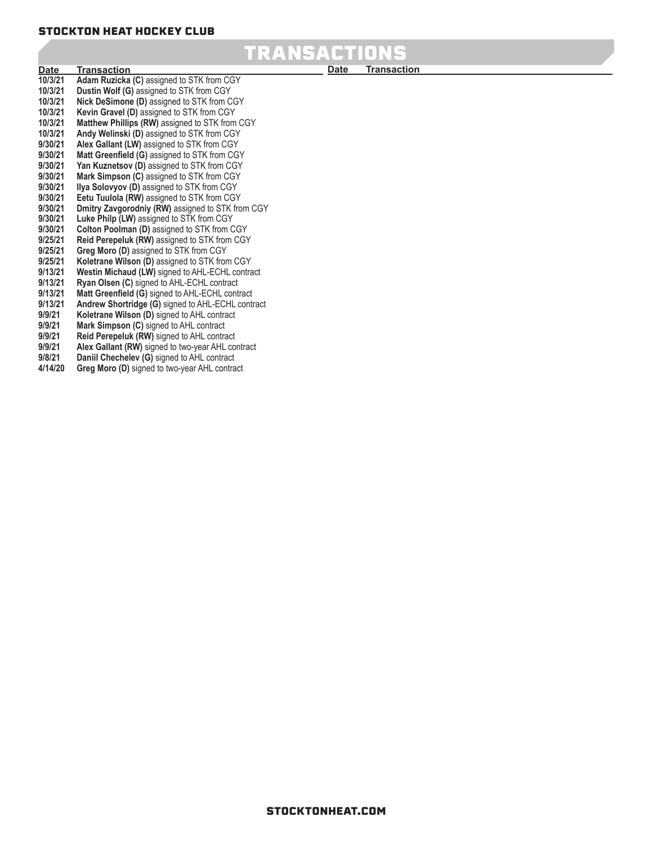## TRANSACTION

**10/3/21 Adam Ruzicka (C)** assigned to STK from CGY **10/3/21 Dustin Wolf (G)** assigned to STK from CGY **10/3/21 Nick DeSimone (D)** assigned to STK from CGY **10/3/21 Kevin Gravel (D)** assigned to STK from CGY **10/3/21 Matthew Phillips (RW)** assigned to STK from CGY **10/3/21 Andy Welinski (D)** assigned to STK from CGY **9/30/21 Alex Gallant (LW)** assigned to STK from CGY **9/30/21 Matt Greenfield (G)** assigned to STK from CGY<br>**9/30/21 Yan Kuznetsov (D)** assigned to STK from CGY **9/30/21 Yan Kuznetsov (D)** assigned to STK from CGY **9/30/21 Mark Simpson (C)** assigned to STK from CGY **9/30/21 Ilya Solovyov (D)** assigned to STK from CGY **9/30/21 Eetu Tuulola (RW)** assigned to STK from CGY **Dmitry Zavgorodniy (RW)** assigned to STK from CGY **9/30/21 Luke Philp (LW)** assigned to STK from CGY **9/30/21 Colton Poolman (D)** assigned to STK from CGY **9/25/21 Reid Perepeluk (RW)** assigned to STK from CGY **Greg Moro (D)** assigned to STK from CGY **9/25/21 Koletrane Wilson (D)** assigned to STK from CGY **9/13/21 Westin Michaud (LW)** signed to AHL-ECHL contract **9/13/21 Ryan Olsen (C)** signed to AHL-ECHL contract **9/13/21 Matt Greenfield (G)** signed to AHL-ECHL contract **9/13/21 Andrew Shortridge (G)** signed to AHL-ECHL contract **9/9/21 Koletrane Wilson (D)** signed to AHL contract **9/9/21 Mark Simpson (C)** signed to AHL contract **9/9/21 Reid Perepeluk (RW)** signed to AHL contract **9/9/21 Alex Gallant (RW)** signed to two-year AHL contract **9/8/21 Daniil Chechelev (G)** signed to AHL contract **Greg Moro (D)** signed to two-year AHL contract **Date Transaction**

**Transaction**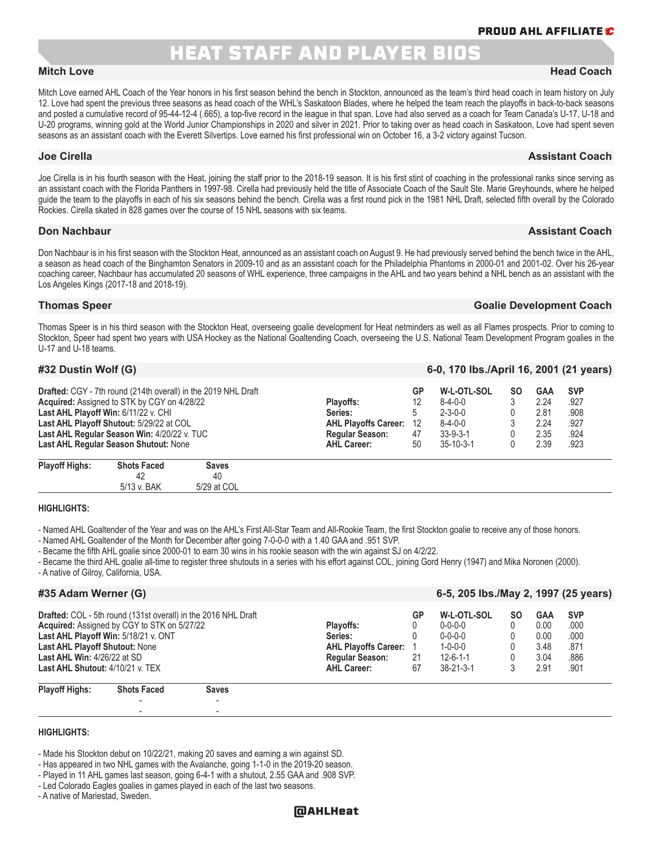### **HEAT STAFF AND PLAYER BIO**

Mitch Love earned AHL Coach of the Year honors in his first season behind the bench in Stockton, announced as the team's third head coach in team history on July 12. Love had spent the previous three seasons as head coach of the WHL's Saskatoon Blades, where he helped the team reach the playoffs in back-to-back seasons and posted a cumulative record of 95-44-12-4 (.665), a top-five record in the league in that span. Love had also served as a coach for Team Canada's U-17, U-18 and U-20 programs, winning gold at the World Junior Championships in 2020 and silver in 2021. Prior to taking over as head coach in Saskatoon, Love had spent seven seasons as an assistant coach with the Everett Silvertips. Love earned his first professional win on October 16, a 3-2 victory against Tucson.

#### **Joe Cirella Assistant Coach**

Joe Cirella is in his fourth season with the Heat, joining the staff prior to the 2018-19 season. It is his first stint of coaching in the professional ranks since serving as an assistant coach with the Florida Panthers in 1997-98. Cirella had previously held the title of Associate Coach of the Sault Ste. Marie Greyhounds, where he helped guide the team to the playoffs in each of his six seasons behind the bench. Cirella was a first round pick in the 1981 NHL Draft, selected fifth overall by the Colorado Rockies. Cirella skated in 828 games over the course of 15 NHL seasons with six teams.

#### **Don Nachbaur Assistant Coach**

Don Nachbaur is in his first season with the Stockton Heat, announced as an assistant coach on August 9. He had previously served behind the bench twice in the AHL, a season as head coach of the Binghamton Senators in 2009-10 and as an assistant coach for the Philadelphia Phantoms in 2000-01 and 2001-02. Over his 26-year coaching career, Nachbaur has accumulated 20 seasons of WHL experience, three campaigns in the AHL and two years behind a NHL bench as an assistant with the Los Angeles Kings (2017-18 and 2018-19).

#### **Thomas Speer Goalie Development Coach**

Thomas Speer is in his third season with the Stockton Heat, overseeing goalie development for Heat netminders as well as all Flames prospects. Prior to coming to Stockton, Speer had spent two years with USA Hockey as the National Goaltending Coach, overseeing the U.S. National Team Development Program goalies in the U-17 and U-18 teams.

| #32 Dustin Wolf (G)                                                                                                     |                             | 6-0, 170 lbs./April 16, 2001 (21 years) |                    |    |            |            |  |  |  |
|-------------------------------------------------------------------------------------------------------------------------|-----------------------------|-----------------------------------------|--------------------|----|------------|------------|--|--|--|
| Drafted: CGY - 7th round (214th overall) in the 2019 NHL Draft                                                          |                             | GP                                      | <b>W-L-OTL-SOL</b> | SΟ | <b>GAA</b> | <b>SVP</b> |  |  |  |
| Acquired: Assigned to STK by CGY on 4/28/22                                                                             | Plavoffs:                   | 12                                      | 8-4-0-0            |    | 2.24       | .927       |  |  |  |
| Last AHL Playoff Win: 6/11/22 v. CHI                                                                                    | Series:                     |                                         | $2 - 3 - 0 - 0$    |    | 2.81       | .908       |  |  |  |
| Last AHL Playoff Shutout: 5/29/22 at COL                                                                                | <b>AHL Playoffs Career:</b> | 12                                      | $8 - 4 - 0 - 0$    |    | 2.24       | .927       |  |  |  |
| Last AHL Regular Season Win: 4/20/22 v. TUC                                                                             | <b>Regular Season:</b>      | 47                                      | $33 - 9 - 3 - 1$   |    | 2.35       | .924       |  |  |  |
| Last AHL Regular Season Shutout: None                                                                                   | <b>AHL Career:</b>          | 50                                      | $35 - 10 - 3 - 1$  |    | 2.39       | .923       |  |  |  |
| $\mathbf{D}$ be a set if the set of $\mathbf{D}$<br>$\mathsf{AL}$ . As $\mathsf{PL}$ . As $\mathsf{AL}$<br>$\mathbf{r}$ |                             |                                         |                    |    |            |            |  |  |  |

| f Highs:<br>Playoff | <b>Shots Faced</b>           | Saves                         |
|---------------------|------------------------------|-------------------------------|
|                     | ℡                            | 40                            |
|                     | RAK<br>$^{\circ}$ 14.<br>ורכ | $\sim$<br>$-10t$<br>51<br>◡◡∟ |

#### **HIGHLIGHTS:**

- Named AHL Goaltender of the Year and was on the AHL's First All-Star Team and All-Rookie Team, the first Stockton goalie to receive any of those honors.

- Named AHL Goaltender of the Month for December after going 7-0-0-0 with a 1.40 GAA and .951 SVP.

- Became the fifth AHL goalie since 2000-01 to earn 30 wins in his rookie season with the win against SJ on 4/2/22.

- Became the third AHL goalie all-time to register three shutouts in a series with his effort against COL, joining Gord Henry (1947) and Mika Noronen (2000).

- A native of Gilroy, California, USA.

| #35 Adam Werner (G)                             |                                                                |              |                                                             |    | 6-5, 205 lbs./May 2, 1997 (25 years) |           |              |            |
|-------------------------------------------------|----------------------------------------------------------------|--------------|-------------------------------------------------------------|----|--------------------------------------|-----------|--------------|------------|
|                                                 | Drafted: COL - 5th round (131st overall) in the 2016 NHL Draft |              |                                                             | GP | <b>W-L-OTL-SOL</b>                   | <b>SO</b> | GAA          | <b>SVP</b> |
|                                                 | Acquired: Assigned by CGY to STK on 5/27/22                    |              | <b>Plavoffs:</b>                                            |    | $0 - 0 - 0 - 0$                      |           | 0.00         | .000       |
|                                                 | Last AHL Playoff Win: 5/18/21 v. ONT                           |              | Series:                                                     |    | $0 - 0 - 0 - 0$                      |           | 0.00         | .000       |
| Last AHL Playoff Shutout: None                  |                                                                |              | <b>AHL Playoffs Career:</b><br><b>Regular Season:</b><br>21 |    | $1 - 0 - 0 - 0$                      |           | 3.48<br>3.04 | .871       |
| <b>Last AHL Win: <math>4/26/22</math> at SD</b> |                                                                |              |                                                             |    | $12 - 6 - 1 - 1$                     |           |              | .886       |
| Last AHL Shutout: 4/10/21 v. TEX                |                                                                |              | <b>AHL Career:</b>                                          | 67 | $38 - 21 - 3 - 1$                    |           | 2.91         | .901       |
| <b>Playoff Highs:</b>                           | <b>Shots Faced</b>                                             | <b>Saves</b> |                                                             |    |                                      |           |              |            |
|                                                 |                                                                |              |                                                             |    |                                      |           |              |            |
|                                                 | ۰                                                              | ۰            |                                                             |    |                                      |           |              |            |

#### **HIGHLIGHTS:**

- Made his Stockton debut on 10/22/21, making 20 saves and earning a win against SD.

- Has appeared in two NHL games with the Avalanche, going 1-1-0 in the 2019-20 season.

- Played in 11 AHL games last season, going 6-4-1 with a shutout, 2.55 GAA and .908 SVP.

- Led Colorado Eagles goalies in games played in each of the last two seasons.

- A native of Mariestad, Sweden.



#### **Mitch Love Head Coach**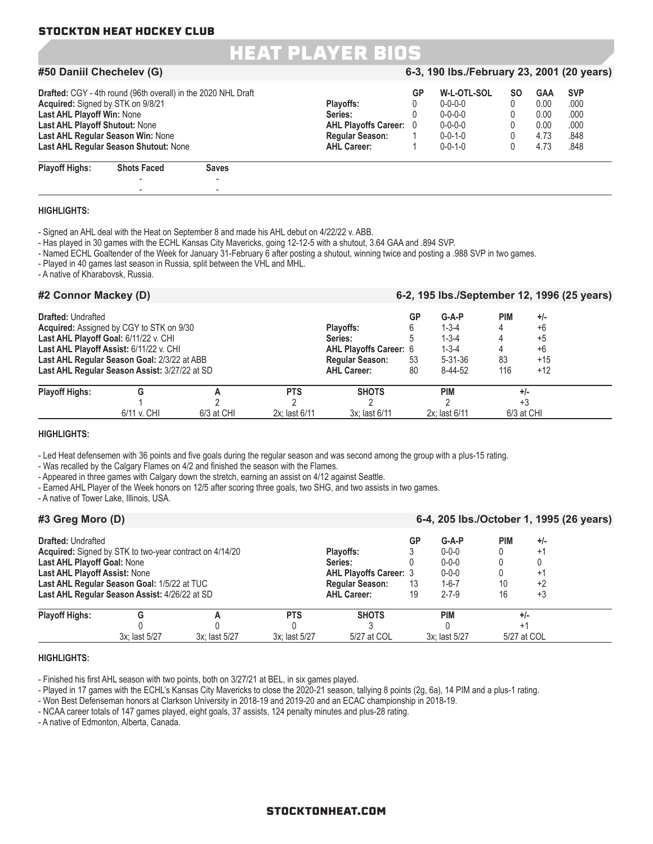- -

### HEAT PLAYER BIOS

#### **#50 Daniil Chechelev (G) 6-3, 190 lbs./February 23, 2001 (20 years) Drafted:** CGY - 4th round (96th overall) in the 2020 NHL Draft **GP CRICE CRICE COTL-SOL SO GAA SVP**<br> **Playoffs:**  $\begin{array}{ccc}\n0 & 0 & 0 & 0 \\
0 & 0 & -0 & 0 \\
0 & 0 & 0 & 0\n\end{array}$ **Acquired:** Signed by STK on 9/8/21 **Playoffs:** 0 0-0-0-0 0 0.00 .000 **Last AHL Playoff Win:** None **Series:** 0 0-0-0-0 0 0.00 .000 **Last AHL Playoff Shutout:** None **AHL Playoffs Career:** 0 0-0-0-0 0 0.00 .000 **Last AHL Regular Season Win:** None **Regular Season:** 1 0-0-1-0 0 4.73 .848 **Last AHL Regular Season Shutout: None Playoff Highs: Shots Faced Saves** - -

| <b>HIGHLIGHTS:</b> |  |
|--------------------|--|

- Signed an AHL deal with the Heat on September 8 and made his AHL debut on 4/22/22 v. ABB.

- Has played in 30 games with the ECHL Kansas City Mavericks, going 12-12-5 with a shutout, 3.64 GAA and .894 SVP.

- Named ECHL Goaltender of the Week for January 31-February 6 after posting a shutout, winning twice and posting a .988 SVP in two games.

- Played in 40 games last season in Russia, split between the VHL and MHL.

- A native of Kharabovsk, Russia.

| #2 Connor Mackey (D)      |                                                                                                                                                                                                                              |            |                             |                                                                                                       |                          |                                                                                  |                         | 6-2, 195 lbs./September 12, 1996 (25 years)     |
|---------------------------|------------------------------------------------------------------------------------------------------------------------------------------------------------------------------------------------------------------------------|------------|-----------------------------|-------------------------------------------------------------------------------------------------------|--------------------------|----------------------------------------------------------------------------------|-------------------------|-------------------------------------------------|
| <b>Drafted: Undrafted</b> | Acquired: Assigned by CGY to STK on 9/30<br>Last AHL Playoff Goal: 6/11/22 v. CHI<br>Last AHL Playoff Assist: 6/11/22 v. CHI<br>Last AHL Regular Season Goal: 2/3/22 at ABB<br>Last AHL Regular Season Assist: 3/27/22 at SD |            |                             | Plavoffs:<br>Series:<br><b>AHL Playoffs Career: 6</b><br><b>Regular Season:</b><br><b>AHL Career:</b> | GP<br>6<br>5<br>53<br>80 | $G-A-P$<br>$1 - 3 - 4$<br>$1 - 3 - 4$<br>$1 - 3 - 4$<br>$5 - 31 - 36$<br>8-44-52 | <b>PIM</b><br>83<br>116 | $+/-$<br>$+6$<br>$+5$<br>$+6$<br>$+15$<br>$+12$ |
| <b>Playoff Highs:</b>     | G<br>6/11 v. CHI                                                                                                                                                                                                             | 6/3 at CHI | <b>PTS</b><br>2x: last 6/11 | <b>SHOTS</b><br>3x: last 6/11                                                                         |                          | <b>PIM</b><br>2x: last 6/11                                                      |                         | $+/-$<br>$+3$<br>6/3 at CHI                     |

#### **HIGHLIGHTS:**

- Led Heat defensemen with 36 points and five goals during the regular season and was second among the group with a plus-15 rating.

- Was recalled by the Calgary Flames on 4/2 and finished the season with the Flames.

- Appeared in three games with Calgary down the stretch, earning an assist on 4/12 against Seattle.

- Earned AHL Player of the Week honors on 12/5 after scoring three goals, two SHG, and two assists in two games.

- A native of Tower Lake, Illinois, USA.

| #3 Greg Moro (D)                                                                                 |                                                                                                                                                                |               |                             |                                                                                                       |                | 6-4, 205 lbs./October 1, 1995 (26 years)                                           |                        |                                   |  |
|--------------------------------------------------------------------------------------------------|----------------------------------------------------------------------------------------------------------------------------------------------------------------|---------------|-----------------------------|-------------------------------------------------------------------------------------------------------|----------------|------------------------------------------------------------------------------------|------------------------|-----------------------------------|--|
| <b>Drafted: Undrafted</b><br>Last AHL Playoff Goal: None<br><b>Last AHL Playoff Assist: None</b> | <b>Acquired:</b> Signed by STK to two-year contract on 4/14/20<br>Last AHL Regular Season Goal: 1/5/22 at TUC<br>Last AHL Regular Season Assist: 4/26/22 at SD |               |                             | Plavoffs:<br>Series:<br><b>AHL Playoffs Career: 3</b><br><b>Regular Season:</b><br><b>AHL Career:</b> | GP<br>13<br>19 | $G-A-P$<br>$0 - 0 - 0$<br>$0 - 0 - 0$<br>$0 - 0 - 0$<br>$1 - 6 - 7$<br>$2 - 7 - 9$ | <b>PIM</b><br>10<br>16 | $+/-$<br>$+1$<br>$+1$<br>+2<br>+3 |  |
| <b>Playoff Highs:</b>                                                                            | 3x: last 5/27                                                                                                                                                  | 3x: last 5/27 | <b>PTS</b><br>3x; last 5/27 | <b>SHOTS</b><br>5/27 at COL                                                                           |                | <b>PIM</b><br>3x: last 5/27                                                        |                        | $+/-$<br>5/27 at COL              |  |

#### **HIGHLIGHTS:**

- Finished his first AHL season with two points, both on 3/27/21 at BEL, in six games played.

- Played in 17 games with the ECHL's Kansas City Mavericks to close the 2020-21 season, tallying 8 points (2g, 6a), 14 PIM and a plus-1 rating.

- Won Best Defenseman honors at Clarkson University in 2018-19 and 2019-20 and an ECAC championship in 2018-19.

- NCAA career totals of 147 games played, eight goals, 37 assists, 124 penalty minutes and plus-28 rating.

- A native of Edmonton, Alberta, Canada.

#### STOCKTONHEAT.COM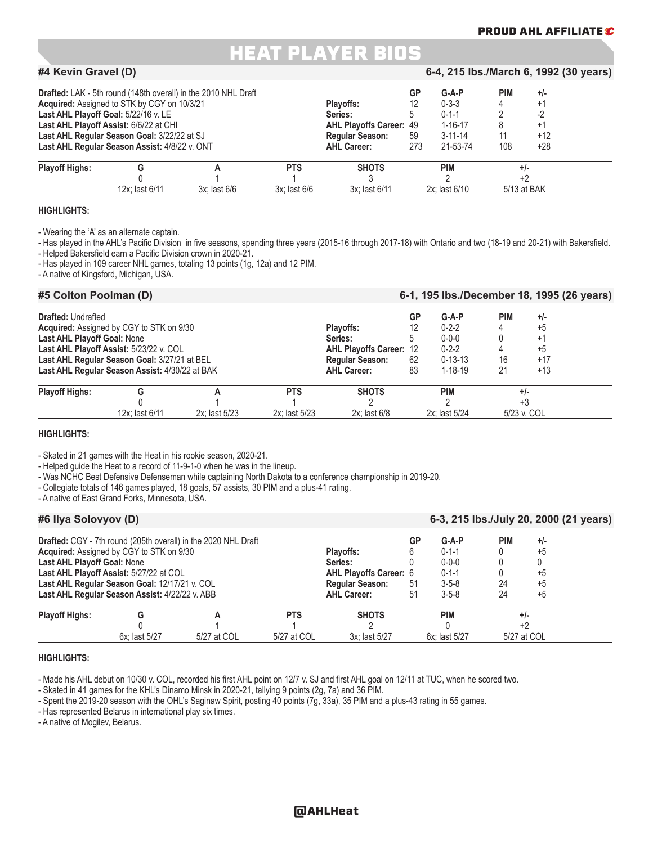#### **PROUD AHL AFFILIATE**

### HEAT PLAYER BIOS

#### **#4 Kevin Gravel (D) 6-4, 215 lbs./March 6, 1992 (30 years)**

| Last AHL Playoff Goal: 5/22/16 v. LE | <b>Drafted:</b> LAK - 5th round (148th overall) in the 2010 NHL Draft<br>Acquired: Assigned to STK by CGY on 10/3/21<br>Last AHL Playoff Assist: 6/6/22 at CHI<br>Last AHL Regular Season Goal: 3/22/22 at SJ<br>Last AHL Regular Season Assist: 4/8/22 v. ONT |                   |                   | <b>Plavoffs:</b><br>Series:<br><b>AHL Playoffs Career: 49</b><br><b>Regular Season:</b><br><b>AHL Career:</b> | GP<br>12<br>59<br>273 | $G-A-P$<br>$0 - 3 - 3$<br>$0 - 1 - 1$<br>$1 - 16 - 17$<br>$3 - 11 - 14$<br>21-53-74 | <b>PIM</b><br>4<br>11<br>108 | $+/-$<br>$+$<br>+1<br>$+12$<br>$+28$ |  |
|--------------------------------------|----------------------------------------------------------------------------------------------------------------------------------------------------------------------------------------------------------------------------------------------------------------|-------------------|-------------------|---------------------------------------------------------------------------------------------------------------|-----------------------|-------------------------------------------------------------------------------------|------------------------------|--------------------------------------|--|
| <b>Playoff Highs:</b>                |                                                                                                                                                                                                                                                                |                   | <b>PTS</b>        | <b>SHOTS</b>                                                                                                  |                       | <b>PIM</b>                                                                          |                              | $+/-$                                |  |
|                                      | 12x: last 6/11                                                                                                                                                                                                                                                 | $3x$ : last $6/6$ | $3x$ : last $6/6$ | 3x: last 6/11                                                                                                 |                       | 2x: last 6/10                                                                       |                              | 5/13 at BAK                          |  |

#### **HIGHLIGHTS:**

- Wearing the 'A' as an alternate captain.

- Has played in the AHL's Pacific Division in five seasons, spending three years (2015-16 through 2017-18) with Ontario and two (18-19 and 20-21) with Bakersfield. - Helped Bakersfield earn a Pacific Division crown in 2020-21.

- Has played in 109 career NHL games, totaling 13 points (1g, 12a) and 12 PIM.

- A native of Kingsford, Michigan, USA.

| #5 Colton Poolman (D)                                    |                                                                                                                                                                                              |               |                             |                                                                                                        |                           |                                                                                        | 6-1, 195 lbs./December 18, 1995 (26 years) |                                                 |
|----------------------------------------------------------|----------------------------------------------------------------------------------------------------------------------------------------------------------------------------------------------|---------------|-----------------------------|--------------------------------------------------------------------------------------------------------|---------------------------|----------------------------------------------------------------------------------------|--------------------------------------------|-------------------------------------------------|
| <b>Drafted: Undrafted</b><br>Last AHL Playoff Goal: None | <b>Acquired:</b> Assigned by CGY to STK on 9/30<br>Last AHL Playoff Assist: 5/23/22 v. COL<br>Last AHL Regular Season Goal: 3/27/21 at BEL<br>Last AHL Regular Season Assist: 4/30/22 at BAK |               |                             | Plavoffs:<br>Series:<br><b>AHL Playoffs Career: 12</b><br><b>Regular Season:</b><br><b>AHL Career:</b> | GP<br>12<br>5<br>62<br>83 | $G-A-P$<br>$0 - 2 - 2$<br>$0 - 0 - 0$<br>$0 - 2 - 2$<br>$0 - 13 - 13$<br>$1 - 18 - 19$ | <b>PIM</b><br>16<br>21                     | $+/-$<br>$+5$<br>$+1$<br>$+5$<br>$+17$<br>$+13$ |
| <b>Playoff Highs:</b>                                    | G<br>12x: last 6/11                                                                                                                                                                          | 2x: last 5/23 | <b>PTS</b><br>2x: last 5/23 | <b>SHOTS</b><br>$2x$ : last $6/8$                                                                      |                           | <b>PIM</b><br>2x: last 5/24                                                            |                                            | +/-<br>+3<br>5/23 v. COL                        |

#### **HIGHLIGHTS:**

- Skated in 21 games with the Heat in his rookie season, 2020-21.

- Helped guide the Heat to a record of 11-9-1-0 when he was in the lineup.

- Was NCHC Best Defensive Defenseman while captaining North Dakota to a conference championship in 2019-20.

- Collegiate totals of 146 games played, 18 goals, 57 assists, 30 PIM and a plus-41 rating.

- A native of East Grand Forks, Minnesota, USA.

#### **#6 Ilya Solovyov (D) 6-3, 215 lbs./July 20, 2000 (21 years)**

|                             |                                                 | Drafted: CGY - 7th round (205th overall) in the 2020 NHL Draft |                               |                    | GP          | $G-A-P$       | PIM         | $+/-$ |  |
|-----------------------------|-------------------------------------------------|----------------------------------------------------------------|-------------------------------|--------------------|-------------|---------------|-------------|-------|--|
|                             | <b>Acquired:</b> Assigned by CGY to STK on 9/30 |                                                                | Plavoffs:                     |                    | $0 - 1 - 1$ |               | $+5$        |       |  |
| Last AHL Playoff Goal: None |                                                 |                                                                |                               | Series:            |             | $0 - 0 - 0$   |             |       |  |
|                             | Last AHL Playoff Assist: 5/27/22 at COL         |                                                                | <b>AHL Playoffs Career: 6</b> |                    | $0 - 1 - 1$ |               | +5          |       |  |
|                             | Last AHL Regular Season Goal: 12/17/21 v. COL   |                                                                | <b>Regular Season:</b>        | 51                 | $3 - 5 - 8$ | 24            | $+5$        |       |  |
|                             | Last AHL Regular Season Assist: 4/22/22 v. ABB  |                                                                |                               | <b>AHL Career:</b> | 51          | $3 - 5 - 8$   | 24          | $+5$  |  |
| <b>Playoff Highs:</b>       |                                                 |                                                                | <b>PTS</b>                    | <b>SHOTS</b>       |             | <b>PIM</b>    |             | $+/-$ |  |
|                             |                                                 |                                                                |                               |                    |             |               |             |       |  |
|                             | 6x: last 5/27                                   | 5/27 at COL                                                    | 5/27 at COL                   | 3x: last 5/27      |             | 6x: last 5/27 | 5/27 at COL |       |  |

#### **HIGHLIGHTS:**

- Made his AHL debut on 10/30 v. COL, recorded his first AHL point on 12/7 v. SJ and first AHL goal on 12/11 at TUC, when he scored two.

- Skated in 41 games for the KHL's Dinamo Minsk in 2020-21, tallying 9 points (2g, 7a) and 36 PIM.

- Spent the 2019-20 season with the OHL's Saginaw Spirit, posting 40 points (7g, 33a), 35 PIM and a plus-43 rating in 55 games.

- Has represented Belarus in international play six times.

- A native of Mogilev, Belarus.

#### @AHLHeat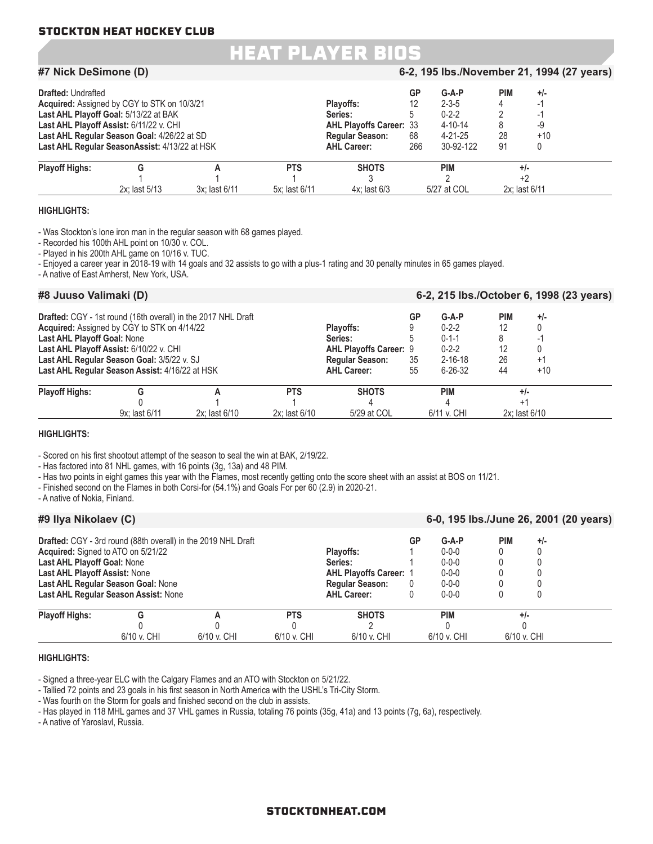### HEAT PLAYER BIOS

| #7 Nick DeSimone (D)      |                                                                                                                                                                                                                                 |               |                             |                                                                                                        |                       | 6-2, 195 lbs./November 21, 1994 (27 years)                                           |                        |                              |  |
|---------------------------|---------------------------------------------------------------------------------------------------------------------------------------------------------------------------------------------------------------------------------|---------------|-----------------------------|--------------------------------------------------------------------------------------------------------|-----------------------|--------------------------------------------------------------------------------------|------------------------|------------------------------|--|
| <b>Drafted: Undrafted</b> | Acquired: Assigned by CGY to STK on 10/3/21<br>Last AHL Playoff Goal: 5/13/22 at BAK<br>Last AHL Playoff Assist: 6/11/22 v. CHI<br>Last AHL Regular Season Goal: 4/26/22 at SD<br>Last AHL Regular SeasonAssist: 4/13/22 at HSK |               |                             | Plavoffs:<br>Series:<br><b>AHL Playoffs Career: 33</b><br><b>Regular Season:</b><br><b>AHL Career:</b> | GP<br>12<br>68<br>266 | $G-A-P$<br>$2 - 3 - 5$<br>$0 - 2 - 2$<br>$4 - 10 - 14$<br>$4 - 21 - 25$<br>30-92-122 | <b>PIM</b><br>28<br>91 | $+/-$<br>-9<br>$+10$         |  |
| <b>Playoff Highs:</b>     | G<br>2x: last 5/13                                                                                                                                                                                                              | 3x: last 6/11 | <b>PTS</b><br>5x: last 6/11 | <b>SHOTS</b><br>$4x$ : last $6/3$                                                                      |                       | <b>PIM</b><br>5/27 at COL                                                            |                        | $+/-$<br>+2<br>2x: last 6/11 |  |

#### **HIGHLIGHTS:**

- Was Stockton's lone iron man in the regular season with 68 games played.

- Recorded his 100th AHL point on 10/30 v. COL.

- Played in his 200th AHL game on 10/16 v. TUC.

- Enjoyed a career year in 2018-19 with 14 goals and 32 assists to go with a plus-1 rating and 30 penalty minutes in 65 games played.

- A native of East Amherst, New York, USA.

| #8 Juuso Valimaki (D)       |                                                                                                                                                                                        |                                                               |                                 |                                                                                                       |                | 6-2, 215 lbs./October 6, 1998 (23 years)                                               |                                    |                             |  |
|-----------------------------|----------------------------------------------------------------------------------------------------------------------------------------------------------------------------------------|---------------------------------------------------------------|---------------------------------|-------------------------------------------------------------------------------------------------------|----------------|----------------------------------------------------------------------------------------|------------------------------------|-----------------------------|--|
| Last AHL Playoff Goal: None | Acquired: Assigned by CGY to STK on 4/14/22<br>Last AHL Playoff Assist: 6/10/22 v. CHI<br>Last AHL Regular Season Goal: 3/5/22 v. SJ<br>Last AHL Regular Season Assist: 4/16/22 at HSK | Drafted: CGY - 1st round (16th overall) in the 2017 NHL Draft |                                 | Plavoffs:<br>Series:<br><b>AHL Playoffs Career: 9</b><br><b>Regular Season:</b><br><b>AHL Career:</b> | GP<br>35<br>55 | $G-A-P$<br>$0 - 2 - 2$<br>$0 - 1 - 1$<br>$0 - 2 - 2$<br>$2 - 16 - 18$<br>$6 - 26 - 32$ | <b>PIM</b><br>12<br>12<br>26<br>44 | $+/-$<br>$+1$<br>$+10$      |  |
| <b>Playoff Highs:</b>       | G<br>9x: last 6/11                                                                                                                                                                     | 2x: last 6/10                                                 | <b>PTS</b><br>$2x:$ last $6/10$ | <b>SHOTS</b><br>5/29 at COL                                                                           |                | <b>PIM</b><br>6/11 v. CHI                                                              | $+1$                               | $+/-$<br>$2x$ : last $6/10$ |  |

#### **HIGHLIGHTS:**

- Scored on his first shootout attempt of the season to seal the win at BAK, 2/19/22.

- Has factored into 81 NHL games, with 16 points (3g, 13a) and 48 PIM.

- Has two points in eight games this year with the Flames, most recently getting onto the score sheet with an assist at BOS on 11/21.

- Finished second on the Flames in both Corsi-for (54.1%) and Goals For per 60 (2.9) in 2020-21.

- A native of Nokia, Finland.

| #9 Ilya Nikolaev (C)                                                                                      |                                                                            |                                                               |                           |                                                                                                       |                      | 6-0, 195 lbs./June 26, 2001 (20 years)                                             |                      |       |  |
|-----------------------------------------------------------------------------------------------------------|----------------------------------------------------------------------------|---------------------------------------------------------------|---------------------------|-------------------------------------------------------------------------------------------------------|----------------------|------------------------------------------------------------------------------------|----------------------|-------|--|
| Acquired: Signed to ATO on 5/21/22<br>Last AHL Playoff Goal: None<br><b>Last AHL Playoff Assist: None</b> | Last AHL Regular Season Goal: None<br>Last AHL Regular Season Assist: None | Drafted: CGY - 3rd round (88th overall) in the 2019 NHL Draft |                           | Plavoffs:<br>Series:<br><b>AHL Playoffs Career: 1</b><br><b>Regular Season:</b><br><b>AHL Career:</b> | GP<br>$\overline{0}$ | $G-A-P$<br>$0 - 0 - 0$<br>$0 - 0 - 0$<br>$0 - 0 - 0$<br>$0 - 0 - 0$<br>$0 - 0 - 0$ | <b>PIM</b>           | $+/-$ |  |
| <b>Playoff Highs:</b>                                                                                     | 6/10 v. CHI                                                                | 6/10 v. CHI                                                   | <b>PTS</b><br>6/10 v. CHI | <b>SHOTS</b><br>6/10 v. CHI                                                                           |                      | <b>PIM</b><br>6/10 v. CHI                                                          | $+/-$<br>6/10 v. CHI |       |  |

#### **HIGHLIGHTS:**

- Signed a three-year ELC with the Calgary Flames and an ATO with Stockton on 5/21/22.

- Tallied 72 points and 23 goals in his first season in North America with the USHL's Tri-City Storm.

- Was fourth on the Storm for goals and finished second on the club in assists.

- Has played in 118 MHL games and 37 VHL games in Russia, totaling 76 points (35g, 41a) and 13 points (7g, 6a), respectively.

- A native of Yaroslavl, Russia.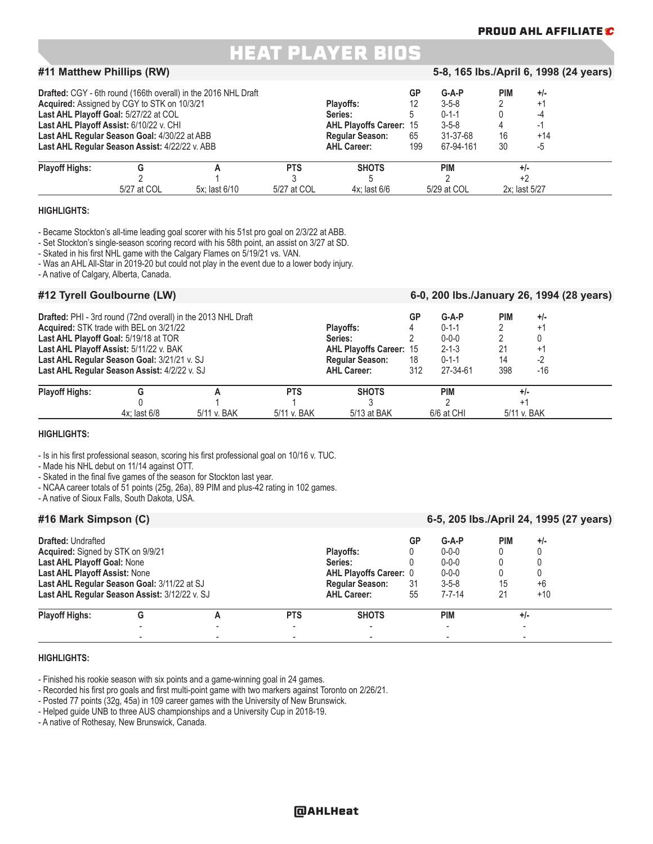#### **PROUD AHL AFFILIATE**

### HEAT PLAYER BIOS

#### **#11 Matthew Phillips (RW) 5-8, 165 lbs./April 6, 1998 (24 years)**

|                       | Acquired: Assigned by CGY to STK on 10/3/21<br>Last AHL Playoff Goal: 5/27/22 at COL<br>Last AHL Playoff Assist: 6/10/22 v. CHI<br>Last AHL Regular Season Goal: 4/30/22 at ABB<br>Last AHL Regular Season Assist: 4/22/22 v. ABB | <b>Drafted:</b> CGY - 6th round (166th overall) in the 2016 NHL Draft |             | Plavoffs:<br>Series:<br><b>AHL Playoffs Career: 15</b><br><b>Regular Season:</b><br><b>AHL Career:</b> | GP<br>12<br>65<br>199 | $G-A-P$<br>$3 - 5 - 8$<br>$0 - 1 - 1$<br>$3 - 5 - 8$<br>31-37-68<br>67-94-161 | <b>PIM</b><br>16<br>30 | $+/-$<br>$^{+1}$<br>-4<br>+14<br>-5 |  |
|-----------------------|-----------------------------------------------------------------------------------------------------------------------------------------------------------------------------------------------------------------------------------|-----------------------------------------------------------------------|-------------|--------------------------------------------------------------------------------------------------------|-----------------------|-------------------------------------------------------------------------------|------------------------|-------------------------------------|--|
| <b>Playoff Highs:</b> |                                                                                                                                                                                                                                   |                                                                       | <b>PTS</b>  | <b>SHOTS</b>                                                                                           |                       | <b>PIM</b>                                                                    |                        | $+/-$                               |  |
|                       | 5/27 at COL                                                                                                                                                                                                                       | 5x: last 6/10                                                         | 5/27 at COL | $4x$ : last 6/6                                                                                        |                       | 5/29 at COL                                                                   |                        | 2x: last 5/27                       |  |

#### **HIGHLIGHTS:**

- Became Stockton's all-time leading goal scorer with his 51st pro goal on 2/3/22 at ABB.

- Set Stockton's single-season scoring record with his 58th point, an assist on 3/27 at SD.

- Skated in his first NHL game with the Calgary Flames on 5/19/21 vs. VAN.

- Was an AHL All-Star in 2019-20 but could not play in the event due to a lower body injury.

- A native of Calgary, Alberta, Canada.

#### **#12 Tyrell Goulbourne (LW) 6-0, 200 lbs./January 26, 1994 (28 years)**

|                       |                                              | <b>Drafted:</b> PHI - 3rd round (72nd overall) in the 2013 NHL Draft |                        |                                | GP          | $G-A-P$     | <b>PIM</b> | $+/-$       |
|-----------------------|----------------------------------------------|----------------------------------------------------------------------|------------------------|--------------------------------|-------------|-------------|------------|-------------|
|                       | Acquired: STK trade with BEL on 3/21/22      |                                                                      |                        | Plavoffs:                      |             | $0 - 1 - 1$ |            | +1          |
|                       | Last AHL Playoff Goal: 5/19/18 at TOR        |                                                                      | Series:                |                                | $0 - 0 - 0$ |             |            |             |
|                       | Last AHL Playoff Assist: 5/11/22 v. BAK      |                                                                      |                        | <b>AHL Playoffs Career: 15</b> |             | $2 - 1 - 3$ | 21         | $+1$        |
|                       | Last AHL Regular Season Goal: 3/21/21 v. SJ  |                                                                      | <b>Regular Season:</b> | 18                             | $0 - 1 - 1$ | 14          |            |             |
|                       | Last AHL Regular Season Assist: 4/2/22 v. SJ |                                                                      |                        | <b>AHL Career:</b>             | 312         | 27-34-61    | 398        | $-16$       |
| <b>Playoff Highs:</b> |                                              |                                                                      | <b>PTS</b>             | <b>SHOTS</b>                   |             | <b>PIM</b>  |            | $+/-$       |
|                       |                                              |                                                                      |                        |                                |             |             |            |             |
|                       | 4x: last 6/8                                 | 5/11 v. BAK                                                          | 5/11 v. BAK            | 5/13 at BAK                    |             | 6/6 at CHI  |            | 5/11 v. BAK |

#### **HIGHLIGHTS:**

- Is in his first professional season, scoring his first professional goal on 10/16 v. TUC.

- Made his NHL debut on 11/14 against OTT.

- Skated in the final five games of the season for Stockton last year.

- NCAA career totals of 51 points (25g, 26a), 89 PIM and plus-42 rating in 102 games.

- A native of Sioux Falls, South Dakota, USA.

### **#16 Mark Simpson (C) 6-5, 205 lbs./April 24, 1995 (27 years)**

| <b>Drafted: Undrafted</b>                     |   |            |                               | GP  | $G-A-P$      | <b>PIM</b> | $+/-$ |  |
|-----------------------------------------------|---|------------|-------------------------------|-----|--------------|------------|-------|--|
| Acquired: Signed by STK on 9/9/21             |   |            | Plavoffs:                     |     | $0 - 0 - 0$  |            |       |  |
| <b>Last AHL Playoff Goal: None</b>            |   |            | Series:                       |     | $0 - 0 - 0$  |            |       |  |
| Last AHL Playoff Assist: None                 |   |            | <b>AHL Playoffs Career: 0</b> |     | $0 - 0 - 0$  |            |       |  |
| Last AHL Regular Season Goal: 3/11/22 at SJ   |   |            | <b>Regular Season:</b>        | -31 | $3 - 5 - 8$  | 15         | $+6$  |  |
| Last AHL Regular Season Assist: 3/12/22 v. SJ |   |            | <b>AHL Career:</b>            | 55  | $7 - 7 - 14$ | 21         | $+10$ |  |
| <b>Playoff Highs:</b>                         | G | <b>PTS</b> | <b>SHOTS</b>                  |     | <b>PIM</b>   |            | $+/-$ |  |
|                                               |   |            |                               |     |              |            |       |  |
|                                               |   |            |                               |     |              |            |       |  |

#### **HIGHLIGHTS:**

- Finished his rookie season with six points and a game-winning goal in 24 games.

- Recorded his first pro goals and first multi-point game with two markers against Toronto on 2/26/21.

- Posted 77 points (32g, 45a) in 109 career games with the University of New Brunswick.

- Helped guide UNB to three AUS championships and a University Cup in 2018-19.

- A native of Rothesay, New Brunswick, Canada.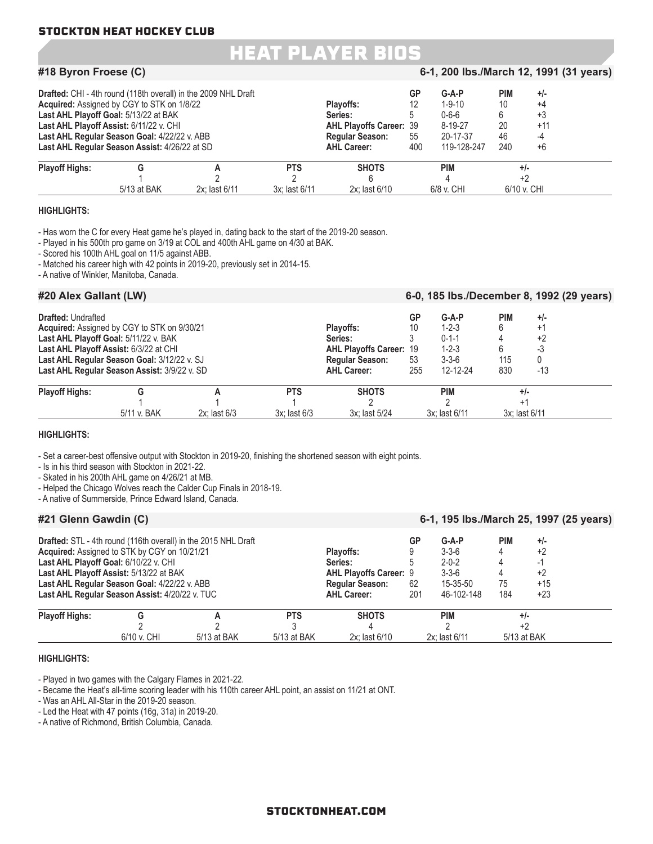### HEAT PLAYER BIOS

#### **#18 Byron Froese (C) 6-1, 200 lbs./March 12, 1991 (31 years) Drafted:** CHI - 4th round (118th overall) in the 2009 NHL Draft **GP G-A-P PIM** +/-<br> **Acquired:** Assigned by CGY to STK on 1/8/22 **Acquired:** Assigned by CGY to STK on 1/8/22 **Playoffs:** 12 1-9-10 10 +4 **Last AHL Playoff Goal:** 5/13/22 at BAK **Series:** 5 0-6-6 6 +3 **Last AHL Playoff Assist:** 6/11/22 v. CHI **AHL Playoffs Career:** 39 8-19-27 20 +11 **Last AHL Regular Season Goal:** 4/22/22 v. ABB **Regular Season:** 55 20-17-37 46 -4 **Last AHL Regular Season Assist: 4/26/22 at SD Playoff Highs: G A PTS SHOTS PIM +/-** 1 and  $2$  2 and  $2$  6 and  $4$  +2 5/13 at BAK 2x; last 6/11 3x; last 6/11 2x; last 6/10 6/8 v. CHI 6/10 v. CHI

#### **HIGHLIGHTS:**

- Has worn the C for every Heat game he's played in, dating back to the start of the 2019-20 season.

- Played in his 500th pro game on 3/19 at COL and 400th AHL game on 4/30 at BAK.

- Scored his 100th AHL goal on 11/5 against ABB.

- Matched his career high with 42 points in 2019-20, previously set in 2014-15.

- A native of Winkler, Manitoba, Canada.

| #20 Alex Gallant (LW)     |                                                                                                                                                                                                                               |                   |                            |                                                                                                        |                       |                                                                                 |                               | 6-0, 185 lbs./December 8, 1992 (29 years) |  |
|---------------------------|-------------------------------------------------------------------------------------------------------------------------------------------------------------------------------------------------------------------------------|-------------------|----------------------------|--------------------------------------------------------------------------------------------------------|-----------------------|---------------------------------------------------------------------------------|-------------------------------|-------------------------------------------|--|
| <b>Drafted: Undrafted</b> | Acquired: Assigned by CGY to STK on 9/30/21<br>Last AHL Playoff Goal: 5/11/22 v. BAK<br>Last AHL Playoff Assist: 6/3/22 at CHI<br>Last AHL Regular Season Goal: 3/12/22 v. SJ<br>Last AHL Regular Season Assist: 3/9/22 v. SD |                   |                            | Plavoffs:<br>Series:<br><b>AHL Playoffs Career: 19</b><br><b>Regular Season:</b><br><b>AHL Career:</b> | GP<br>10<br>53<br>255 | $G-A-P$<br>$1 - 2 - 3$<br>$0 - 1 - 1$<br>$1 - 2 - 3$<br>$3 - 3 - 6$<br>12-12-24 | <b>PIM</b><br>6<br>115<br>830 | $+/-$<br>$+1$<br>$+2$<br>-3<br>$-13$      |  |
| <b>Playoff Highs:</b>     | G<br>5/11 v. BAK                                                                                                                                                                                                              | $2x$ : last $6/3$ | <b>PTS</b><br>3x: last 6/3 | <b>SHOTS</b><br>3x; last 5/24                                                                          |                       | <b>PIM</b><br>3x: last 6/11                                                     | +1                            | $+/-$<br>3x: last 6/11                    |  |

#### **HIGHLIGHTS:**

- Set a career-best offensive output with Stockton in 2019-20, finishing the shortened season with eight points.

- Is in his third season with Stockton in 2021-22.

- Skated in his 200th AHL game on 4/26/21 at MB.

- Helped the Chicago Wolves reach the Calder Cup Finals in 2018-19.

- A native of Summerside, Prince Edward Island, Canada.

#### **#21 Glenn Gawdin (C) 6-1, 195 lbs./March 25, 1997 (25 years)**

|                       | Acquired: Assigned to STK by CGY on 10/21/21<br>Last AHL Playoff Goal: 6/10/22 v. CHI                                                     | <b>Drafted:</b> STL - 4th round (116th overall) in the 2015 NHL Draft |                                                                               | Plavoffs:<br>Series:          | GP                                    | $G-A-P$<br>$3 - 3 - 6$<br>$2 - 0 - 2$ | <b>PIM</b>             | $+/-$<br>+2        |
|-----------------------|-------------------------------------------------------------------------------------------------------------------------------------------|-----------------------------------------------------------------------|-------------------------------------------------------------------------------|-------------------------------|---------------------------------------|---------------------------------------|------------------------|--------------------|
|                       | Last AHL Playoff Assist: 5/13/22 at BAK<br>Last AHL Regular Season Goal: 4/22/22 v. ABB<br>Last AHL Regular Season Assist: 4/20/22 v. TUC |                                                                       | <b>AHL Playoffs Career: 9</b><br><b>Regular Season:</b><br><b>AHL Career:</b> | 62<br>201                     | $3 - 3 - 6$<br>15-35-50<br>46-102-148 | 75<br>184                             | $+2$<br>$+15$<br>$+23$ |                    |
| <b>Playoff Highs:</b> | 6/10 v. CHI                                                                                                                               | $5/13$ at BAK                                                         | <b>PTS</b><br>5/13 at BAK                                                     | <b>SHOTS</b><br>2x: last 6/10 |                                       | <b>PIM</b><br>2x: last 6/11           |                        | +/-<br>5/13 at BAK |

#### **HIGHLIGHTS:**

- Played in two games with the Calgary Flames in 2021-22.

- Became the Heat's all-time scoring leader with his 110th career AHL point, an assist on 11/21 at ONT.

- Was an AHL All-Star in the 2019-20 season.

- Led the Heat with 47 points (16g, 31a) in 2019-20.

- A native of Richmond, British Columbia, Canada.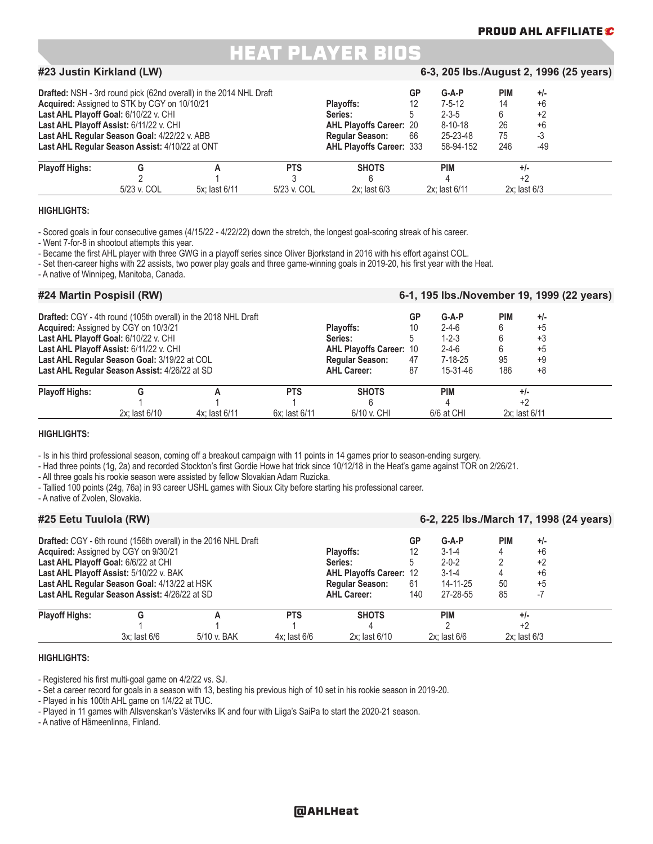#### **PROUD AHL AFFILIATE**

### HEAT PLAYER BIOS

#### **#23 Justin Kirkland (LW) 6-3, 205 lbs./August 2, 1996 (25 years)**

|                       | <b>Drafted:</b> NSH - 3rd round pick (62nd overall) in the 2014 NHL Draft<br>Acquired: Assigned to STK by CGY on 10/10/21<br>Last AHL Playoff Goal: 6/10/22 v. CHI<br>Last AHL Playoff Assist: 6/11/22 v. CHI<br>Last AHL Regular Season Goal: 4/22/22 v. ABB<br>Last AHL Regular Season Assist: 4/10/22 at ONT |               | Plavoffs:<br>Series:<br><b>AHL Playoffs Career: 20</b><br><b>Regular Season:</b><br><b>AHL Playoffs Career: 333</b> | GP<br>12<br>66   | $G-A-P$<br>$7 - 5 - 12$<br>$2 - 3 - 5$<br>$8 - 10 - 18$<br>25-23-48<br>58-94-152 | <b>PIM</b><br>14<br>6<br>26<br>75<br>246 | $+/-$<br>$+6$<br>+2<br>$+6$<br>-3<br>-49 |                  |  |
|-----------------------|-----------------------------------------------------------------------------------------------------------------------------------------------------------------------------------------------------------------------------------------------------------------------------------------------------------------|---------------|---------------------------------------------------------------------------------------------------------------------|------------------|----------------------------------------------------------------------------------|------------------------------------------|------------------------------------------|------------------|--|
| <b>Playoff Highs:</b> |                                                                                                                                                                                                                                                                                                                 |               | <b>PTS</b>                                                                                                          | <b>SHOTS</b>     |                                                                                  | <b>PIM</b>                               |                                          | $+/-$            |  |
|                       | 5/23 v. COL                                                                                                                                                                                                                                                                                                     | 5x: last 6/11 | 5/23 v. COL                                                                                                         | $2x:$ last $6/3$ |                                                                                  | 2x: last 6/11                            |                                          | $2x:$ last $6/3$ |  |

#### **HIGHLIGHTS:**

- Scored goals in four consecutive games (4/15/22 - 4/22/22) down the stretch, the longest goal-scoring streak of his career.

- Went 7-for-8 in shootout attempts this year.

- Became the first AHL player with three GWG in a playoff series since Oliver Bjorkstand in 2016 with his effort against COL.

- Set then-career highs with 22 assists, two power play goals and three game-winning goals in 2019-20, his first year with the Heat.

- A native of Winnipeg, Manitoba, Canada.

#### **#24 Martin Pospisil (RW) 6-1, 195 lbs./November 19, 1999 (22 years)**

|                       |                                                                                               | Drafted: CGY - 4th round (105th overall) in the 2018 NHL Draft |                                              |                                | GP                    | $G-A-P$                    | <b>PIM</b> | $+/-$         |  |
|-----------------------|-----------------------------------------------------------------------------------------------|----------------------------------------------------------------|----------------------------------------------|--------------------------------|-----------------------|----------------------------|------------|---------------|--|
|                       | <b>Acquired:</b> Assigned by CGY on 10/3/21<br>Last AHL Playoff Goal: 6/10/22 v. CHI          |                                                                |                                              | Plavoffs:<br>Series:           |                       | $2 - 4 - 6$<br>$1 - 2 - 3$ |            | $+5$<br>$+3$  |  |
|                       | Last AHL Playoff Assist: 6/11/22 v. CHI                                                       |                                                                |                                              | <b>AHL Playoffs Career: 10</b> |                       | $2 - 4 - 6$                |            | $+5$          |  |
|                       | Last AHL Regular Season Goal: 3/19/22 at COL<br>Last AHL Regular Season Assist: 4/26/22 at SD |                                                                | <b>Regular Season:</b><br><b>AHL Career:</b> | 47<br>87                       | $7-18-25$<br>15-31-46 | 95<br>186                  | +9<br>+8   |               |  |
| <b>Playoff Highs:</b> |                                                                                               | <b>PTS</b>                                                     | <b>SHOTS</b>                                 |                                | <b>PIM</b>            |                            | $+/-$      |               |  |
|                       |                                                                                               |                                                                |                                              |                                |                       |                            |            |               |  |
|                       | 2x: last 6/10<br>4x: last 6/11                                                                |                                                                |                                              | 6/10 v. CHI                    |                       | 6/6 at CHI                 |            | 2x: last 6/11 |  |

#### **HIGHLIGHTS:**

- Is in his third professional season, coming off a breakout campaign with 11 points in 14 games prior to season-ending surgery.

- Had three points (1g, 2a) and recorded Stockton's first Gordie Howe hat trick since 10/12/18 in the Heat's game against TOR on 2/26/21.

- All three goals his rookie season were assisted by fellow Slovakian Adam Ruzicka.

- Tallied 100 points (24g, 76a) in 93 career USHL games with Sioux City before starting his professional career.

- A native of Zvolen, Slovakia.

| <b>HZ<sub>2</sub></b> Celu Tuulola (KW) |                                               |                                                                |                                |               |             | 6-2, 225 IDS./March 17, 1996 (24 Vears) |            |                   |  |
|-----------------------------------------|-----------------------------------------------|----------------------------------------------------------------|--------------------------------|---------------|-------------|-----------------------------------------|------------|-------------------|--|
|                                         |                                               | Drafted: CGY - 6th round (156th overall) in the 2016 NHL Draft |                                |               | GP          | $G-A-P$                                 | <b>PIM</b> | $+/-$             |  |
|                                         | Acquired: Assigned by CGY on 9/30/21          |                                                                | <b>Plavoffs:</b>               |               | $3 - 1 - 4$ |                                         | $+6$       |                   |  |
| Last AHL Playoff Goal: 6/6/22 at CHI    |                                               |                                                                | Series:                        |               | $2 - 0 - 2$ |                                         | $+2$       |                   |  |
|                                         | Last AHL Playoff Assist: 5/10/22 v. BAK       |                                                                | <b>AHL Playoffs Career: 12</b> |               | $3 - 1 - 4$ |                                         | $+6$       |                   |  |
|                                         | Last AHL Regular Season Goal: 4/13/22 at HSK  |                                                                | <b>Regular Season:</b>         | 61            | 14-11-25    | 50                                      | $+5$       |                   |  |
|                                         | Last AHL Regular Season Assist: 4/26/22 at SD |                                                                | <b>AHL Career:</b>             | 140           | 27-28-55    | 85                                      |            |                   |  |
| <b>Playoff Highs:</b>                   |                                               |                                                                | <b>PTS</b>                     | <b>SHOTS</b>  |             | <b>PIM</b>                              |            | $+/-$             |  |
|                                         |                                               |                                                                |                                |               |             |                                         | +2         |                   |  |
|                                         | $3x$ : last $6/6$                             | 5/10 v. BAK                                                    | $4x$ : last 6/6                | 2x: last 6/10 |             | $2x$ : last $6/6$                       |            | $2x$ : last $6/3$ |  |

**#25 Eetu Tuulola (RW) 6-2, 225 lbs./March 17, 1998 (24 years)**

#### **HIGHLIGHTS:**

- Registered his first multi-goal game on 4/2/22 vs. SJ.

- Set a career record for goals in a season with 13, besting his previous high of 10 set in his rookie season in 2019-20.

- Played in his 100th AHL game on 1/4/22 at TUC.

- Played in 11 games with Allsvenskan's Västerviks IK and four with Liiga's SaiPa to start the 2020-21 season.

- A native of Hämeenlinna, Finland.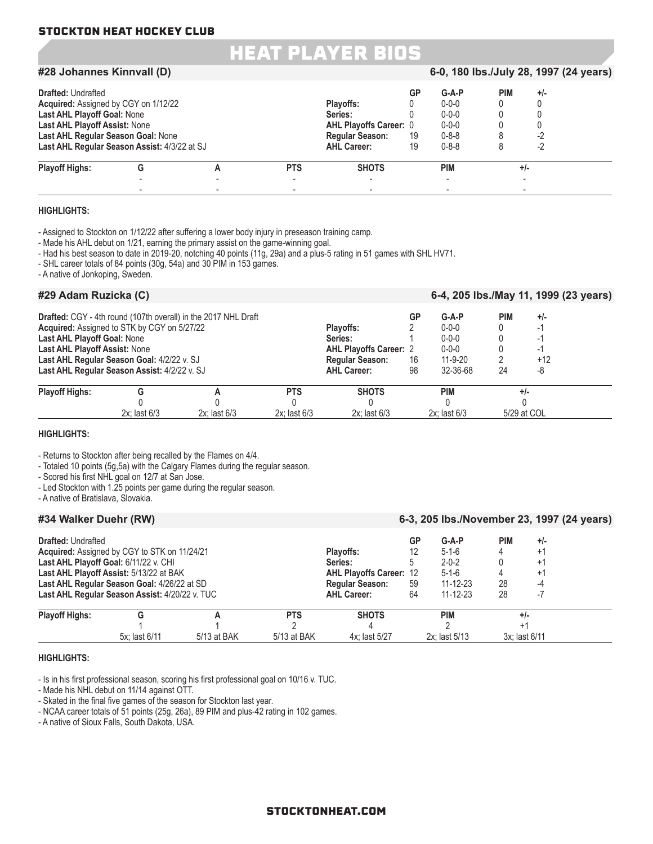### HEAT PLAYER BIOS

#### **#28 Johannes Kinnvall (D) 6-0, 180 lbs./July 28, 1997 (24 years)**

| <b>Drafted: Undrafted</b>                    |   |            |                               | GP | $G-A-P$     | PIM   | $+/-$ |  |
|----------------------------------------------|---|------------|-------------------------------|----|-------------|-------|-------|--|
| <b>Acquired:</b> Assigned by CGY on 1/12/22  |   |            | Plavoffs:                     |    | $0 - 0 - 0$ |       |       |  |
| Last AHL Playoff Goal: None                  |   |            | Series:                       |    | $0 - 0 - 0$ |       |       |  |
| Last AHL Playoff Assist: None                |   |            | <b>AHL Playoffs Career: 0</b> |    | $0 - 0 - 0$ |       |       |  |
| Last AHL Regular Season Goal: None           |   |            | <b>Regular Season:</b>        | 19 | $0 - 8 - 8$ |       | -2    |  |
| Last AHL Regular Season Assist: 4/3/22 at SJ |   |            | <b>AHL Career:</b>            | 19 | $0 - 8 - 8$ |       | -2    |  |
| <b>Playoff Highs:</b>                        | G | <b>PTS</b> | <b>SHOTS</b>                  |    | PIM         | $+/-$ |       |  |
|                                              |   |            |                               |    |             |       |       |  |
|                                              |   | ۰          | ۰                             |    |             |       |       |  |

#### **HIGHLIGHTS:**

- Assigned to Stockton on 1/12/22 after suffering a lower body injury in preseason training camp.

- Made his AHL debut on 1/21, earning the primary assist on the game-winning goal.

- Had his best season to date in 2019-20, notching 40 points (11g, 29a) and a plus-5 rating in 51 games with SHL HV71.

- SHL career totals of 84 points (30g, 54a) and 30 PIM in 153 games.

- A native of Jonkoping, Sweden.

#### **#29 Adam Ruzicka (C) 6-4, 205 lbs./May 11, 1999 (23 years)**

|                               |                                              | <b>Drafted:</b> CGY - 4th round (107th overall) in the 2017 NHL Draft |                   |                               | GP | $G-A-P$          | <b>PIM</b> | $+/-$       |  |
|-------------------------------|----------------------------------------------|-----------------------------------------------------------------------|-------------------|-------------------------------|----|------------------|------------|-------------|--|
|                               | Acquired: Assigned to STK by CGY on 5/27/22  |                                                                       |                   | <b>Plavoffs:</b>              |    | $0 - 0 - 0$      |            |             |  |
| Last AHL Playoff Goal: None   |                                              |                                                                       |                   | Series:                       |    | $0 - 0 - 0$      |            |             |  |
| Last AHL Playoff Assist: None |                                              |                                                                       |                   | <b>AHL Playoffs Career: 2</b> |    | $0 - 0 - 0$      |            |             |  |
|                               | Last AHL Regular Season Goal: 4/2/22 v. SJ   |                                                                       |                   |                               | 16 | $11 - 9 - 20$    |            | $+12$       |  |
|                               | Last AHL Regular Season Assist: 4/2/22 v. SJ |                                                                       |                   |                               | 98 | 32-36-68         | 24         | -8          |  |
| <b>Playoff Highs:</b>         |                                              |                                                                       | <b>PTS</b>        | <b>SHOTS</b>                  |    | <b>PIM</b>       |            | $+/-$       |  |
|                               |                                              |                                                                       |                   |                               |    |                  |            |             |  |
|                               | $2x$ : last $6/3$                            | $2x:$ last $6/3$                                                      | $2x$ : last $6/3$ | $2x:$ last $6/3$              |    | $2x:$ last $6/3$ |            | 5/29 at COL |  |

#### **HIGHLIGHTS:**

- Returns to Stockton after being recalled by the Flames on 4/4.

- Totaled 10 points (5g,5a) with the Calgary Flames during the regular season.

- Scored his first NHL goal on 12/7 at San Jose.

- Led Stockton with 1.25 points per game during the regular season.

- A native of Bratislava, Slovakia.

#### **#34 Walker Duehr (RW) 6-3, 205 lbs./November 23, 1997 (24 years)**

| <b>Drafted: Undrafted</b> |                                                |             |                        |                                | GP             | $G-A-P$        | PIM | $+/-$         |
|---------------------------|------------------------------------------------|-------------|------------------------|--------------------------------|----------------|----------------|-----|---------------|
|                           | Acquired: Assigned by CGY to STK on 11/24/21   |             |                        | <b>Plavoffs:</b>               |                | $5 - 1 - 6$    | 4   | +1            |
|                           | Last AHL Playoff Goal: 6/11/22 v. CHI          |             |                        | Series:                        |                | $2 - 0 - 2$    |     | $^{+1}$       |
|                           | Last AHL Playoff Assist: 5/13/22 at BAK        |             |                        | <b>AHL Playoffs Career: 12</b> |                | $5 - 1 - 6$    |     | +1            |
|                           | Last AHL Regular Season Goal: 4/26/22 at SD    |             | <b>Regular Season:</b> | 59                             | $11 - 12 - 23$ | 28             | -4  |               |
|                           | Last AHL Regular Season Assist: 4/20/22 v. TUC |             |                        | <b>AHL Career:</b>             | 64             | $11 - 12 - 23$ | 28  |               |
| <b>Playoff Highs:</b>     | G                                              |             | <b>PTS</b>             | <b>SHOTS</b>                   |                | PIM            |     | $+/-$         |
|                           |                                                |             |                        |                                |                |                |     |               |
|                           | 5x: last 6/11                                  | 5/13 at BAK | 5/13 at BAK            | 4x: last 5/27                  |                | 2x: last 5/13  |     | 3x: last 6/11 |

#### **HIGHLIGHTS:**

- Is in his first professional season, scoring his first professional goal on 10/16 v. TUC.

- Made his NHL debut on 11/14 against OTT.

- Skated in the final five games of the season for Stockton last year.

- NCAA career totals of 51 points (25g, 26a), 89 PIM and plus-42 rating in 102 games.

- A native of Sioux Falls, South Dakota, USA.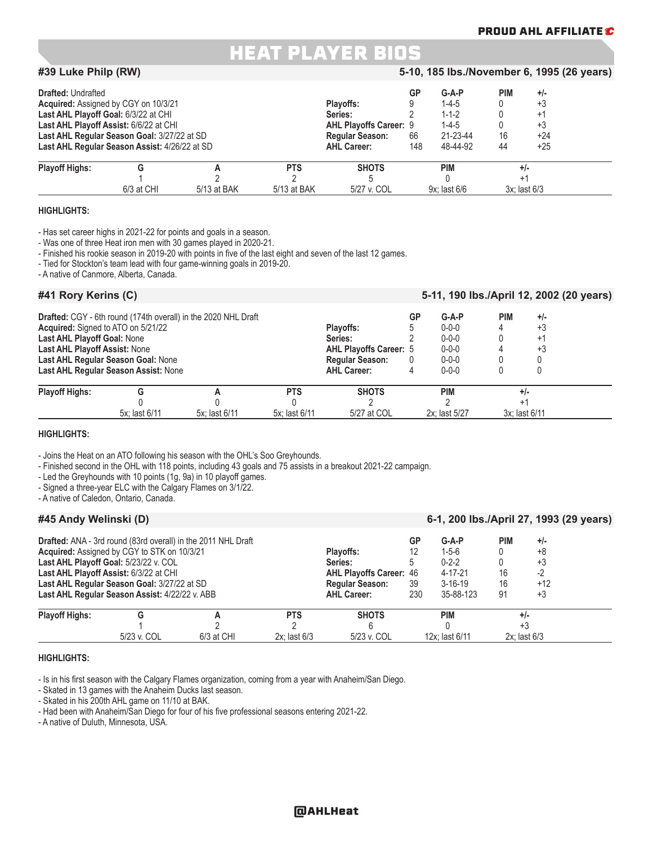#### **PROUD AHL AFFILIATE**

### HEAT PLAYER BIOS

#### **#39 Luke Philp (RW) 5-10, 185 lbs./November 6, 1995 (26 years) Drafted:** Undrafted **PIM +/-**<br> **Acquired:** Assigned by CGY on 10/3/21 **COV COV COV COV COV Playoffs:**  $\begin{array}{ccccccccc}\n & & & & & \text{GP} & \text{G-A-P} & \text{PIM} & \text{F-A-P} \\
\text{Required: Associated by CGY on 10/3/21 & & & & & \text{PIAVOffs:} & \text{O} & \text{F-A-P} & \text{FIAVOffS:} & \text{F.A.} & \$ **Acquired:** Assigned by CGY on 10/3/21 **Playoffs:** 9 1-4-5 1-4-5 0 +3 1-4-5 0 +3 1-4-5 0 +3 1-4-5 0 +3 1-4-5 0 +3 1-4-5 0 +3 1-4-5 0 +3 1-4-5 0 +4-5 0 +4-5 0 +4-5 0 +4-5 0 +4-5 0 +4-5 0 +4-5 0 +4-5 0 +4-5 0 +4-5 0 +4-5 0 + **Last AHL Playoff Goal:** 6/3/22 at CHI **Series:** 2 1-1-2 0 +1 Last AHL Playoff Assist: 6/6/22 at CHI **AHL Playoffs Career:** 9 1-4-5 0 +3<br>
Last AHL Regular Season Goal: 3/27/22 at SD **AHL Playoffs Career:** 9 1-2-23-44 16 +24 **Last AHL Regular Season Goal:** 3/27/22 at SD **Regular Season:** 66 21-23-44 16 +24 **Last AHL Regular Season Assist: 4/26/22 at SD Playoff Highs: G A PTS SHOTS PIM +/-** 1 2 2 5 0 +1 6/3 at CHI 5/13 at BAK 5/13 at BAK 5/27 v. COL 9x; last 6/6 3x; last 6/3

#### **HIGHLIGHTS:**

- Has set career highs in 2021-22 for points and goals in a season.

- Was one of three Heat iron men with 30 games played in 2020-21.

- Finished his rookie season in 2019-20 with points in five of the last eight and seven of the last 12 games.

- Tied for Stockton's team lead with four game-winning goals in 2019-20.

- A native of Canmore, Alberta, Canada.

#### **#41 Rory Kerins (C) 5-11, 190 lbs./April 12, 2002 (20 years)**

|                                                                   |                                      | Drafted: CGY - 6th round (174th overall) in the 2020 NHL Draft |                        |                               | GP          | $G-A-P$<br>$0 - 0 - 0$ | <b>PIM</b> | $+/-$<br>$+3$ |  |
|-------------------------------------------------------------------|--------------------------------------|----------------------------------------------------------------|------------------------|-------------------------------|-------------|------------------------|------------|---------------|--|
| Acquired: Signed to ATO on 5/21/22<br>Last AHL Playoff Goal: None |                                      |                                                                |                        | Plavoffs:<br>Series:          |             | $0 - 0 - 0$            |            | $+1$          |  |
| Last AHL Playoff Assist: None                                     |                                      |                                                                |                        | <b>AHL Playoffs Career: 5</b> |             | $0 - 0 - 0$            |            | +3            |  |
|                                                                   | Last AHL Regular Season Goal: None   |                                                                | <b>Regular Season:</b> | $\mathbf{0}$                  | $0 - 0 - 0$ |                        |            |               |  |
|                                                                   | Last AHL Regular Season Assist: None |                                                                |                        | <b>AHL Career:</b>            | 4           | $0 - 0 - 0$            |            |               |  |
| <b>Playoff Highs:</b>                                             |                                      |                                                                | <b>PTS</b>             | <b>SHOTS</b>                  |             | <b>PIM</b>             |            | $+/-$         |  |
|                                                                   |                                      |                                                                |                        |                               |             |                        |            |               |  |
|                                                                   | 5x: last 6/11                        | 5x: last 6/11                                                  | 5x: last 6/11          | 5/27 at COL                   |             | 2x: last 5/27          |            | 3x: last 6/11 |  |

#### **HIGHLIGHTS:**

- Joins the Heat on an ATO following his season with the OHL's Soo Greyhounds.

- Finished second in the OHL with 118 points, including 43 goals and 75 assists in a breakout 2021-22 campaign.

- Led the Greyhounds with 10 points (1g, 9a) in 10 playoff games.

- Signed a three-year ELC with the Calgary Flames on 3/1/22.

- A native of Caledon, Ontario, Canada.

#### **#45 Andy Welinski (D) 6-1, 200 lbs./April 27, 1993 (29 years)**

|                                             | <b>Drafted:</b> ANA - 3rd round (83rd overall) in the 2011 NHL Draft |              |                                |                    | GP            | $G-A-P$        | <b>PIM</b> | $+/-$            |
|---------------------------------------------|----------------------------------------------------------------------|--------------|--------------------------------|--------------------|---------------|----------------|------------|------------------|
|                                             | Acquired: Assigned by CGY to STK on 10/3/21                          |              | Plavoffs:                      |                    | $1 - 5 - 6$   |                | +8         |                  |
| Last AHL Playoff Goal: 5/23/22 v. COL       | Series:                                                              |              | $0 - 2 - 2$                    |                    | +3            |                |            |                  |
|                                             | Last AHL Playoff Assist: 6/3/22 at CHI                               |              | <b>AHL Playoffs Career: 46</b> |                    | $4 - 17 - 21$ | 16             | -2         |                  |
| Last AHL Regular Season Goal: 3/27/22 at SD | <b>Regular Season:</b>                                               | 39           | $3 - 16 - 19$                  | 16                 | $+12$         |                |            |                  |
|                                             | Last AHL Regular Season Assist: 4/22/22 v. ABB                       |              |                                | <b>AHL Career:</b> | 230           | 35-88-123      | 91         | +3               |
| <b>Playoff Highs:</b>                       |                                                                      |              | <b>PTS</b>                     | <b>SHOTS</b>       |               | <b>PIM</b>     |            | $+/-$            |
|                                             |                                                                      |              |                                |                    |               |                |            | $+3$             |
|                                             | 5/23 v. COL                                                          | $6/3$ at CHI | $2x:$ last $6/3$               | 5/23 v. COL        |               | 12x: last 6/11 |            | $2x:$ last $6/3$ |

#### **HIGHLIGHTS:**

- Is in his first season with the Calgary Flames organization, coming from a year with Anaheim/San Diego.

- Skated in 13 games with the Anaheim Ducks last season.

- Skated in his 200th AHL game on 11/10 at BAK.

- Had been with Anaheim/San Diego for four of his five professional seasons entering 2021-22.

- A native of Duluth, Minnesota, USA.